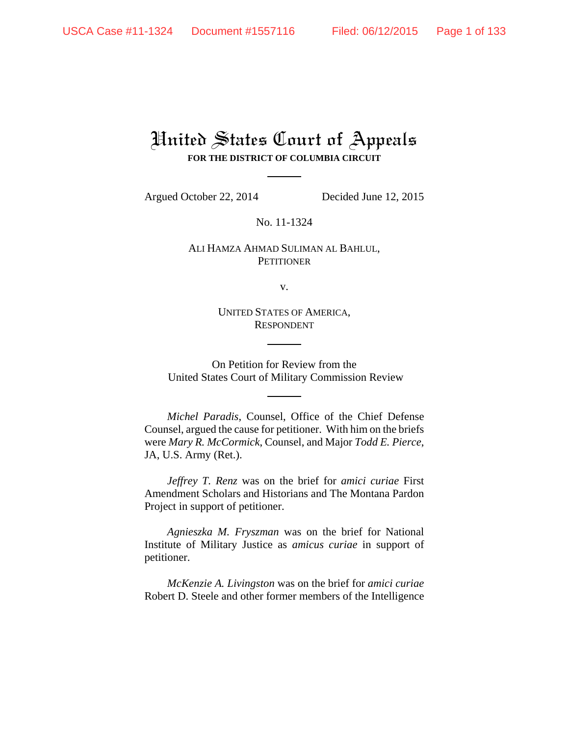# United States Court of Appeals **FOR THE DISTRICT OF COLUMBIA CIRCUIT**

Argued October 22, 2014 Decided June 12, 2015

No. 11-1324

## ALI HAMZA AHMAD SULIMAN AL BAHLUL, **PETITIONER**

v.

UNITED STATES OF AMERICA, RESPONDENT

On Petition for Review from the United States Court of Military Commission Review

*Michel Paradis*, Counsel, Office of the Chief Defense Counsel, argued the cause for petitioner. With him on the briefs were *Mary R. McCormick*, Counsel, and Major *Todd E. Pierce*, JA, U.S. Army (Ret.).

*Jeffrey T. Renz* was on the brief for *amici curiae* First Amendment Scholars and Historians and The Montana Pardon Project in support of petitioner.

*Agnieszka M. Fryszman* was on the brief for National Institute of Military Justice as *amicus curiae* in support of petitioner.

*McKenzie A. Livingston* was on the brief for *amici curiae* Robert D. Steele and other former members of the Intelligence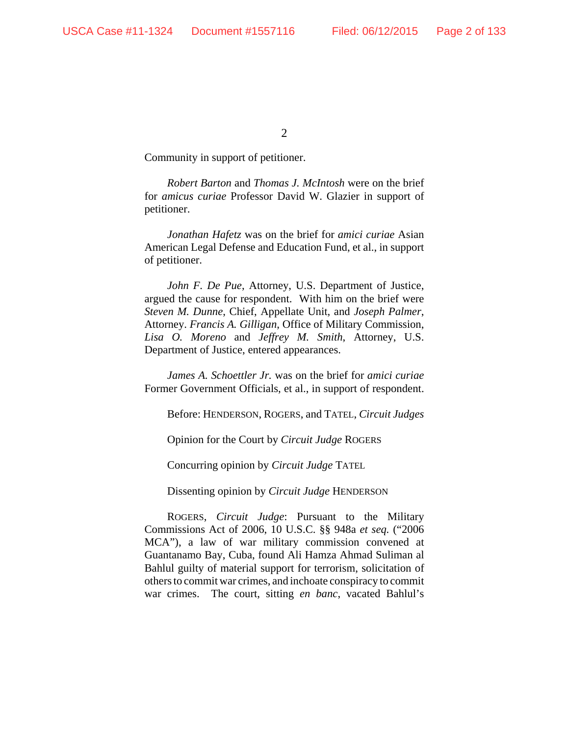Community in support of petitioner.

*Robert Barton* and *Thomas J. McIntosh* were on the brief for *amicus curiae* Professor David W. Glazier in support of petitioner.

*Jonathan Hafetz* was on the brief for *amici curiae* Asian American Legal Defense and Education Fund, et al., in support of petitioner.

*John F. De Pue*, Attorney, U.S. Department of Justice, argued the cause for respondent. With him on the brief were *Steven M. Dunne*, Chief, Appellate Unit, and *Joseph Palmer*, Attorney. *Francis A. Gilligan*, Office of Military Commission, *Lisa O. Moreno* and *Jeffrey M. Smith*, Attorney, U.S. Department of Justice, entered appearances.

*James A. Schoettler Jr.* was on the brief for *amici curiae* Former Government Officials, et al., in support of respondent.

Before: HENDERSON, ROGERS, and TATEL, *Circuit Judges*

Opinion for the Court by *Circuit Judge* ROGERS

Concurring opinion by *Circuit Judge* TATEL

Dissenting opinion by *Circuit Judge* HENDERSON

ROGERS, *Circuit Judge*: Pursuant to the Military Commissions Act of 2006, 10 U.S.C. §§ 948a *et seq.* ("2006 MCA"), a law of war military commission convened at Guantanamo Bay, Cuba, found Ali Hamza Ahmad Suliman al Bahlul guilty of material support for terrorism, solicitation of others to commit war crimes, and inchoate conspiracy to commit war crimes. The court, sitting *en banc*, vacated Bahlul's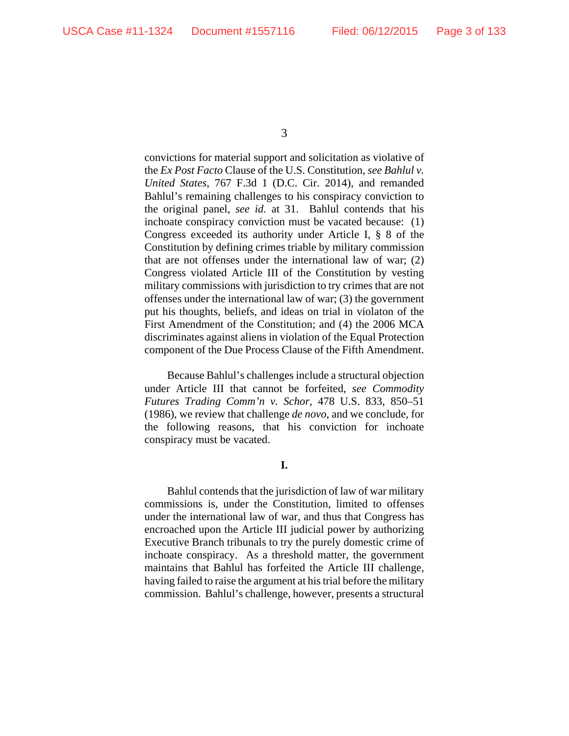convictions for material support and solicitation as violative of the *Ex Post Facto* Clause of the U.S. Constitution, *see Bahlul v. United States*, 767 F.3d 1 (D.C. Cir. 2014), and remanded Bahlul's remaining challenges to his conspiracy conviction to the original panel, *see id.* at 31. Bahlul contends that his inchoate conspiracy conviction must be vacated because: (1) Congress exceeded its authority under Article I, § 8 of the Constitution by defining crimes triable by military commission that are not offenses under the international law of war; (2) Congress violated Article III of the Constitution by vesting military commissions with jurisdiction to try crimes that are not offenses under the international law of war; (3) the government put his thoughts, beliefs, and ideas on trial in violaton of the First Amendment of the Constitution; and (4) the 2006 MCA discriminates against aliens in violation of the Equal Protection component of the Due Process Clause of the Fifth Amendment.

Because Bahlul's challenges include a structural objection under Article III that cannot be forfeited, *see Commodity Futures Trading Comm'n v. Schor*, 478 U.S. 833, 850–51 (1986), we review that challenge *de novo*, and we conclude, for the following reasons, that his conviction for inchoate conspiracy must be vacated.

**I.**

Bahlul contends that the jurisdiction of law of war military commissions is, under the Constitution, limited to offenses under the international law of war, and thus that Congress has encroached upon the Article III judicial power by authorizing Executive Branch tribunals to try the purely domestic crime of inchoate conspiracy. As a threshold matter, the government maintains that Bahlul has forfeited the Article III challenge, having failed to raise the argument at his trial before the military commission. Bahlul's challenge, however, presents a structural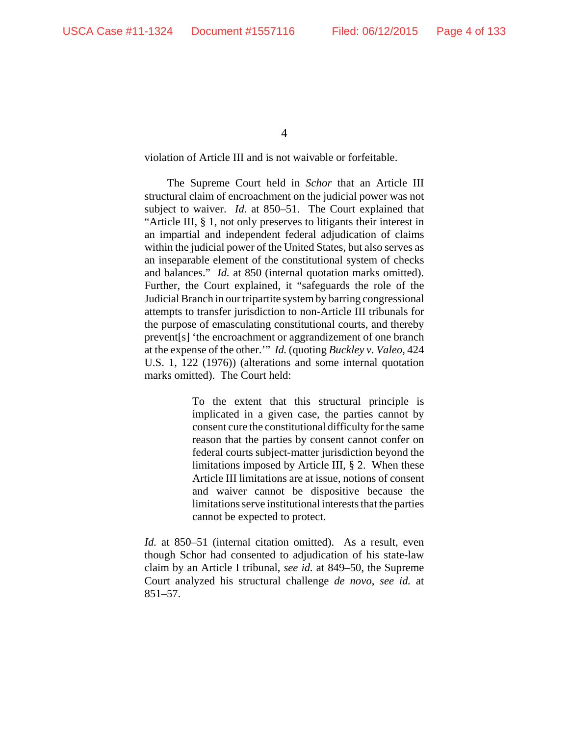violation of Article III and is not waivable or forfeitable.

The Supreme Court held in *Schor* that an Article III structural claim of encroachment on the judicial power was not subject to waiver. *Id*. at 850–51. The Court explained that "Article III, § 1, not only preserves to litigants their interest in an impartial and independent federal adjudication of claims within the judicial power of the United States, but also serves as an inseparable element of the constitutional system of checks and balances." *Id.* at 850 (internal quotation marks omitted). Further, the Court explained, it "safeguards the role of the Judicial Branch in our tripartite system by barring congressional attempts to transfer jurisdiction to non-Article III tribunals for the purpose of emasculating constitutional courts, and thereby prevent[s] 'the encroachment or aggrandizement of one branch at the expense of the other.'" *Id.* (quoting *Buckley v. Valeo*, 424 U.S. 1, 122 (1976)) (alterations and some internal quotation marks omitted). The Court held:

> To the extent that this structural principle is implicated in a given case, the parties cannot by consent cure the constitutional difficulty for the same reason that the parties by consent cannot confer on federal courts subject-matter jurisdiction beyond the limitations imposed by Article III, § 2. When these Article III limitations are at issue, notions of consent and waiver cannot be dispositive because the limitations serve institutional interests that the parties cannot be expected to protect.

*Id.* at 850–51 (internal citation omitted). As a result, even though Schor had consented to adjudication of his state-law claim by an Article I tribunal, *see id.* at 849–50, the Supreme Court analyzed his structural challenge *de novo*, *see id.* at 851–57.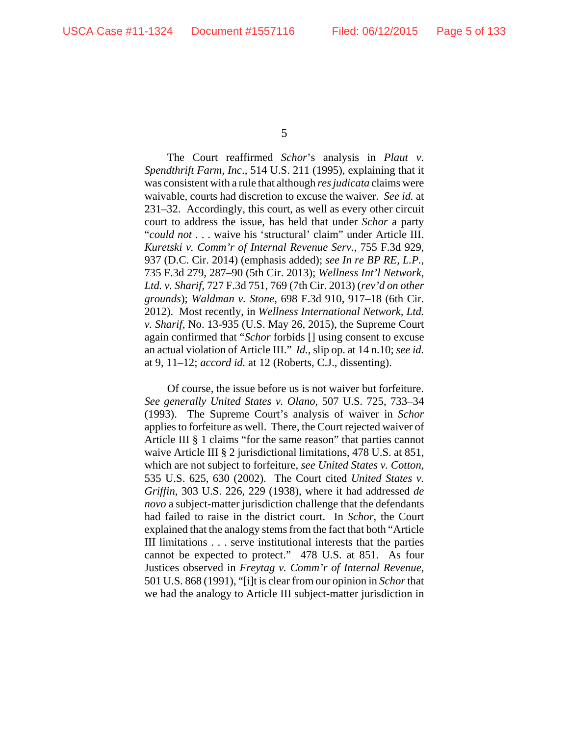The Court reaffirmed *Schor*'s analysis in *Plaut v. Spendthrift Farm, Inc*., 514 U.S. 211 (1995), explaining that it was consistent with a rule that although *res judicata* claims were waivable, courts had discretion to excuse the waiver. *See id.* at 231–32. Accordingly, this court, as well as every other circuit court to address the issue, has held that under *Schor* a party "*could not* . . . waive his 'structural' claim" under Article III. *Kuretski v. Comm'r of Internal Revenue Serv.*, 755 F.3d 929, 937 (D.C. Cir. 2014) (emphasis added); *see In re BP RE, L.P.*, 735 F.3d 279, 287–90 (5th Cir. 2013); *Wellness Int'l Network, Ltd. v. Sharif*, 727 F.3d 751, 769 (7th Cir. 2013) (*rev'd on other grounds*); *Waldman v. Stone*, 698 F.3d 910, 917–18 (6th Cir. 2012). Most recently, in *Wellness International Network, Ltd. v. Sharif*, No. 13-935 (U.S. May 26, 2015), the Supreme Court again confirmed that "*Schor* forbids [] using consent to excuse an actual violation of Article III." *Id.*, slip op. at 14 n.10; *see id.* at 9, 11–12; *accord id.* at 12 (Roberts, C.J., dissenting).

Of course, the issue before us is not waiver but forfeiture. *See generally United States v. Olano*, 507 U.S. 725, 733–34 (1993). The Supreme Court's analysis of waiver in *Schor* applies to forfeiture as well. There, the Court rejected waiver of Article III § 1 claims "for the same reason" that parties cannot waive Article III § 2 jurisdictional limitations, 478 U.S. at 851, which are not subject to forfeiture, *see United States v. Cotton*, 535 U.S. 625, 630 (2002). The Court cited *United States v. Griffin*, 303 U.S. 226, 229 (1938), where it had addressed *de novo* a subject-matter jurisdiction challenge that the defendants had failed to raise in the district court. In *Schor*, the Court explained that the analogy stems from the fact that both "Article III limitations . . . serve institutional interests that the parties cannot be expected to protect." 478 U.S. at 851. As four Justices observed in *Freytag v. Comm'r of Internal Revenue*, 501 U.S. 868 (1991), "[i]t is clear from our opinion in *Schor* that we had the analogy to Article III subject-matter jurisdiction in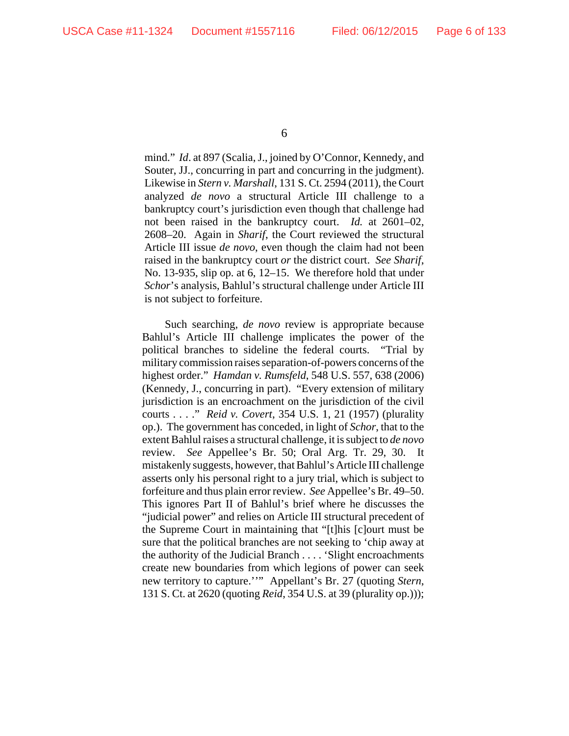mind." *Id*. at 897 (Scalia, J., joined by O'Connor, Kennedy, and Souter, JJ., concurring in part and concurring in the judgment). Likewise in *Stern v. Marshall*, 131 S. Ct. 2594 (2011), the Court analyzed *de novo* a structural Article III challenge to a bankruptcy court's jurisdiction even though that challenge had not been raised in the bankruptcy court. *Id.* at 2601–02, 2608–20. Again in *Sharif*, the Court reviewed the structural Article III issue *de novo*, even though the claim had not been raised in the bankruptcy court *or* the district court. *See Sharif*, No. 13-935, slip op. at 6, 12–15. We therefore hold that under *Schor*'s analysis, Bahlul's structural challenge under Article III is not subject to forfeiture.

Such searching, *de novo* review is appropriate because Bahlul's Article III challenge implicates the power of the political branches to sideline the federal courts. "Trial by military commission raises separation-of-powers concerns of the highest order." *Hamdan v. Rumsfeld*, 548 U.S. 557, 638 (2006) (Kennedy, J., concurring in part). "Every extension of military jurisdiction is an encroachment on the jurisdiction of the civil courts . . . ." *Reid v. Covert*, 354 U.S. 1, 21 (1957) (plurality op.). The government has conceded, in light of *Schor*, that to the extent Bahlul raises a structural challenge, it is subject to *de novo* review. *See* Appellee's Br. 50; Oral Arg. Tr. 29, 30. It mistakenly suggests, however, that Bahlul's Article III challenge asserts only his personal right to a jury trial, which is subject to forfeiture and thus plain error review. *See* Appellee's Br. 49–50. This ignores Part II of Bahlul's brief where he discusses the "judicial power" and relies on Article III structural precedent of the Supreme Court in maintaining that "[t]his [c]ourt must be sure that the political branches are not seeking to 'chip away at the authority of the Judicial Branch . . . . 'Slight encroachments create new boundaries from which legions of power can seek new territory to capture.''" Appellant's Br. 27 (quoting *Stern*, 131 S. Ct. at 2620 (quoting *Reid*, 354 U.S. at 39 (plurality op.)));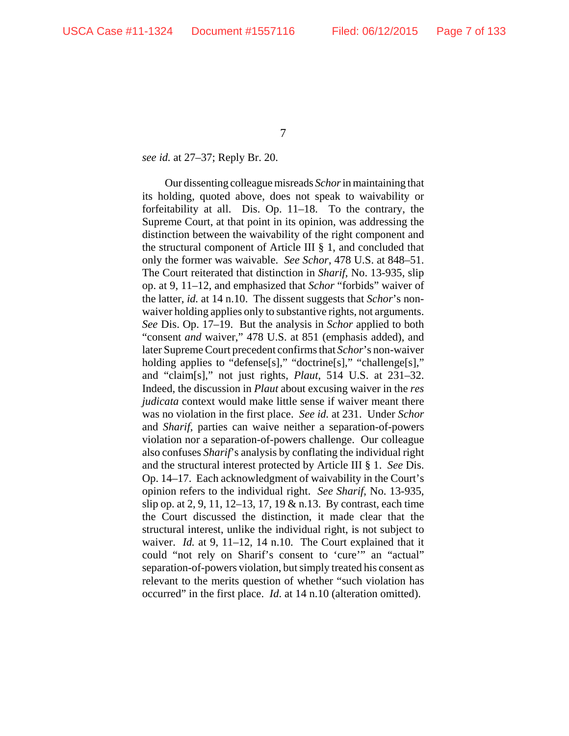### *see id.* at 27–37; Reply Br. 20.

Our dissenting colleague misreads *Schor* in maintaining that its holding, quoted above, does not speak to waivability or forfeitability at all. Dis. Op. 11–18. To the contrary, the Supreme Court, at that point in its opinion, was addressing the distinction between the waivability of the right component and the structural component of Article III § 1, and concluded that only the former was waivable. *See Schor*, 478 U.S. at 848–51. The Court reiterated that distinction in *Sharif*, No. 13-935, slip op. at 9, 11–12, and emphasized that *Schor* "forbids" waiver of the latter, *id.* at 14 n.10. The dissent suggests that *Schor*'s nonwaiver holding applies only to substantive rights, not arguments. *See* Dis. Op. 17–19. But the analysis in *Schor* applied to both "consent *and* waiver," 478 U.S. at 851 (emphasis added), and later Supreme Court precedent confirms that *Schor*'s non-waiver holding applies to "defense[s]," "doctrine[s]," "challenge[s]," and "claim[s]," not just rights, *Plaut*, 514 U.S. at 231–32. Indeed, the discussion in *Plaut* about excusing waiver in the *res judicata* context would make little sense if waiver meant there was no violation in the first place. *See id.* at 231. Under *Schor* and *Sharif*, parties can waive neither a separation-of-powers violation nor a separation-of-powers challenge. Our colleague also confuses *Sharif*'s analysis by conflating the individual right and the structural interest protected by Article III § 1. *See* Dis. Op. 14–17. Each acknowledgment of waivability in the Court's opinion refers to the individual right. *See Sharif*, No. 13-935, slip op. at 2, 9, 11, 12–13, 17, 19 & n.13. By contrast, each time the Court discussed the distinction, it made clear that the structural interest, unlike the individual right, is not subject to waiver. *Id.* at 9, 11–12, 14 n.10. The Court explained that it could "not rely on Sharif's consent to 'cure'" an "actual" separation-of-powers violation, but simply treated his consent as relevant to the merits question of whether "such violation has occurred" in the first place. *Id*. at 14 n.10 (alteration omitted).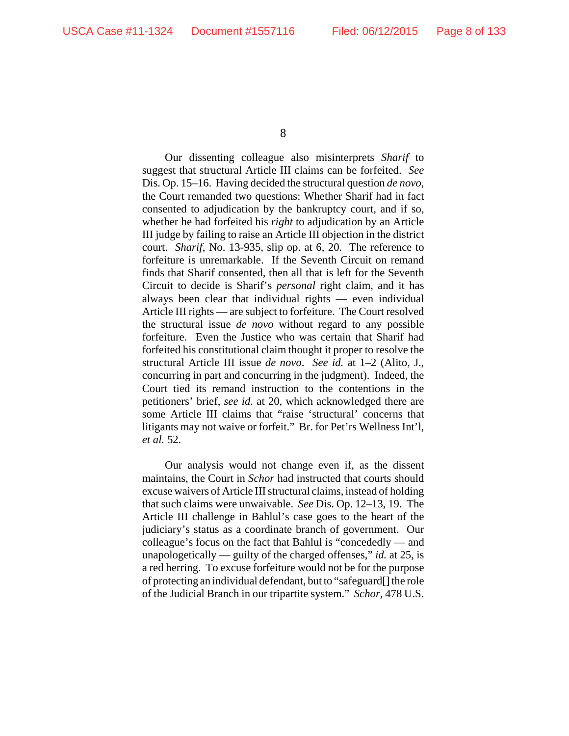Our dissenting colleague also misinterprets *Sharif* to suggest that structural Article III claims can be forfeited. *See* Dis. Op. 15–16. Having decided the structural question *de novo*, the Court remanded two questions: Whether Sharif had in fact consented to adjudication by the bankruptcy court, and if so, whether he had forfeited his *right* to adjudication by an Article III judge by failing to raise an Article III objection in the district court. *Sharif*, No. 13-935, slip op. at 6, 20. The reference to forfeiture is unremarkable. If the Seventh Circuit on remand finds that Sharif consented, then all that is left for the Seventh Circuit to decide is Sharif's *personal* right claim, and it has always been clear that individual rights — even individual Article III rights — are subject to forfeiture. The Court resolved the structural issue *de novo* without regard to any possible forfeiture. Even the Justice who was certain that Sharif had forfeited his constitutional claim thought it proper to resolve the structural Article III issue *de novo*. *See id.* at 1–2 (Alito, J., concurring in part and concurring in the judgment). Indeed, the Court tied its remand instruction to the contentions in the petitioners' brief, *see id.* at 20, which acknowledged there are some Article III claims that "raise 'structural' concerns that litigants may not waive or forfeit." Br. for Pet'rs Wellness Int'l, *et al.* 52.

Our analysis would not change even if, as the dissent maintains, the Court in *Schor* had instructed that courts should excuse waivers of Article III structural claims, instead of holding that such claims were unwaivable. *See* Dis. Op. 12–13, 19. The Article III challenge in Bahlul's case goes to the heart of the judiciary's status as a coordinate branch of government. Our colleague's focus on the fact that Bahlul is "concededly — and unapologetically — guilty of the charged offenses," *id.* at 25, is a red herring. To excuse forfeiture would not be for the purpose of protecting an individual defendant, but to "safeguard[] the role of the Judicial Branch in our tripartite system." *Schor*, 478 U.S.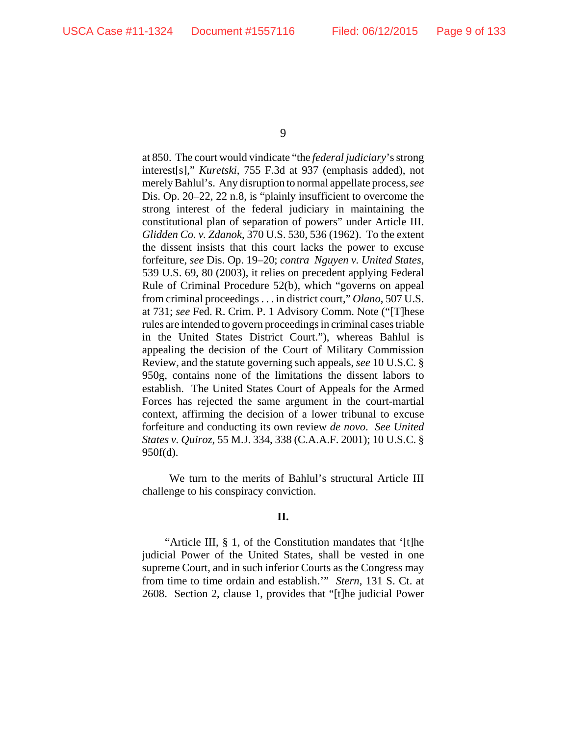at 850. The court would vindicate "the *federal judiciary*'s strong interest[s]," *Kuretski*, 755 F.3d at 937 (emphasis added), not merely Bahlul's. Any disruption to normal appellate process, *see* Dis. Op. 20–22, 22 n.8, is "plainly insufficient to overcome the strong interest of the federal judiciary in maintaining the constitutional plan of separation of powers" under Article III. *Glidden Co. v. Zdanok*, 370 U.S. 530, 536 (1962). To the extent the dissent insists that this court lacks the power to excuse forfeiture, *see* Dis. Op. 19–20; *contra Nguyen v. United States*, 539 U.S. 69, 80 (2003), it relies on precedent applying Federal Rule of Criminal Procedure 52(b), which "governs on appeal from criminal proceedings . . . in district court," *Olano*, 507 U.S. at 731; *see* Fed. R. Crim. P. 1 Advisory Comm. Note ("[T]hese rules are intended to govern proceedings in criminal cases triable in the United States District Court."), whereas Bahlul is appealing the decision of the Court of Military Commission Review, and the statute governing such appeals, *see* 10 U.S.C. § 950g, contains none of the limitations the dissent labors to establish. The United States Court of Appeals for the Armed Forces has rejected the same argument in the court-martial context, affirming the decision of a lower tribunal to excuse forfeiture and conducting its own review *de novo*. *See United States v. Quiroz*, 55 M.J. 334, 338 (C.A.A.F. 2001); 10 U.S.C. § 950f(d).

 We turn to the merits of Bahlul's structural Article III challenge to his conspiracy conviction.

## **II.**

"Article III, § 1, of the Constitution mandates that '[t]he judicial Power of the United States, shall be vested in one supreme Court, and in such inferior Courts as the Congress may from time to time ordain and establish.'" *Stern*, 131 S. Ct. at 2608. Section 2, clause 1, provides that "[t]he judicial Power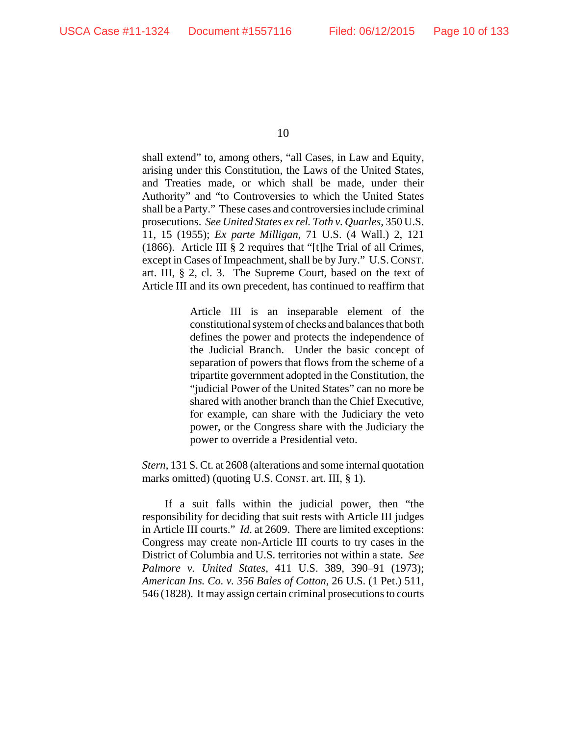shall extend" to, among others, "all Cases, in Law and Equity, arising under this Constitution, the Laws of the United States, and Treaties made, or which shall be made, under their Authority" and "to Controversies to which the United States shall be a Party." These cases and controversies include criminal prosecutions. *See United States ex rel. Toth v. Quarles*, 350 U.S. 11, 15 (1955); *Ex parte Milligan*, 71 U.S. (4 Wall.) 2, 121 (1866). Article III § 2 requires that "[t]he Trial of all Crimes, except in Cases of Impeachment, shall be by Jury." U.S.CONST. art. III, § 2, cl. 3. The Supreme Court, based on the text of Article III and its own precedent, has continued to reaffirm that

> Article III is an inseparable element of the constitutional system of checks and balances that both defines the power and protects the independence of the Judicial Branch. Under the basic concept of separation of powers that flows from the scheme of a tripartite government adopted in the Constitution, the "judicial Power of the United States" can no more be shared with another branch than the Chief Executive, for example, can share with the Judiciary the veto power, or the Congress share with the Judiciary the power to override a Presidential veto.

*Stern*, 131 S. Ct. at 2608 (alterations and some internal quotation marks omitted) (quoting U.S. CONST. art. III, § 1).

If a suit falls within the judicial power, then "the responsibility for deciding that suit rests with Article III judges in Article III courts." *Id*. at 2609. There are limited exceptions: Congress may create non-Article III courts to try cases in the District of Columbia and U.S. territories not within a state. *See Palmore v. United States*, 411 U.S. 389, 390–91 (1973); *American Ins. Co. v. 356 Bales of Cotton*, 26 U.S. (1 Pet.) 511, 546 (1828). It may assign certain criminal prosecutions to courts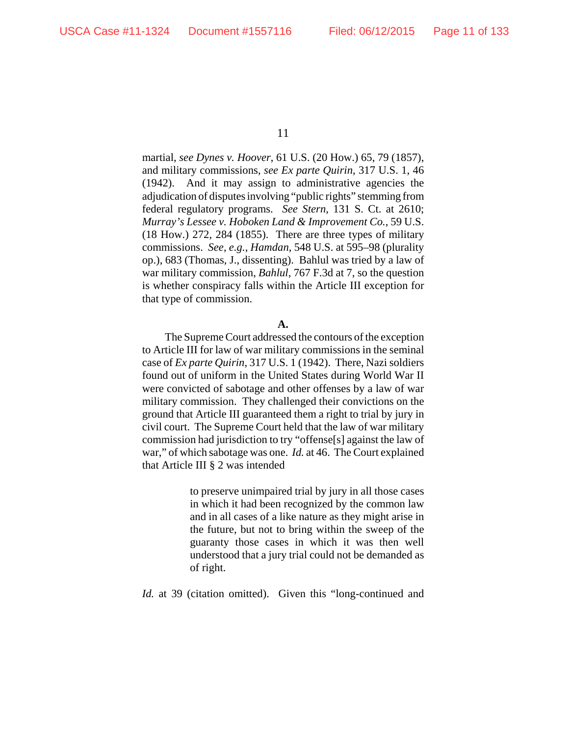martial, *see Dynes v. Hoover*, 61 U.S. (20 How.) 65, 79 (1857), and military commissions, *see Ex parte Quirin*, 317 U.S. 1, 46 (1942). And it may assign to administrative agencies the adjudication of disputes involving "public rights" stemming from federal regulatory programs. *See Stern*, 131 S. Ct. at 2610; *Murray's Lessee v. Hoboken Land & Improvement Co.*, 59 U.S. (18 How.) 272, 284 (1855). There are three types of military commissions. *See, e.g.*, *Hamdan*, 548 U.S. at 595–98 (plurality op.), 683 (Thomas, J., dissenting). Bahlul was tried by a law of war military commission, *Bahlul*, 767 F.3d at 7, so the question is whether conspiracy falls within the Article III exception for that type of commission.

### **A.**

The Supreme Court addressed the contours of the exception to Article III for law of war military commissions in the seminal case of *Ex parte Quirin*, 317 U.S. 1 (1942). There, Nazi soldiers found out of uniform in the United States during World War II were convicted of sabotage and other offenses by a law of war military commission. They challenged their convictions on the ground that Article III guaranteed them a right to trial by jury in civil court. The Supreme Court held that the law of war military commission had jurisdiction to try "offense[s] against the law of war," of which sabotage was one. *Id.* at 46. The Court explained that Article III § 2 was intended

> to preserve unimpaired trial by jury in all those cases in which it had been recognized by the common law and in all cases of a like nature as they might arise in the future, but not to bring within the sweep of the guaranty those cases in which it was then well understood that a jury trial could not be demanded as of right.

*Id.* at 39 (citation omitted). Given this "long-continued and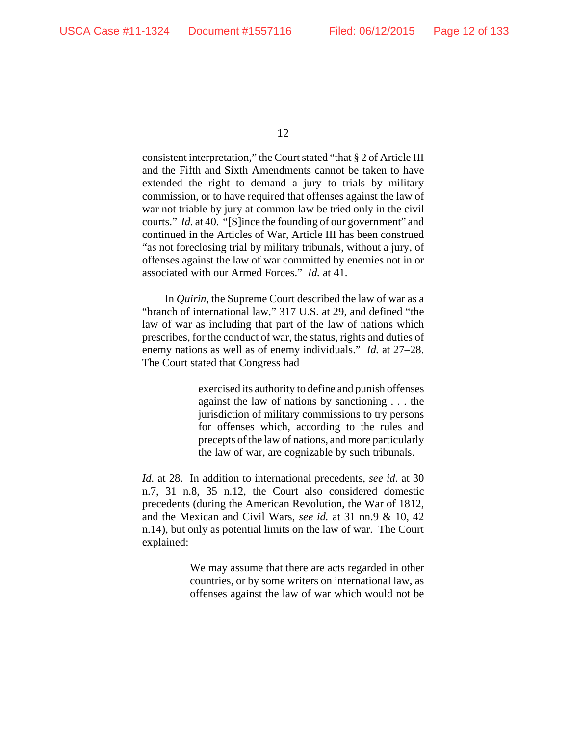consistent interpretation," the Court stated "that § 2 of Article III and the Fifth and Sixth Amendments cannot be taken to have extended the right to demand a jury to trials by military commission, or to have required that offenses against the law of war not triable by jury at common law be tried only in the civil courts." *Id.* at 40. "[S]ince the founding of our government" and continued in the Articles of War, Article III has been construed "as not foreclosing trial by military tribunals, without a jury, of offenses against the law of war committed by enemies not in or associated with our Armed Forces." *Id.* at 41.

In *Quirin*, the Supreme Court described the law of war as a "branch of international law," 317 U.S. at 29, and defined "the law of war as including that part of the law of nations which prescribes, for the conduct of war, the status, rights and duties of enemy nations as well as of enemy individuals." *Id.* at 27–28. The Court stated that Congress had

> exercised its authority to define and punish offenses against the law of nations by sanctioning . . . the jurisdiction of military commissions to try persons for offenses which, according to the rules and precepts of the law of nations, and more particularly the law of war, are cognizable by such tribunals.

*Id.* at 28. In addition to international precedents, *see id*. at 30 n.7, 31 n.8, 35 n.12, the Court also considered domestic precedents (during the American Revolution, the War of 1812, and the Mexican and Civil Wars, *see id.* at 31 nn.9 & 10, 42 n.14), but only as potential limits on the law of war. The Court explained:

> We may assume that there are acts regarded in other countries, or by some writers on international law, as offenses against the law of war which would not be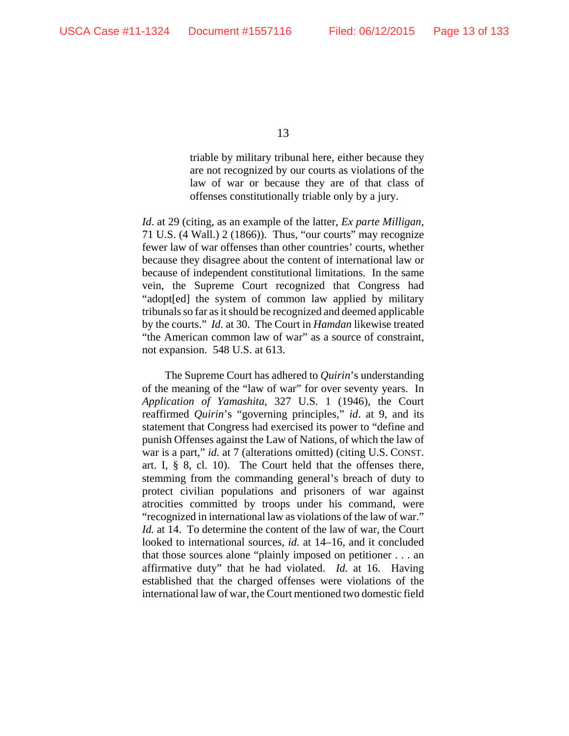triable by military tribunal here, either because they are not recognized by our courts as violations of the law of war or because they are of that class of offenses constitutionally triable only by a jury.

*Id*. at 29 (citing, as an example of the latter, *Ex parte Milligan*, 71 U.S. (4 Wall.) 2 (1866)). Thus, "our courts" may recognize fewer law of war offenses than other countries' courts, whether because they disagree about the content of international law or because of independent constitutional limitations. In the same vein, the Supreme Court recognized that Congress had "adopt[ed] the system of common law applied by military tribunals so far as it should be recognized and deemed applicable by the courts." *Id.* at 30. The Court in *Hamdan* likewise treated "the American common law of war" as a source of constraint, not expansion. 548 U.S. at 613.

The Supreme Court has adhered to *Quirin*'s understanding of the meaning of the "law of war" for over seventy years.In *Application of Yamashita*, 327 U.S. 1 (1946), the Court reaffirmed *Quirin*'s "governing principles," *id*. at 9, and its statement that Congress had exercised its power to "define and punish Offenses against the Law of Nations, of which the law of war is a part," *id.* at 7 (alterations omitted) (citing U.S. CONST. art. I, § 8, cl. 10). The Court held that the offenses there, stemming from the commanding general's breach of duty to protect civilian populations and prisoners of war against atrocities committed by troops under his command, were "recognized in international law as violations of the law of war." *Id.* at 14. To determine the content of the law of war, the Court looked to international sources, *id.* at 14–16, and it concluded that those sources alone "plainly imposed on petitioner . . . an affirmative duty" that he had violated. *Id.* at 16. Having established that the charged offenses were violations of the international law of war, the Court mentioned two domestic field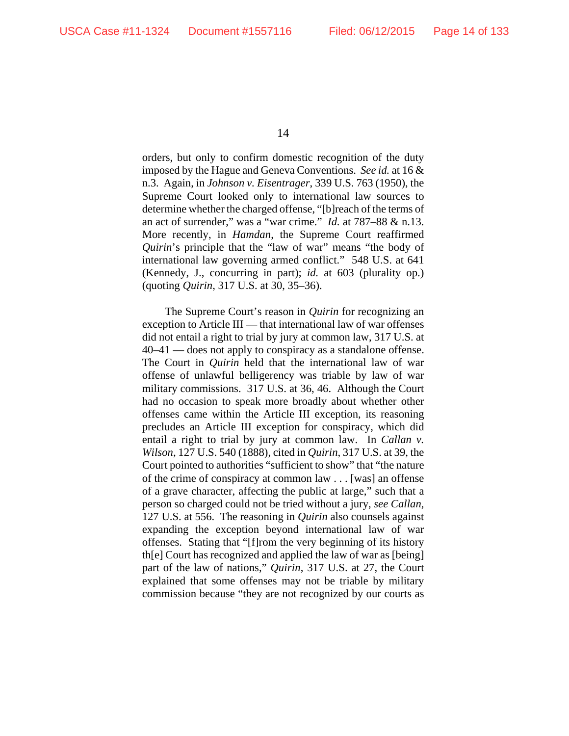orders, but only to confirm domestic recognition of the duty imposed by the Hague and Geneva Conventions. *See id.* at 16 & n.3. Again, in *Johnson v. Eisentrager*, 339 U.S. 763 (1950), the Supreme Court looked only to international law sources to determine whether the charged offense, "[b]reach of the terms of an act of surrender," was a "war crime." *Id.* at 787–88 & n.13. More recently, in *Hamdan*, the Supreme Court reaffirmed *Quirin*'s principle that the "law of war" means "the body of international law governing armed conflict." 548 U.S. at 641 (Kennedy, J., concurring in part); *id.* at 603 (plurality op.) (quoting *Quirin*, 317 U.S. at 30, 35–36).

The Supreme Court's reason in *Quirin* for recognizing an exception to Article III — that international law of war offenses did not entail a right to trial by jury at common law, 317 U.S. at 40–41 — does not apply to conspiracy as a standalone offense. The Court in *Quirin* held that the international law of war offense of unlawful belligerency was triable by law of war military commissions. 317 U.S. at 36, 46. Although the Court had no occasion to speak more broadly about whether other offenses came within the Article III exception, its reasoning precludes an Article III exception for conspiracy, which did entail a right to trial by jury at common law. In *Callan v. Wilson*, 127 U.S. 540 (1888), cited in *Quirin*, 317 U.S. at 39, the Court pointed to authorities "sufficient to show" that "the nature of the crime of conspiracy at common law . . . [was] an offense of a grave character, affecting the public at large," such that a person so charged could not be tried without a jury, *see Callan*, 127 U.S. at 556. The reasoning in *Quirin* also counsels against expanding the exception beyond international law of war offenses. Stating that "[f]rom the very beginning of its history th[e] Court has recognized and applied the law of war as [being] part of the law of nations," *Quirin*, 317 U.S. at 27, the Court explained that some offenses may not be triable by military commission because "they are not recognized by our courts as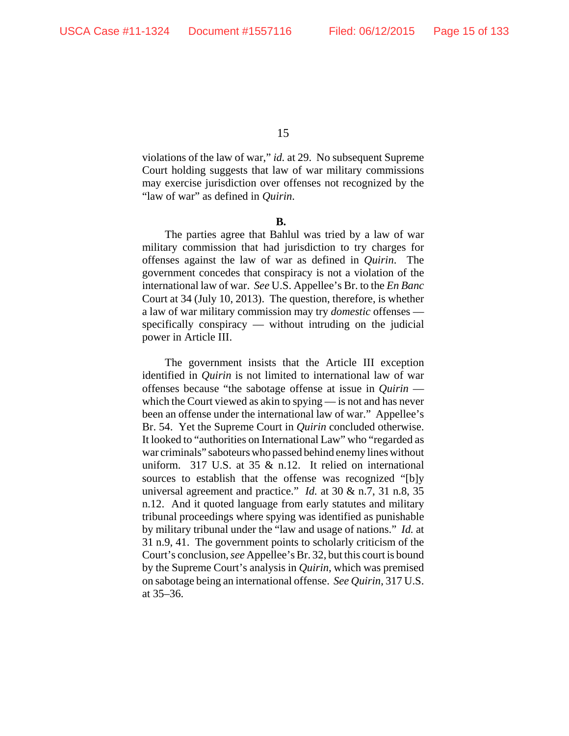violations of the law of war," *id.* at 29. No subsequent Supreme Court holding suggests that law of war military commissions may exercise jurisdiction over offenses not recognized by the "law of war" as defined in *Quirin*.

**B.**

The parties agree that Bahlul was tried by a law of war military commission that had jurisdiction to try charges for offenses against the law of war as defined in *Quirin*. The government concedes that conspiracy is not a violation of the international law of war. *See* U.S. Appellee's Br. to the *En Banc* Court at 34 (July 10, 2013). The question, therefore, is whether a law of war military commission may try *domestic* offenses specifically conspiracy — without intruding on the judicial power in Article III.

The government insists that the Article III exception identified in *Quirin* is not limited to international law of war offenses because "the sabotage offense at issue in *Quirin*  which the Court viewed as akin to spying — is not and has never been an offense under the international law of war." Appellee's Br. 54. Yet the Supreme Court in *Quirin* concluded otherwise. It looked to "authorities on International Law" who "regarded as war criminals" saboteurs who passed behind enemy lines without uniform. 317 U.S. at 35 & n.12. It relied on international sources to establish that the offense was recognized "[b]y universal agreement and practice." *Id.* at 30 & n.7, 31 n.8, 35 n.12. And it quoted language from early statutes and military tribunal proceedings where spying was identified as punishable by military tribunal under the "law and usage of nations." *Id.* at 31 n.9, 41. The government points to scholarly criticism of the Court's conclusion, *see* Appellee's Br. 32, but this court is bound by the Supreme Court's analysis in *Quirin*, which was premised on sabotage being an international offense. *See Quirin*, 317 U.S. at 35–36.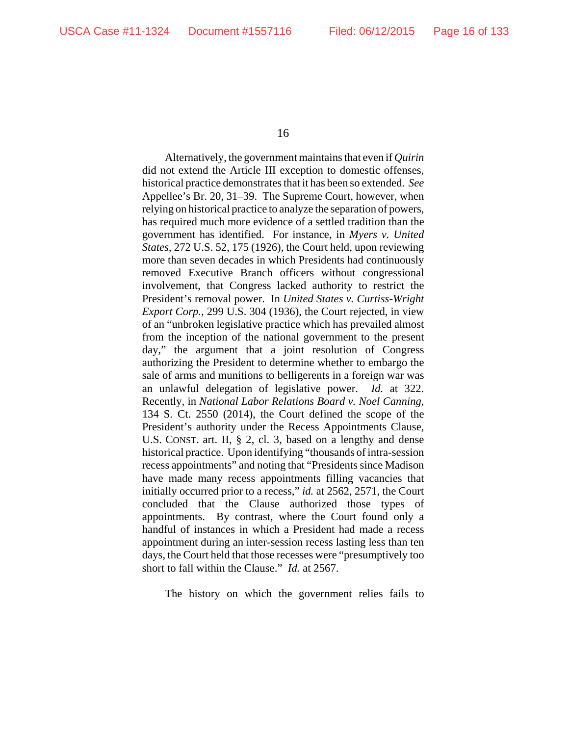Alternatively, the government maintains that even if *Quirin* did not extend the Article III exception to domestic offenses, historical practice demonstrates that it has been so extended. *See* Appellee's Br. 20, 31–39. The Supreme Court, however, when relying on historical practice to analyze the separation of powers, has required much more evidence of a settled tradition than the government has identified. For instance, in *Myers v. United States*, 272 U.S. 52, 175 (1926), the Court held, upon reviewing more than seven decades in which Presidents had continuously removed Executive Branch officers without congressional involvement, that Congress lacked authority to restrict the President's removal power. In *United States v. Curtiss-Wright Export Corp.*, 299 U.S. 304 (1936), the Court rejected, in view of an "unbroken legislative practice which has prevailed almost from the inception of the national government to the present day," the argument that a joint resolution of Congress authorizing the President to determine whether to embargo the sale of arms and munitions to belligerents in a foreign war was an unlawful delegation of legislative power. *Id.* at 322. Recently, in *National Labor Relations Board v. Noel Canning*, 134 S. Ct. 2550 (2014), the Court defined the scope of the President's authority under the Recess Appointments Clause, U.S. CONST. art. II, § 2, cl. 3, based on a lengthy and dense historical practice. Upon identifying "thousands of intra-session recess appointments" and noting that "Presidents since Madison have made many recess appointments filling vacancies that initially occurred prior to a recess," *id.* at 2562, 2571, the Court concluded that the Clause authorized those types of appointments. By contrast, where the Court found only a handful of instances in which a President had made a recess appointment during an inter-session recess lasting less than ten days, the Court held that those recesses were "presumptively too short to fall within the Clause." *Id.* at 2567.

The history on which the government relies fails to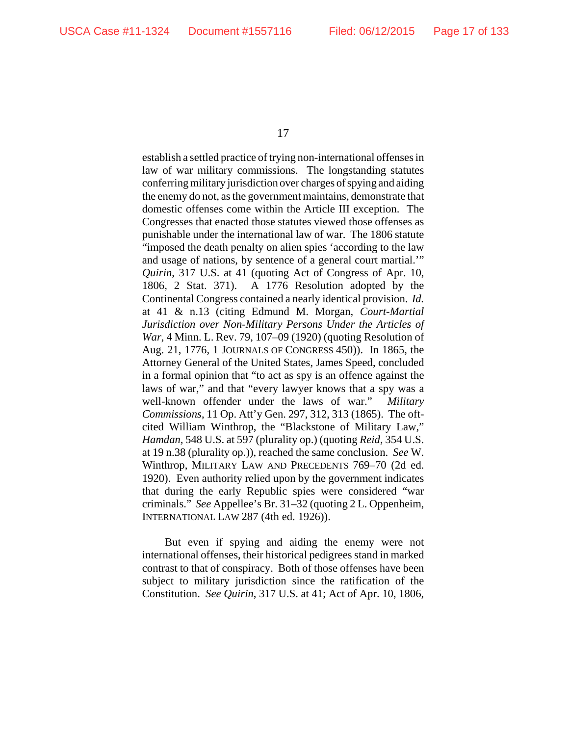establish a settled practice of trying non-international offenses in law of war military commissions. The longstanding statutes conferring military jurisdiction over charges of spying and aiding the enemy do not, as the government maintains, demonstrate that domestic offenses come within the Article III exception. The Congresses that enacted those statutes viewed those offenses as punishable under the international law of war. The 1806 statute "imposed the death penalty on alien spies 'according to the law and usage of nations, by sentence of a general court martial.'" *Quirin*, 317 U.S. at 41 (quoting Act of Congress of Apr. 10, 1806, 2 Stat. 371). A 1776 Resolution adopted by the Continental Congress contained a nearly identical provision. *Id.* at 41 & n.13 (citing Edmund M. Morgan, *Court-Martial Jurisdiction over Non-Military Persons Under the Articles of War*, 4 Minn. L. Rev. 79, 107–09 (1920) (quoting Resolution of Aug. 21, 1776, 1 JOURNALS OF CONGRESS 450)). In 1865, the Attorney General of the United States, James Speed, concluded in a formal opinion that "to act as spy is an offence against the laws of war," and that "every lawyer knows that a spy was a well-known offender under the laws of war." *Military Commissions*, 11 Op. Att'y Gen. 297, 312, 313 (1865). The oftcited William Winthrop, the "Blackstone of Military Law," *Hamdan,* 548 U.S. at 597 (plurality op.) (quoting *Reid,* 354 U.S. at 19 n.38 (plurality op.)), reached the same conclusion. *See* W. Winthrop, MILITARY LAW AND PRECEDENTS 769–70 (2d ed. 1920). Even authority relied upon by the government indicates that during the early Republic spies were considered "war criminals." *See* Appellee's Br. 31–32 (quoting 2 L. Oppenheim, INTERNATIONAL LAW 287 (4th ed. 1926)).

But even if spying and aiding the enemy were not international offenses, their historical pedigrees stand in marked contrast to that of conspiracy. Both of those offenses have been subject to military jurisdiction since the ratification of the Constitution. *See Quirin*, 317 U.S. at 41; Act of Apr. 10, 1806,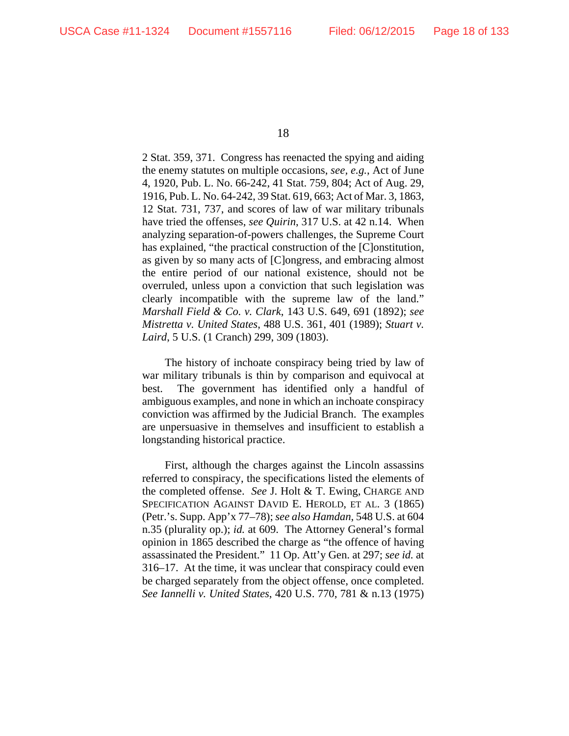2 Stat. 359, 371. Congress has reenacted the spying and aiding the enemy statutes on multiple occasions, *see, e.g.*, Act of June 4, 1920, Pub. L. No. 66-242, 41 Stat. 759, 804; Act of Aug. 29, 1916, Pub. L. No. 64-242, 39 Stat. 619, 663; Act of Mar. 3, 1863, 12 Stat. 731, 737, and scores of law of war military tribunals have tried the offenses, *see Quirin*, 317 U.S. at 42 n.14. When analyzing separation-of-powers challenges, the Supreme Court has explained, "the practical construction of the [C]onstitution, as given by so many acts of [C]ongress, and embracing almost the entire period of our national existence, should not be overruled, unless upon a conviction that such legislation was clearly incompatible with the supreme law of the land." *Marshall Field & Co. v. Clark*, 143 U.S. 649, 691 (1892); *see Mistretta v. United States*, 488 U.S. 361, 401 (1989); *Stuart v. Laird*, 5 U.S. (1 Cranch) 299, 309 (1803).

The history of inchoate conspiracy being tried by law of war military tribunals is thin by comparison and equivocal at best. The government has identified only a handful of ambiguous examples, and none in which an inchoate conspiracy conviction was affirmed by the Judicial Branch. The examples are unpersuasive in themselves and insufficient to establish a longstanding historical practice.

First, although the charges against the Lincoln assassins referred to conspiracy, the specifications listed the elements of the completed offense. *See* J. Holt & T. Ewing, CHARGE AND SPECIFICATION AGAINST DAVID E. HEROLD, ET AL. 3 (1865) (Petr.'s. Supp. App'x 77–78); *see also Hamdan*, 548 U.S. at 604 n.35 (plurality op.); *id.* at 609. The Attorney General's formal opinion in 1865 described the charge as "the offence of having assassinated the President." 11 Op. Att'y Gen. at 297; *see id.* at 316–17. At the time, it was unclear that conspiracy could even be charged separately from the object offense, once completed. *See Iannelli v. United States*, 420 U.S. 770, 781 & n.13 (1975)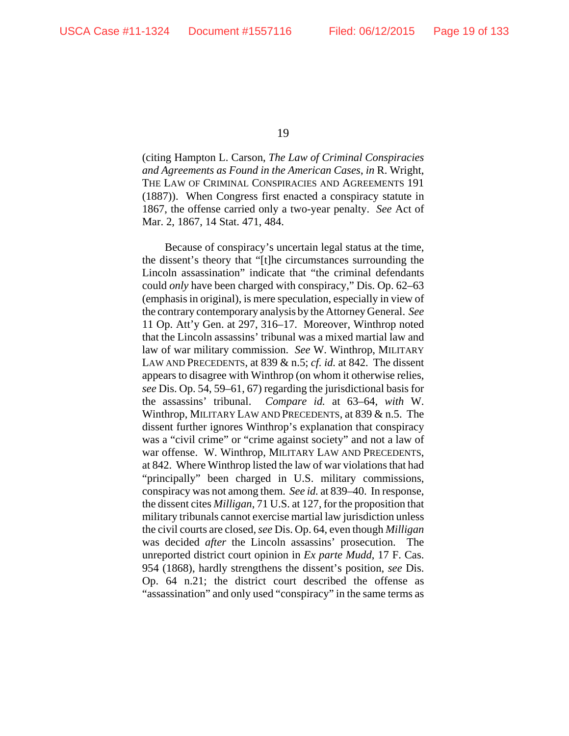(citing Hampton L. Carson, *The Law of Criminal Conspiracies and Agreements as Found in the American Cases*, *in* R. Wright, THE LAW OF CRIMINAL CONSPIRACIES AND AGREEMENTS 191 (1887)). When Congress first enacted a conspiracy statute in 1867, the offense carried only a two-year penalty. *See* Act of Mar. 2, 1867, 14 Stat. 471, 484.

Because of conspiracy's uncertain legal status at the time, the dissent's theory that "[t]he circumstances surrounding the Lincoln assassination" indicate that "the criminal defendants could *only* have been charged with conspiracy," Dis. Op. 62–63 (emphasis in original), is mere speculation, especially in view of the contrary contemporary analysis by the Attorney General. *See* 11 Op. Att'y Gen. at 297, 316–17. Moreover, Winthrop noted that the Lincoln assassins' tribunal was a mixed martial law and law of war military commission. *See* W. Winthrop, MILITARY LAW AND PRECEDENTS, at 839 & n.5; *cf. id.* at 842. The dissent appears to disagree with Winthrop (on whom it otherwise relies, *see* Dis. Op. 54, 59–61, 67) regarding the jurisdictional basis for the assassins' tribunal. *Compare id.* at 63–64, *with* W. Winthrop, MILITARY LAW AND PRECEDENTS, at 839 & n.5. The dissent further ignores Winthrop's explanation that conspiracy was a "civil crime" or "crime against society" and not a law of war offense. W. Winthrop, MILITARY LAW AND PRECEDENTS, at 842. Where Winthrop listed the law of war violations that had "principally" been charged in U.S. military commissions, conspiracy was not among them. *See id.* at 839–40. In response, the dissent cites *Milligan*, 71 U.S. at 127, for the proposition that military tribunals cannot exercise martial law jurisdiction unless the civil courts are closed, *see* Dis. Op. 64, even though *Milligan* was decided *after* the Lincoln assassins' prosecution. The unreported district court opinion in *Ex parte Mudd*, 17 F. Cas. 954 (1868), hardly strengthens the dissent's position, *see* Dis. Op. 64 n.21; the district court described the offense as "assassination" and only used "conspiracy" in the same terms as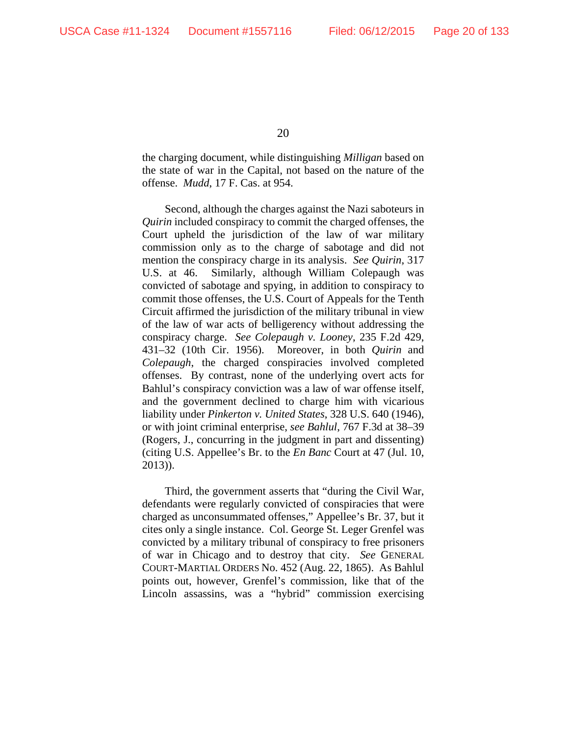the charging document, while distinguishing *Milligan* based on the state of war in the Capital, not based on the nature of the offense. *Mudd*, 17 F. Cas. at 954.

Second, although the charges against the Nazi saboteurs in *Quirin* included conspiracy to commit the charged offenses, the Court upheld the jurisdiction of the law of war military commission only as to the charge of sabotage and did not mention the conspiracy charge in its analysis. *See Quirin*, 317 U.S. at 46. Similarly, although William Colepaugh was convicted of sabotage and spying, in addition to conspiracy to commit those offenses, the U.S. Court of Appeals for the Tenth Circuit affirmed the jurisdiction of the military tribunal in view of the law of war acts of belligerency without addressing the conspiracy charge. *See Colepaugh v. Looney*, 235 F.2d 429, 431–32 (10th Cir. 1956). Moreover, in both *Quirin* and *Colepaugh*, the charged conspiracies involved completed offenses. By contrast, none of the underlying overt acts for Bahlul's conspiracy conviction was a law of war offense itself, and the government declined to charge him with vicarious liability under *Pinkerton v. United States*, 328 U.S. 640 (1946), or with joint criminal enterprise, *see Bahlul*, 767 F.3d at 38–39 (Rogers, J., concurring in the judgment in part and dissenting) (citing U.S. Appellee's Br. to the *En Banc* Court at 47 (Jul. 10, 2013)).

Third, the government asserts that "during the Civil War, defendants were regularly convicted of conspiracies that were charged as unconsummated offenses," Appellee's Br. 37, but it cites only a single instance. Col. George St. Leger Grenfel was convicted by a military tribunal of conspiracy to free prisoners of war in Chicago and to destroy that city. *See* GENERAL COURT-MARTIAL ORDERS No. 452 (Aug. 22, 1865). As Bahlul points out, however, Grenfel's commission, like that of the Lincoln assassins, was a "hybrid" commission exercising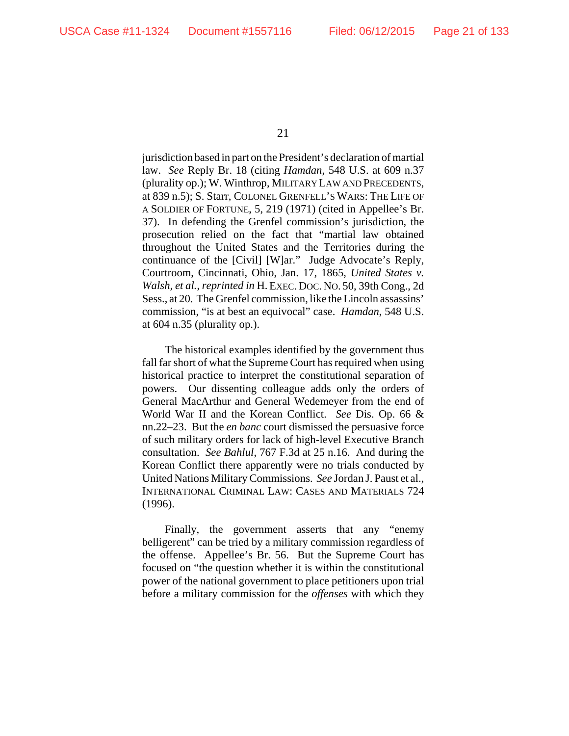jurisdiction based in part on the President's declaration of martial law. *See* Reply Br. 18 (citing *Hamdan*, 548 U.S. at 609 n.37 (plurality op.); W. Winthrop, MILITARY LAW AND PRECEDENTS, at 839 n.5); S. Starr, COLONEL GRENFELL'S WARS: THE LIFE OF A SOLDIER OF FORTUNE, 5, 219 (1971) (cited in Appellee's Br. 37). In defending the Grenfel commission's jurisdiction, the prosecution relied on the fact that "martial law obtained throughout the United States and the Territories during the continuance of the [Civil] [W]ar." Judge Advocate's Reply, Courtroom, Cincinnati, Ohio, Jan. 17, 1865, *United States v. Walsh, et al.*, *reprinted in* H. EXEC. DOC. NO. 50, 39th Cong., 2d Sess., at 20. The Grenfel commission, like the Lincoln assassins' commission, "is at best an equivocal" case. *Hamdan*, 548 U.S. at 604 n.35 (plurality op.).

The historical examples identified by the government thus fall far short of what the Supreme Court has required when using historical practice to interpret the constitutional separation of powers. Our dissenting colleague adds only the orders of General MacArthur and General Wedemeyer from the end of World War II and the Korean Conflict. *See* Dis. Op. 66 & nn.22–23. But the *en banc* court dismissed the persuasive force of such military orders for lack of high-level Executive Branch consultation. *See Bahlul*, 767 F.3d at 25 n.16. And during the Korean Conflict there apparently were no trials conducted by United Nations Military Commissions. *See* Jordan J. Paust et al., INTERNATIONAL CRIMINAL LAW: CASES AND MATERIALS 724 (1996).

Finally, the government asserts that any "enemy belligerent" can be tried by a military commission regardless of the offense. Appellee's Br. 56. But the Supreme Court has focused on "the question whether it is within the constitutional power of the national government to place petitioners upon trial before a military commission for the *offenses* with which they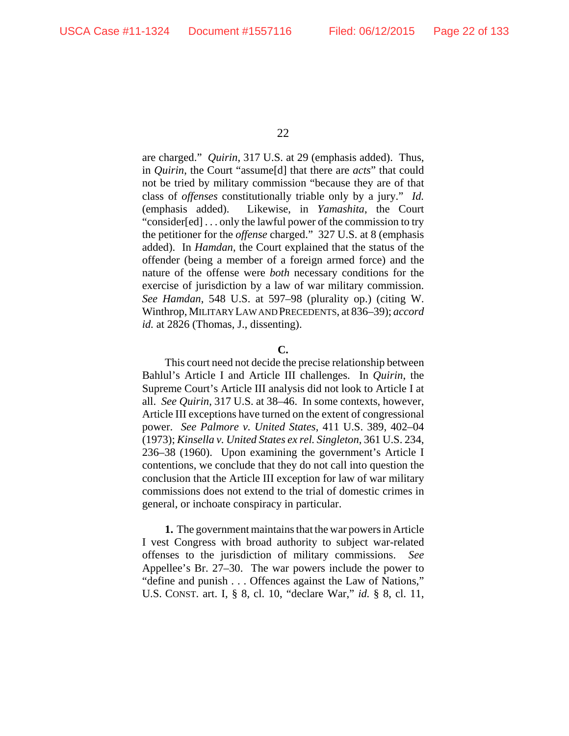are charged." *Quirin*, 317 U.S. at 29 (emphasis added). Thus, in *Quirin*, the Court "assume[d] that there are *acts*" that could not be tried by military commission "because they are of that class of *offenses* constitutionally triable only by a jury." *Id.* (emphasis added). Likewise, in *Yamashita*, the Court "consider[ed] . . . only the lawful power of the commission to try the petitioner for the *offense* charged." 327 U.S. at 8 (emphasis added). In *Hamdan*, the Court explained that the status of the offender (being a member of a foreign armed force) and the nature of the offense were *both* necessary conditions for the exercise of jurisdiction by a law of war military commission. *See Hamdan*, 548 U.S. at 597–98 (plurality op.) (citing W. Winthrop, MILITARY LAW AND PRECEDENTS, at 836–39); *accord* id. at 2826 (Thomas, J., dissenting).

#### **C.**

This court need not decide the precise relationship between Bahlul's Article I and Article III challenges. In *Quirin*, the Supreme Court's Article III analysis did not look to Article I at all. *See Quirin*, 317 U.S. at 38–46. In some contexts, however, Article III exceptions have turned on the extent of congressional power. *See Palmore v. United States*, 411 U.S. 389, 402–04 (1973); *Kinsella v. United States ex rel. Singleton*, 361 U.S. 234, 236–38 (1960).Upon examining the government's Article I contentions, we conclude that they do not call into question the conclusion that the Article III exception for law of war military commissions does not extend to the trial of domestic crimes in general, or inchoate conspiracy in particular.

**1.** The government maintains that the war powers in Article I vest Congress with broad authority to subject war-related offenses to the jurisdiction of military commissions. *See* Appellee's Br. 27–30. The war powers include the power to "define and punish . . . Offences against the Law of Nations," U.S. CONST. art. I, § 8, cl. 10, "declare War," *id.* § 8, cl. 11,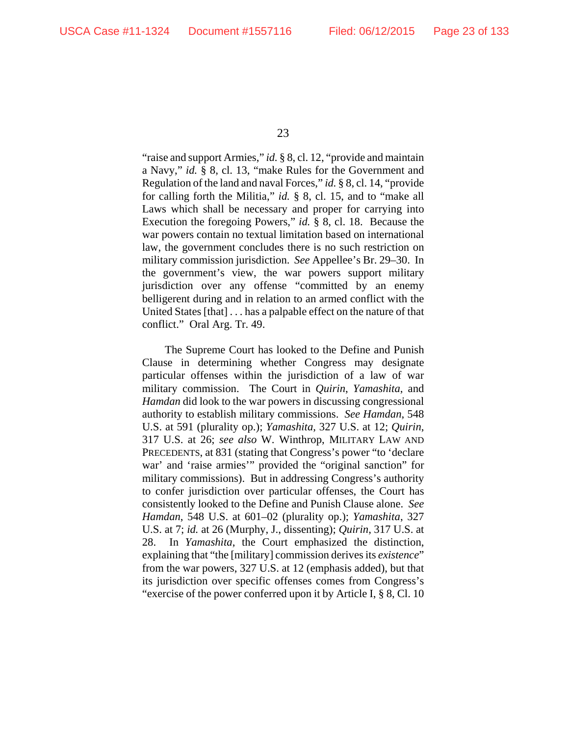"raise and support Armies," *id.* § 8, cl. 12, "provide and maintain a Navy," *id.* § 8, cl. 13, "make Rules for the Government and Regulation of the land and naval Forces," *id.* § 8, cl. 14, "provide for calling forth the Militia," *id.* § 8, cl. 15, and to "make all Laws which shall be necessary and proper for carrying into Execution the foregoing Powers," *id.* § 8, cl. 18. Because the war powers contain no textual limitation based on international law, the government concludes there is no such restriction on military commission jurisdiction. *See* Appellee's Br. 29–30. In the government's view, the war powers support military jurisdiction over any offense "committed by an enemy belligerent during and in relation to an armed conflict with the United States [that] . . . has a palpable effect on the nature of that conflict." Oral Arg. Tr. 49.

The Supreme Court has looked to the Define and Punish Clause in determining whether Congress may designate particular offenses within the jurisdiction of a law of war military commission. The Court in *Quirin*, *Yamashita*, and *Hamdan* did look to the war powers in discussing congressional authority to establish military commissions. *See Hamdan*, 548 U.S. at 591 (plurality op.); *Yamashita*, 327 U.S. at 12; *Quirin*, 317 U.S. at 26; *see also* W. Winthrop, MILITARY LAW AND PRECEDENTS, at 831 (stating that Congress's power "to 'declare war' and 'raise armies'" provided the "original sanction" for military commissions). But in addressing Congress's authority to confer jurisdiction over particular offenses, the Court has consistently looked to the Define and Punish Clause alone. *See Hamdan*, 548 U.S. at 601–02 (plurality op.); *Yamashita*, 327 U.S. at 7; *id.* at 26 (Murphy, J., dissenting); *Quirin*, 317 U.S. at 28. In *Yamashita*, the Court emphasized the distinction, explaining that "the [military] commission derives its *existence*" from the war powers, 327 U.S. at 12 (emphasis added), but that its jurisdiction over specific offenses comes from Congress's "exercise of the power conferred upon it by Article I, § 8, Cl. 10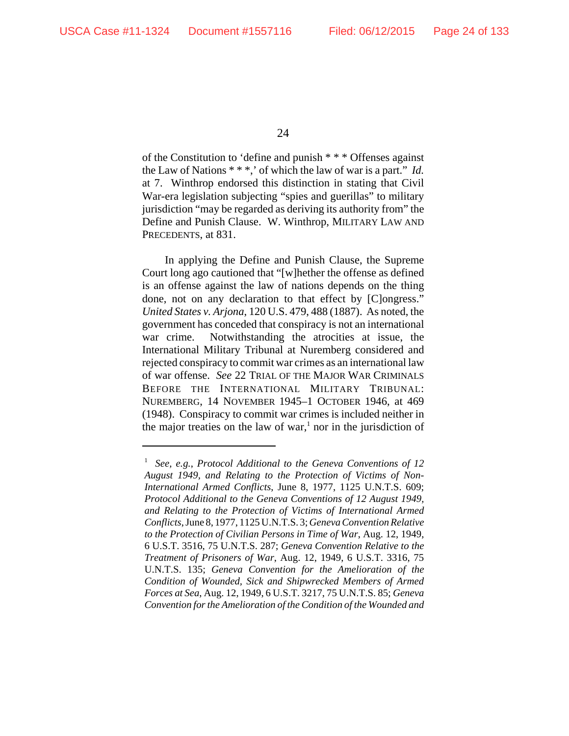of the Constitution to 'define and punish \* \* \* Offenses against the Law of Nations \* \* \*,' of which the law of war is a part." *Id.* at 7. Winthrop endorsed this distinction in stating that Civil War-era legislation subjecting "spies and guerillas" to military jurisdiction "may be regarded as deriving its authority from" the Define and Punish Clause. W. Winthrop, MILITARY LAW AND PRECEDENTS, at 831.

In applying the Define and Punish Clause, the Supreme Court long ago cautioned that "[w]hether the offense as defined is an offense against the law of nations depends on the thing done, not on any declaration to that effect by [C]ongress." *United States v. Arjona*, 120 U.S. 479, 488 (1887). As noted, the government has conceded that conspiracy is not an international war crime. Notwithstanding the atrocities at issue, the International Military Tribunal at Nuremberg considered and rejected conspiracy to commit war crimes as an international law of war offense. *See* 22 TRIAL OF THE MAJOR WAR CRIMINALS BEFORE THE INTERNATIONAL MILITARY TRIBUNAL: NUREMBERG, 14 NOVEMBER 1945–1 OCTOBER 1946, at 469 (1948). Conspiracy to commit war crimes is included neither in the major treaties on the law of war,<sup>1</sup> nor in the jurisdiction of

<sup>1</sup> *See, e.g.*, *Protocol Additional to the Geneva Conventions of 12 August 1949, and Relating to the Protection of Victims of Non-International Armed Conflicts*, June 8, 1977, 1125 U.N.T.S. 609; *Protocol Additional to the Geneva Conventions of 12 August 1949, and Relating to the Protection of Victims of International Armed Conflicts*, June 8, 1977, 1125 U.N.T.S. 3; *Geneva Convention Relative to the Protection of Civilian Persons in Time of War*, Aug. 12, 1949, 6 U.S.T. 3516, 75 U.N.T.S. 287; *Geneva Convention Relative to the Treatment of Prisoners of War*, Aug. 12, 1949, 6 U.S.T. 3316, 75 U.N.T.S. 135; *Geneva Convention for the Amelioration of the Condition of Wounded, Sick and Shipwrecked Members of Armed Forces at Sea*, Aug. 12, 1949, 6 U.S.T. 3217, 75 U.N.T.S. 85; *Geneva Convention for the Amelioration of the Condition of the Wounded and*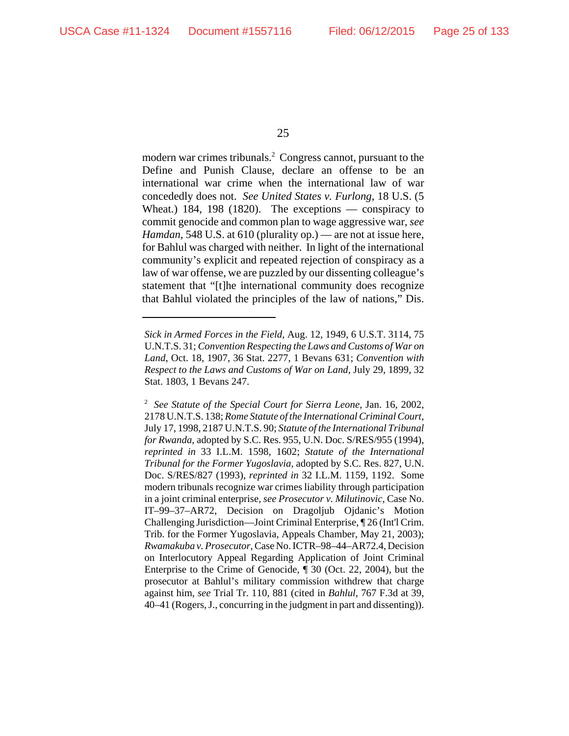modern war crimes tribunals.<sup>2</sup> Congress cannot, pursuant to the Define and Punish Clause, declare an offense to be an international war crime when the international law of war concededly does not. *See United States v. Furlong*, 18 U.S. (5 Wheat.) 184, 198 (1820). The exceptions — conspiracy to commit genocide and common plan to wage aggressive war, *see Hamdan*, 548 U.S. at 610 (plurality op.) — are not at issue here, for Bahlul was charged with neither. In light of the international community's explicit and repeated rejection of conspiracy as a law of war offense, we are puzzled by our dissenting colleague's statement that "[t]he international community does recognize that Bahlul violated the principles of the law of nations," Dis.

*Sick in Armed Forces in the Field*, Aug. 12, 1949, 6 U.S.T. 3114, 75 U.N.T.S. 31; *Convention Respecting the Laws and Customs of War on Land*, Oct. 18, 1907, 36 Stat. 2277, 1 Bevans 631; *Convention with Respect to the Laws and Customs of War on Land*, July 29, 1899, 32 Stat. 1803, 1 Bevans 247.

<sup>2</sup> *See Statute of the Special Court for Sierra Leone*, Jan. 16, 2002, 2178 U.N.T.S. 138; *Rome Statute of the International Criminal Court*, July 17, 1998, 2187 U.N.T.S. 90; *Statute of the International Tribunal for Rwanda*, adopted by S.C. Res. 955, U.N. Doc. S/RES/955 (1994), *reprinted in* 33 I.L.M. 1598, 1602; *Statute of the International Tribunal for the Former Yugoslavia*, adopted by S.C. Res. 827, U.N. Doc. S/RES/827 (1993), *reprinted in* 32 I.L.M. 1159, 1192. Some modern tribunals recognize war crimes liability through participation in a joint criminal enterprise, *see Prosecutor v. Milutinovic*, Case No. IT–99–37–AR72, Decision on Dragoljub Ojdanic's Motion Challenging Jurisdiction—Joint Criminal Enterprise, ¶ 26 (Int'l Crim. Trib. for the Former Yugoslavia, Appeals Chamber, May 21, 2003); *Rwamakuba v. Prosecutor*, Case No. ICTR–98–44–AR72.4, Decision on Interlocutory Appeal Regarding Application of Joint Criminal Enterprise to the Crime of Genocide, ¶ 30 (Oct. 22, 2004), but the prosecutor at Bahlul's military commission withdrew that charge against him, *see* Trial Tr. 110, 881 (cited in *Bahlul*, 767 F.3d at 39, 40–41 (Rogers, J., concurring in the judgment in part and dissenting)).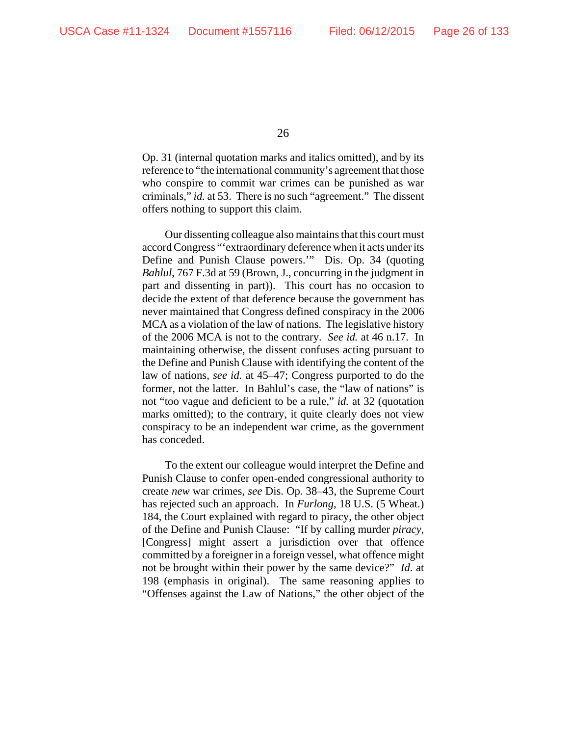Op. 31 (internal quotation marks and italics omitted), and by its reference to "the international community's agreement that those who conspire to commit war crimes can be punished as war criminals," *id.* at 53. There is no such "agreement." The dissent offers nothing to support this claim.

Our dissenting colleague also maintains that this court must accord Congress "'extraordinary deference when it acts under its Define and Punish Clause powers.'" Dis. Op. 34 (quoting *Bahlul*, 767 F.3d at 59 (Brown, J., concurring in the judgment in part and dissenting in part)). This court has no occasion to decide the extent of that deference because the government has never maintained that Congress defined conspiracy in the 2006 MCA as a violation of the law of nations. The legislative history of the 2006 MCA is not to the contrary. *See id.* at 46 n.17. In maintaining otherwise, the dissent confuses acting pursuant to the Define and Punish Clause with identifying the content of the law of nations, *see id.* at 45–47; Congress purported to do the former, not the latter. In Bahlul's case, the "law of nations" is not "too vague and deficient to be a rule," *id.* at 32 (quotation marks omitted); to the contrary, it quite clearly does not view conspiracy to be an independent war crime, as the government has conceded.

To the extent our colleague would interpret the Define and Punish Clause to confer open-ended congressional authority to create *new* war crimes, *see* Dis. Op. 38–43, the Supreme Court has rejected such an approach. In *Furlong*, 18 U.S. (5 Wheat.) 184, the Court explained with regard to piracy, the other object of the Define and Punish Clause: "If by calling murder *piracy*, [Congress] might assert a jurisdiction over that offence committed by a foreigner in a foreign vessel, what offence might not be brought within their power by the same device?" *Id*. at 198 (emphasis in original). The same reasoning applies to "Offenses against the Law of Nations," the other object of the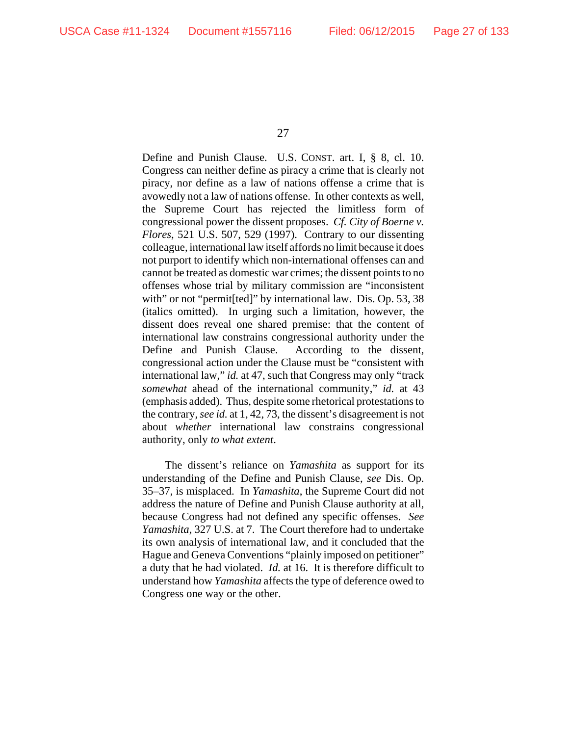Define and Punish Clause. U.S. CONST. art. I, § 8, cl. 10. Congress can neither define as piracy a crime that is clearly not piracy, nor define as a law of nations offense a crime that is avowedly not a law of nations offense. In other contexts as well, the Supreme Court has rejected the limitless form of congressional power the dissent proposes. *Cf. City of Boerne v. Flores*, 521 U.S. 507, 529 (1997). Contrary to our dissenting colleague, international law itself affords no limit because it does not purport to identify which non-international offenses can and cannot be treated as domestic war crimes; the dissent points to no offenses whose trial by military commission are "inconsistent with" or not "permit[ted]" by international law. Dis. Op. 53, 38 (italics omitted). In urging such a limitation, however, the dissent does reveal one shared premise: that the content of international law constrains congressional authority under the Define and Punish Clause. According to the dissent, congressional action under the Clause must be "consistent with international law," *id.* at 47, such that Congress may only "track *somewhat* ahead of the international community," *id.* at 43 (emphasis added). Thus, despite some rhetorical protestations to the contrary, *see id.* at 1, 42, 73, the dissent's disagreement is not about *whether* international law constrains congressional authority, only *to what extent*.

The dissent's reliance on *Yamashita* as support for its understanding of the Define and Punish Clause, *see* Dis. Op. 35–37, is misplaced. In *Yamashita*, the Supreme Court did not address the nature of Define and Punish Clause authority at all, because Congress had not defined any specific offenses. *See Yamashita*, 327 U.S. at 7. The Court therefore had to undertake its own analysis of international law, and it concluded that the Hague and Geneva Conventions "plainly imposed on petitioner" a duty that he had violated. *Id.* at 16. It is therefore difficult to understand how *Yamashita* affects the type of deference owed to Congress one way or the other.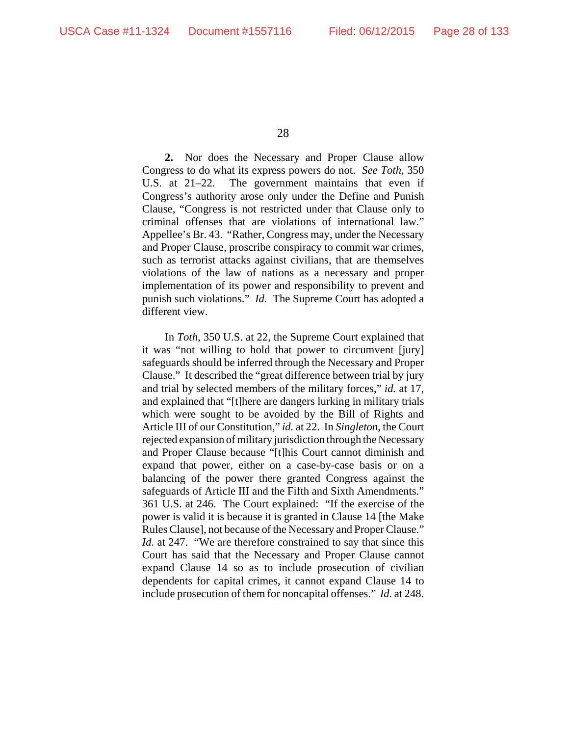**2.** Nor does the Necessary and Proper Clause allow Congress to do what its express powers do not. *See Toth*, 350 U.S. at 21–22. The government maintains that even if Congress's authority arose only under the Define and Punish Clause, "Congress is not restricted under that Clause only to criminal offenses that are violations of international law." Appellee's Br. 43. "Rather, Congress may, under the Necessary and Proper Clause, proscribe conspiracy to commit war crimes, such as terrorist attacks against civilians, that are themselves violations of the law of nations as a necessary and proper implementation of its power and responsibility to prevent and punish such violations." *Id.* The Supreme Court has adopted a different view.

In *Toth*, 350 U.S. at 22, the Supreme Court explained that it was "not willing to hold that power to circumvent [jury] safeguards should be inferred through the Necessary and Proper Clause." It described the "great difference between trial by jury and trial by selected members of the military forces," *id.* at 17, and explained that "[t]here are dangers lurking in military trials which were sought to be avoided by the Bill of Rights and Article III of our Constitution," *id.* at 22. In *Singleton*, the Court rejected expansion of military jurisdiction through the Necessary and Proper Clause because "[t]his Court cannot diminish and expand that power, either on a case-by-case basis or on a balancing of the power there granted Congress against the safeguards of Article III and the Fifth and Sixth Amendments." 361 U.S. at 246. The Court explained: "If the exercise of the power is valid it is because it is granted in Clause 14 [the Make Rules Clause], not because of the Necessary and Proper Clause." *Id.* at 247. "We are therefore constrained to say that since this Court has said that the Necessary and Proper Clause cannot expand Clause 14 so as to include prosecution of civilian dependents for capital crimes, it cannot expand Clause 14 to include prosecution of them for noncapital offenses." *Id.* at 248.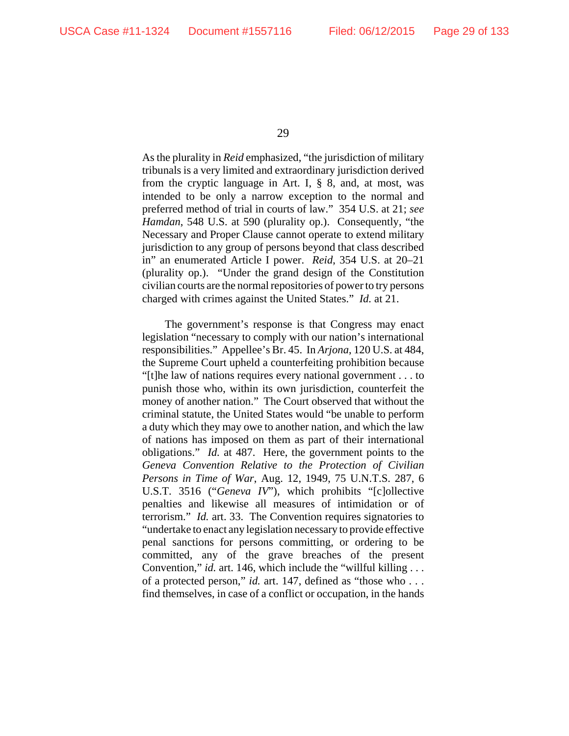As the plurality in *Reid* emphasized, "the jurisdiction of military tribunals is a very limited and extraordinary jurisdiction derived from the cryptic language in Art. I, § 8, and, at most, was intended to be only a narrow exception to the normal and preferred method of trial in courts of law." 354 U.S. at 21; *see Hamdan*, 548 U.S. at 590 (plurality op.). Consequently, "the Necessary and Proper Clause cannot operate to extend military jurisdiction to any group of persons beyond that class described in" an enumerated Article I power. *Reid*, 354 U.S. at 20–21 (plurality op.). "Under the grand design of the Constitution civilian courts are the normal repositories of power to try persons charged with crimes against the United States." *Id.* at 21.

The government's response is that Congress may enact legislation "necessary to comply with our nation's international responsibilities." Appellee's Br. 45. In *Arjona*, 120 U.S. at 484, the Supreme Court upheld a counterfeiting prohibition because "[t]he law of nations requires every national government . . . to punish those who, within its own jurisdiction, counterfeit the money of another nation." The Court observed that without the criminal statute, the United States would "be unable to perform a duty which they may owe to another nation, and which the law of nations has imposed on them as part of their international obligations." *Id.* at 487. Here, the government points to the *Geneva Convention Relative to the Protection of Civilian Persons in Time of War*, Aug. 12, 1949, 75 U.N.T.S. 287, 6 U.S.T. 3516 ("*Geneva IV*"), which prohibits "[c]ollective penalties and likewise all measures of intimidation or of terrorism." *Id.* art. 33. The Convention requires signatories to "undertake to enact any legislation necessary to provide effective penal sanctions for persons committing, or ordering to be committed, any of the grave breaches of the present Convention," *id.* art. 146, which include the "willful killing . . . of a protected person," *id.* art. 147, defined as "those who . . . find themselves, in case of a conflict or occupation, in the hands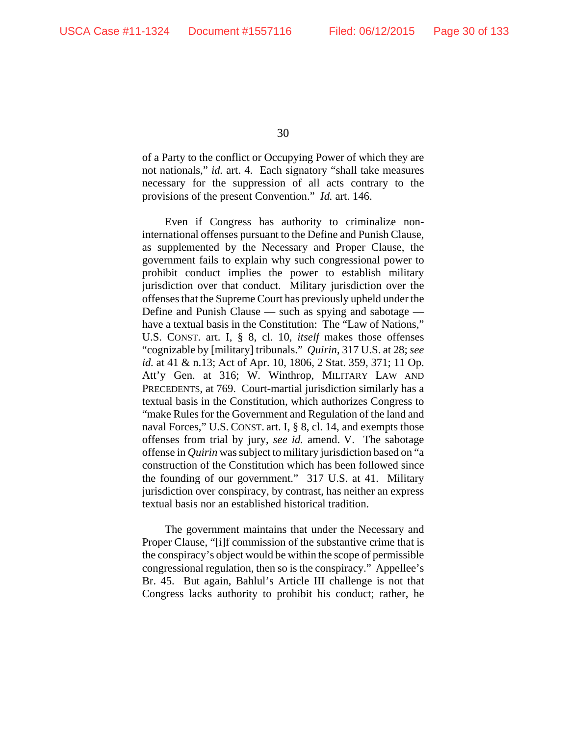of a Party to the conflict or Occupying Power of which they are not nationals," *id.* art. 4. Each signatory "shall take measures necessary for the suppression of all acts contrary to the provisions of the present Convention." *Id.* art. 146.

Even if Congress has authority to criminalize noninternational offenses pursuant to the Define and Punish Clause, as supplemented by the Necessary and Proper Clause, the government fails to explain why such congressional power to prohibit conduct implies the power to establish military jurisdiction over that conduct. Military jurisdiction over the offenses that the Supreme Court has previously upheld under the Define and Punish Clause — such as spying and sabotage have a textual basis in the Constitution: The "Law of Nations," U.S. CONST. art. I, § 8, cl. 10, *itself* makes those offenses "cognizable by [military] tribunals." *Quirin*, 317 U.S. at 28; *see id.* at 41 & n.13; Act of Apr. 10, 1806, 2 Stat. 359, 371; 11 Op. Att'y Gen. at 316; W. Winthrop, MILITARY LAW AND PRECEDENTS, at 769. Court-martial jurisdiction similarly has a textual basis in the Constitution, which authorizes Congress to "make Rules for the Government and Regulation of the land and naval Forces," U.S. CONST. art. I, § 8, cl. 14, and exempts those offenses from trial by jury, *see id.* amend. V. The sabotage offense in *Quirin* was subject to military jurisdiction based on "a construction of the Constitution which has been followed since the founding of our government." 317 U.S. at 41. Military jurisdiction over conspiracy, by contrast, has neither an express textual basis nor an established historical tradition.

The government maintains that under the Necessary and Proper Clause, "[i]f commission of the substantive crime that is the conspiracy's object would be within the scope of permissible congressional regulation, then so is the conspiracy." Appellee's Br. 45. But again, Bahlul's Article III challenge is not that Congress lacks authority to prohibit his conduct; rather, he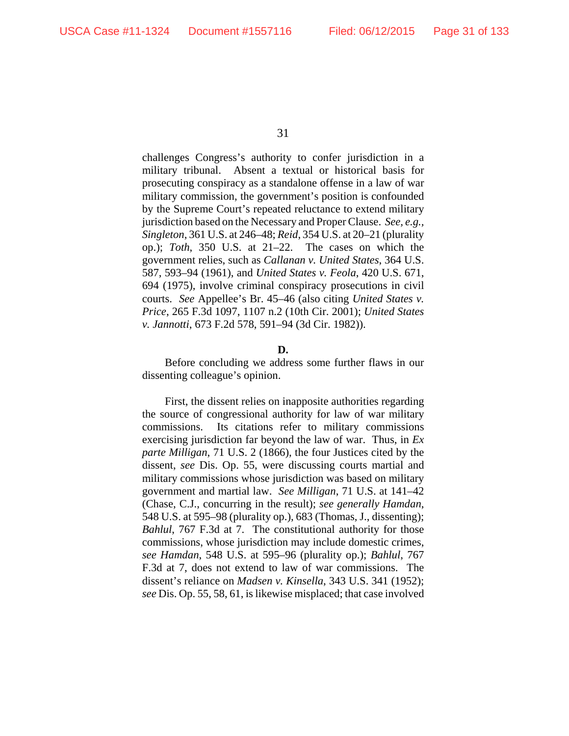challenges Congress's authority to confer jurisdiction in a military tribunal. Absent a textual or historical basis for prosecuting conspiracy as a standalone offense in a law of war military commission, the government's position is confounded by the Supreme Court's repeated reluctance to extend military jurisdiction based on the Necessary and Proper Clause. *See, e.g., Singleton*, 361 U.S. at 246–48; *Reid*, 354 U.S. at 20–21 (plurality op.); *Toth*, 350 U.S. at 21–22. The cases on which the government relies, such as *Callanan v. United States*, 364 U.S. 587, 593–94 (1961), and *United States v. Feola*, 420 U.S. 671, 694 (1975), involve criminal conspiracy prosecutions in civil courts. *See* Appellee's Br. 45–46 (also citing *United States v. Price*, 265 F.3d 1097, 1107 n.2 (10th Cir. 2001); *United States v. Jannotti*, 673 F.2d 578, 591–94 (3d Cir. 1982)).

#### **D.**

Before concluding we address some further flaws in our dissenting colleague's opinion.

First, the dissent relies on inapposite authorities regarding the source of congressional authority for law of war military commissions. Its citations refer to military commissions exercising jurisdiction far beyond the law of war. Thus, in *Ex parte Milligan*, 71 U.S. 2 (1866), the four Justices cited by the dissent, *see* Dis. Op. 55, were discussing courts martial and military commissions whose jurisdiction was based on military government and martial law. *See Milligan*, 71 U.S. at 141–42 (Chase, C.J., concurring in the result); *see generally Hamdan*, 548 U.S. at 595–98 (plurality op.), 683 (Thomas, J., dissenting); *Bahlul*, 767 F.3d at 7. The constitutional authority for those commissions, whose jurisdiction may include domestic crimes, *see Hamdan*, 548 U.S. at 595–96 (plurality op.); *Bahlul*, 767 F.3d at 7, does not extend to law of war commissions. The dissent's reliance on *Madsen v. Kinsella*, 343 U.S. 341 (1952); *see* Dis. Op. 55, 58, 61, is likewise misplaced; that case involved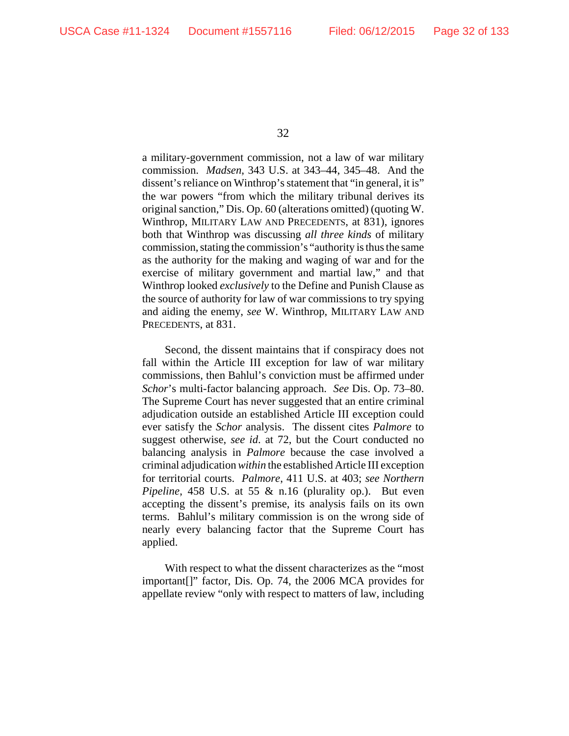a military-government commission, not a law of war military commission. *Madsen*, 343 U.S. at 343–44, 345–48. And the dissent's reliance on Winthrop's statement that "in general, it is" the war powers "from which the military tribunal derives its original sanction," Dis. Op. 60 (alterations omitted) (quoting W. Winthrop, MILITARY LAW AND PRECEDENTS, at 831), ignores both that Winthrop was discussing *all three kinds* of military commission, stating the commission's "authority is thus the same as the authority for the making and waging of war and for the exercise of military government and martial law," and that Winthrop looked *exclusively* to the Define and Punish Clause as the source of authority for law of war commissions to try spying and aiding the enemy, *see* W. Winthrop, MILITARY LAW AND PRECEDENTS, at 831.

Second, the dissent maintains that if conspiracy does not fall within the Article III exception for law of war military commissions, then Bahlul's conviction must be affirmed under *Schor*'s multi-factor balancing approach. *See* Dis. Op. 73–80. The Supreme Court has never suggested that an entire criminal adjudication outside an established Article III exception could ever satisfy the *Schor* analysis. The dissent cites *Palmore* to suggest otherwise, *see id*. at 72, but the Court conducted no balancing analysis in *Palmore* because the case involved a criminal adjudication *within* the established Article III exception for territorial courts. *Palmore*, 411 U.S. at 403; *see Northern Pipeline*, 458 U.S. at 55 & n.16 (plurality op.). But even accepting the dissent's premise, its analysis fails on its own terms. Bahlul's military commission is on the wrong side of nearly every balancing factor that the Supreme Court has applied.

With respect to what the dissent characterizes as the "most important[]" factor, Dis. Op. 74, the 2006 MCA provides for appellate review "only with respect to matters of law, including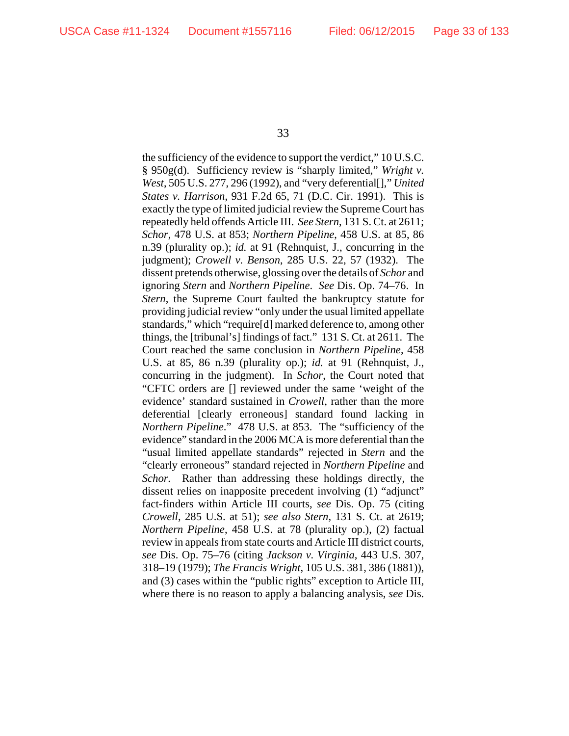the sufficiency of the evidence to support the verdict," 10 U.S.C. § 950g(d). Sufficiency review is "sharply limited," *Wright v. West*, 505 U.S. 277, 296 (1992), and "very deferential[]," *United States v. Harrison*, 931 F.2d 65, 71 (D.C. Cir. 1991). This is exactly the type of limited judicial review the Supreme Court has repeatedly held offends Article III. *See Stern*, 131 S. Ct. at 2611; *Schor*, 478 U.S. at 853; *Northern Pipeline*, 458 U.S. at 85, 86 n.39 (plurality op.); *id.* at 91 (Rehnquist, J., concurring in the judgment); *Crowell v. Benson*, 285 U.S. 22, 57 (1932). The dissent pretends otherwise, glossing over the details of *Schor* and ignoring *Stern* and *Northern Pipeline*. *See* Dis. Op. 74–76. In *Stern*, the Supreme Court faulted the bankruptcy statute for providing judicial review "only under the usual limited appellate standards," which "require[d] marked deference to, among other things, the [tribunal's] findings of fact." 131 S. Ct. at 2611. The Court reached the same conclusion in *Northern Pipeline*, 458 U.S. at 85, 86 n.39 (plurality op.); *id.* at 91 (Rehnquist, J., concurring in the judgment). In *Schor*, the Court noted that "CFTC orders are [] reviewed under the same 'weight of the evidence' standard sustained in *Crowell*, rather than the more deferential [clearly erroneous] standard found lacking in *Northern Pipeline*." 478 U.S. at 853. The "sufficiency of the evidence" standard in the 2006 MCA is more deferential than the "usual limited appellate standards" rejected in *Stern* and the "clearly erroneous" standard rejected in *Northern Pipeline* and *Schor.* Rather than addressing these holdings directly, the dissent relies on inapposite precedent involving (1) "adjunct" fact-finders within Article III courts, *see* Dis. Op. 75 (citing *Crowell*, 285 U.S. at 51); *see also Stern*, 131 S. Ct. at 2619; *Northern Pipeline*, 458 U.S. at 78 (plurality op.), (2) factual review in appeals from state courts and Article III district courts, *see* Dis. Op. 75–76 (citing *Jackson v. Virginia*, 443 U.S. 307, 318–19 (1979); *The Francis Wright*, 105 U.S. 381, 386 (1881)), and (3) cases within the "public rights" exception to Article III, where there is no reason to apply a balancing analysis, *see* Dis.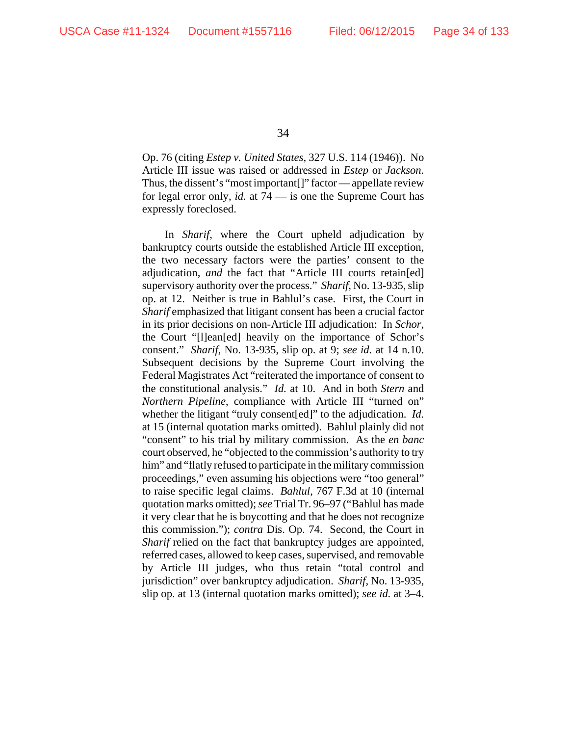Op. 76 (citing *Estep v. United States*, 327 U.S. 114 (1946)). No Article III issue was raised or addressed in *Estep* or *Jackson*. Thus, the dissent's "most important[]" factor — appellate review for legal error only, *id.* at 74 — is one the Supreme Court has expressly foreclosed.

In *Sharif*, where the Court upheld adjudication by bankruptcy courts outside the established Article III exception, the two necessary factors were the parties' consent to the adjudication, *and* the fact that "Article III courts retain[ed] supervisory authority over the process." *Sharif*, No. 13-935, slip op. at 12. Neither is true in Bahlul's case. First, the Court in *Sharif* emphasized that litigant consent has been a crucial factor in its prior decisions on non-Article III adjudication: In *Schor*, the Court "[l]ean[ed] heavily on the importance of Schor's consent." *Sharif*, No. 13-935, slip op. at 9; *see id.* at 14 n.10. Subsequent decisions by the Supreme Court involving the Federal Magistrates Act "reiterated the importance of consent to the constitutional analysis." *Id.* at 10. And in both *Stern* and *Northern Pipeline*, compliance with Article III "turned on" whether the litigant "truly consent[ed]" to the adjudication. *Id.* at 15 (internal quotation marks omitted). Bahlul plainly did not "consent" to his trial by military commission. As the *en banc* court observed, he "objected to the commission's authority to try him" and "flatly refused to participate in the military commission proceedings," even assuming his objections were "too general" to raise specific legal claims. *Bahlul*, 767 F.3d at 10 (internal quotation marks omitted); *see* Trial Tr. 96–97 ("Bahlul has made it very clear that he is boycotting and that he does not recognize this commission."); *contra* Dis. Op. 74. Second, the Court in *Sharif* relied on the fact that bankruptcy judges are appointed, referred cases, allowed to keep cases, supervised, and removable by Article III judges, who thus retain "total control and jurisdiction" over bankruptcy adjudication. *Sharif*, No. 13-935, slip op. at 13 (internal quotation marks omitted); *see id.* at 3–4.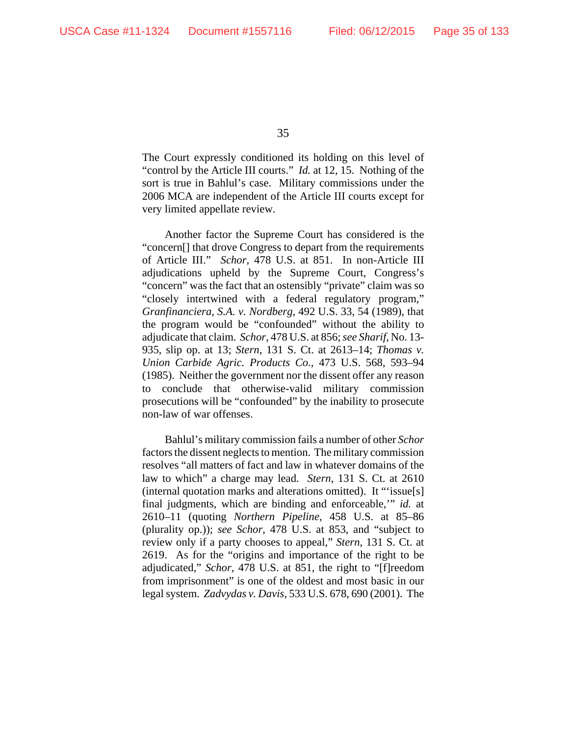The Court expressly conditioned its holding on this level of "control by the Article III courts." *Id.* at 12, 15. Nothing of the sort is true in Bahlul's case. Military commissions under the 2006 MCA are independent of the Article III courts except for very limited appellate review.

Another factor the Supreme Court has considered is the "concern[] that drove Congress to depart from the requirements of Article III." *Schor*, 478 U.S. at 851. In non-Article III adjudications upheld by the Supreme Court, Congress's "concern" was the fact that an ostensibly "private" claim was so "closely intertwined with a federal regulatory program," *Granfinanciera, S.A. v. Nordberg*, 492 U.S. 33, 54 (1989), that the program would be "confounded" without the ability to adjudicate that claim. *Schor*, 478 U.S. at 856; *see Sharif*, No. 13- 935, slip op. at 13; *Stern*, 131 S. Ct. at 2613–14; *Thomas v. Union Carbide Agric. Products Co.*, 473 U.S. 568, 593–94 (1985). Neither the government nor the dissent offer any reason to conclude that otherwise-valid military commission prosecutions will be "confounded" by the inability to prosecute non-law of war offenses.

Bahlul's military commission fails a number of other *Schor* factors the dissent neglects to mention. The military commission resolves "all matters of fact and law in whatever domains of the law to which" a charge may lead. *Stern*, 131 S. Ct. at 2610 (internal quotation marks and alterations omitted). It "'issue[s] final judgments, which are binding and enforceable,'" *id.* at 2610–11 (quoting *Northern Pipeline*, 458 U.S. at 85–86 (plurality op.)); *see Schor*, 478 U.S. at 853, and "subject to review only if a party chooses to appeal," *Stern*, 131 S. Ct. at 2619. As for the "origins and importance of the right to be adjudicated," *Schor*, 478 U.S. at 851, the right to "[f]reedom from imprisonment" is one of the oldest and most basic in our legal system. *Zadvydas v. Davis*, 533 U.S. 678, 690 (2001). The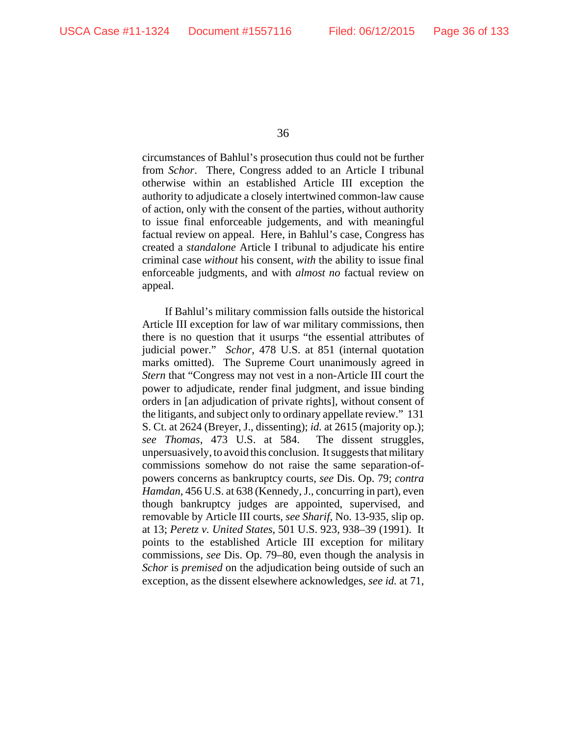circumstances of Bahlul's prosecution thus could not be further from *Schor*. There, Congress added to an Article I tribunal otherwise within an established Article III exception the authority to adjudicate a closely intertwined common-law cause of action, only with the consent of the parties, without authority to issue final enforceable judgements, and with meaningful factual review on appeal. Here, in Bahlul's case, Congress has created a *standalone* Article I tribunal to adjudicate his entire criminal case *without* his consent, *with* the ability to issue final enforceable judgments, and with *almost no* factual review on appeal.

If Bahlul's military commission falls outside the historical Article III exception for law of war military commissions, then there is no question that it usurps "the essential attributes of judicial power." *Schor*, 478 U.S. at 851 (internal quotation marks omitted). The Supreme Court unanimously agreed in *Stern* that "Congress may not vest in a non-Article III court the power to adjudicate, render final judgment, and issue binding orders in [an adjudication of private rights], without consent of the litigants, and subject only to ordinary appellate review." 131 S. Ct. at 2624 (Breyer, J., dissenting); *id.* at 2615 (majority op.); *see Thomas*, 473 U.S. at 584. The dissent struggles, unpersuasively, to avoid this conclusion. It suggests that military commissions somehow do not raise the same separation-ofpowers concerns as bankruptcy courts, *see* Dis. Op. 79; *contra Hamdan*, 456 U.S. at 638 (Kennedy, J., concurring in part), even though bankruptcy judges are appointed, supervised, and removable by Article III courts, *see Sharif*, No. 13-935, slip op. at 13; *Peretz v. United States*, 501 U.S. 923, 938–39 (1991). It points to the established Article III exception for military commissions, *see* Dis. Op. 79–80, even though the analysis in *Schor* is *premised* on the adjudication being outside of such an exception, as the dissent elsewhere acknowledges, *see id.* at 71,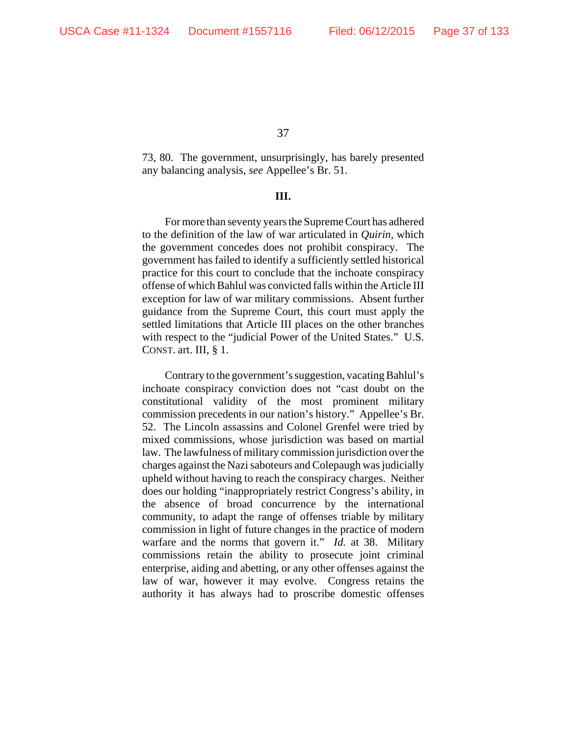73, 80. The government, unsurprisingly, has barely presented any balancing analysis, *see* Appellee's Br. 51.

## **III.**

For more than seventy years the Supreme Court has adhered to the definition of the law of war articulated in *Quirin*, which the government concedes does not prohibit conspiracy. The government has failed to identify a sufficiently settled historical practice for this court to conclude that the inchoate conspiracy offense of which Bahlul was convicted falls within the Article III exception for law of war military commissions. Absent further guidance from the Supreme Court, this court must apply the settled limitations that Article III places on the other branches with respect to the "judicial Power of the United States." U.S. CONST. art. III, § 1.

Contrary to the government's suggestion, vacating Bahlul's inchoate conspiracy conviction does not "cast doubt on the constitutional validity of the most prominent military commission precedents in our nation's history." Appellee's Br. 52. The Lincoln assassins and Colonel Grenfel were tried by mixed commissions, whose jurisdiction was based on martial law. The lawfulness of military commission jurisdiction over the charges against the Nazi saboteurs and Colepaugh was judicially upheld without having to reach the conspiracy charges. Neither does our holding "inappropriately restrict Congress's ability, in the absence of broad concurrence by the international community, to adapt the range of offenses triable by military commission in light of future changes in the practice of modern warfare and the norms that govern it." *Id.* at 38. Military commissions retain the ability to prosecute joint criminal enterprise, aiding and abetting, or any other offenses against the law of war, however it may evolve. Congress retains the authority it has always had to proscribe domestic offenses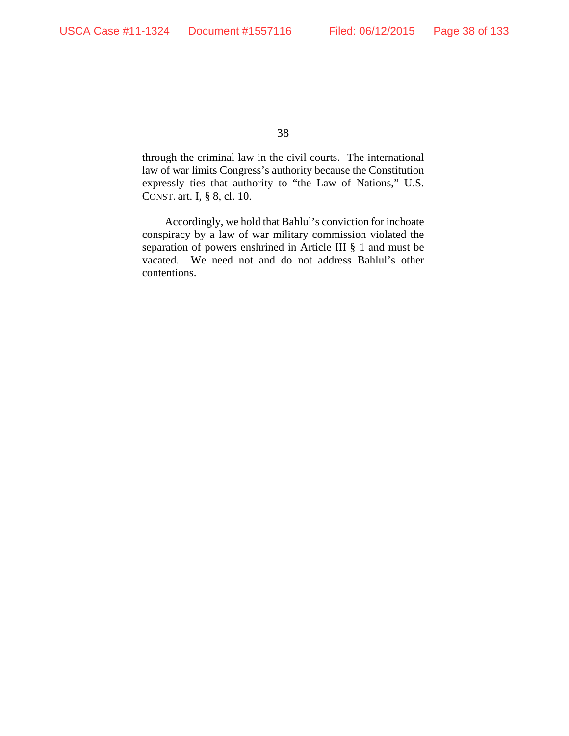through the criminal law in the civil courts. The international law of war limits Congress's authority because the Constitution expressly ties that authority to "the Law of Nations," U.S. CONST. art. I, § 8, cl. 10.

Accordingly, we hold that Bahlul's conviction for inchoate conspiracy by a law of war military commission violated the separation of powers enshrined in Article III § 1 and must be vacated. We need not and do not address Bahlul's other contentions.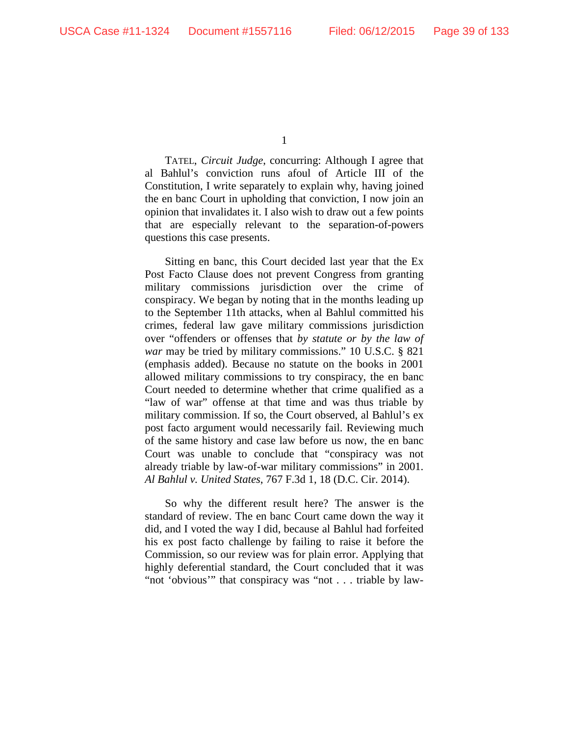TATEL, *Circuit Judge*, concurring: Although I agree that al Bahlul's conviction runs afoul of Article III of the Constitution, I write separately to explain why, having joined the en banc Court in upholding that conviction, I now join an opinion that invalidates it. I also wish to draw out a few points that are especially relevant to the separation-of-powers questions this case presents.

Sitting en banc, this Court decided last year that the Ex Post Facto Clause does not prevent Congress from granting military commissions jurisdiction over the crime of conspiracy. We began by noting that in the months leading up to the September 11th attacks, when al Bahlul committed his crimes, federal law gave military commissions jurisdiction over "offenders or offenses that *by statute or by the law of war* may be tried by military commissions." 10 U.S.C. § 821 (emphasis added). Because no statute on the books in 2001 allowed military commissions to try conspiracy, the en banc Court needed to determine whether that crime qualified as a "law of war" offense at that time and was thus triable by military commission. If so, the Court observed, al Bahlul's ex post facto argument would necessarily fail. Reviewing much of the same history and case law before us now, the en banc Court was unable to conclude that "conspiracy was not already triable by law-of-war military commissions" in 2001. *Al Bahlul v. United States*, 767 F.3d 1, 18 (D.C. Cir. 2014).

So why the different result here? The answer is the standard of review. The en banc Court came down the way it did, and I voted the way I did, because al Bahlul had forfeited his ex post facto challenge by failing to raise it before the Commission, so our review was for plain error. Applying that highly deferential standard, the Court concluded that it was "not 'obvious'" that conspiracy was "not . . . triable by law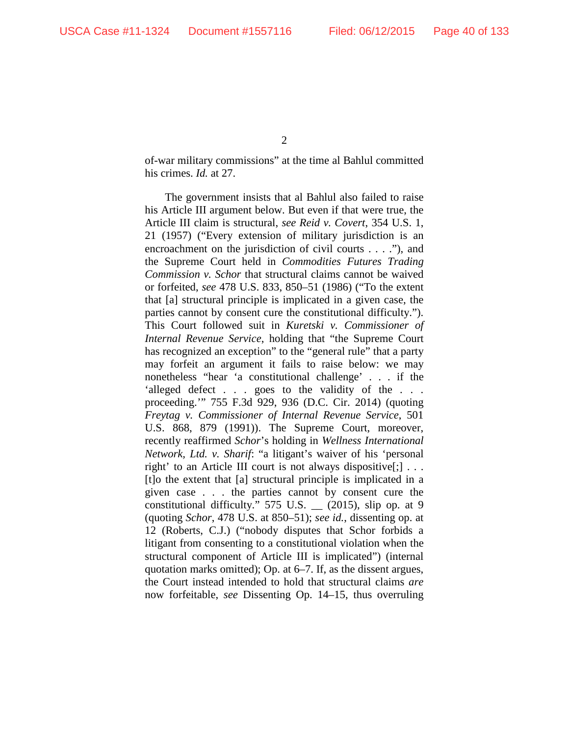$\mathcal{L}$ 

of-war military commissions" at the time al Bahlul committed his crimes. *Id.* at 27.

The government insists that al Bahlul also failed to raise his Article III argument below. But even if that were true, the Article III claim is structural, *see Reid v. Covert*, 354 U.S. 1, 21 (1957) ("Every extension of military jurisdiction is an encroachment on the jurisdiction of civil courts . . . ."), and the Supreme Court held in *Commodities Futures Trading Commission v. Schor* that structural claims cannot be waived or forfeited, *see* 478 U.S. 833, 850–51 (1986) ("To the extent that [a] structural principle is implicated in a given case, the parties cannot by consent cure the constitutional difficulty."). This Court followed suit in *Kuretski v. Commissioner of Internal Revenue Service*, holding that "the Supreme Court has recognized an exception" to the "general rule" that a party may forfeit an argument it fails to raise below: we may nonetheless "hear 'a constitutional challenge' . . . if the 'alleged defect . . . goes to the validity of the . . . proceeding.'" 755 F.3d 929, 936 (D.C. Cir. 2014) (quoting *Freytag v. Commissioner of Internal Revenue Service*, 501 U.S. 868, 879 (1991)). The Supreme Court, moreover, recently reaffirmed *Schor*'s holding in *Wellness International Network, Ltd. v. Sharif*: "a litigant's waiver of his 'personal right' to an Article III court is not always dispositive[;] . . . [t]o the extent that [a] structural principle is implicated in a given case . . . the parties cannot by consent cure the constitutional difficulty."  $575$  U.S.  $\_\_$  (2015), slip op. at 9 (quoting *Schor*, 478 U.S. at 850–51); *see id.*, dissenting op. at 12 (Roberts, C.J.) ("nobody disputes that Schor forbids a litigant from consenting to a constitutional violation when the structural component of Article III is implicated") (internal quotation marks omitted); Op. at 6–7. If, as the dissent argues, the Court instead intended to hold that structural claims *are* now forfeitable, *see* Dissenting Op. 14–15, thus overruling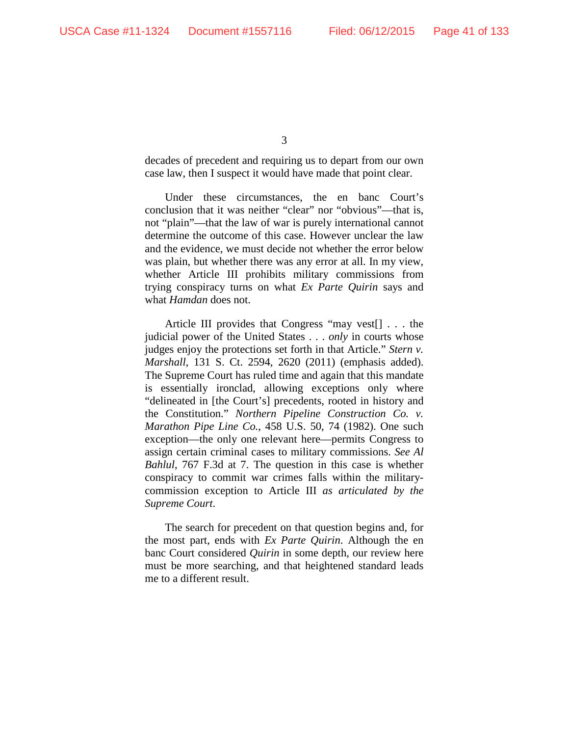decades of precedent and requiring us to depart from our own case law, then I suspect it would have made that point clear.

Under these circumstances, the en banc Court's conclusion that it was neither "clear" nor "obvious"—that is, not "plain"—that the law of war is purely international cannot determine the outcome of this case. However unclear the law and the evidence, we must decide not whether the error below was plain, but whether there was any error at all. In my view, whether Article III prohibits military commissions from trying conspiracy turns on what *Ex Parte Quirin* says and what *Hamdan* does not.

Article III provides that Congress "may vest[] . . . the judicial power of the United States . . . *only* in courts whose judges enjoy the protections set forth in that Article." *Stern v. Marshall*, 131 S. Ct. 2594, 2620 (2011) (emphasis added). The Supreme Court has ruled time and again that this mandate is essentially ironclad, allowing exceptions only where "delineated in [the Court's] precedents, rooted in history and the Constitution." *Northern Pipeline Construction Co. v. Marathon Pipe Line Co.*, 458 U.S. 50, 74 (1982). One such exception—the only one relevant here—permits Congress to assign certain criminal cases to military commissions. *See Al Bahlul*, 767 F.3d at 7. The question in this case is whether conspiracy to commit war crimes falls within the militarycommission exception to Article III *as articulated by the Supreme Court*.

The search for precedent on that question begins and, for the most part, ends with *Ex Parte Quirin*. Although the en banc Court considered *Quirin* in some depth, our review here must be more searching, and that heightened standard leads me to a different result.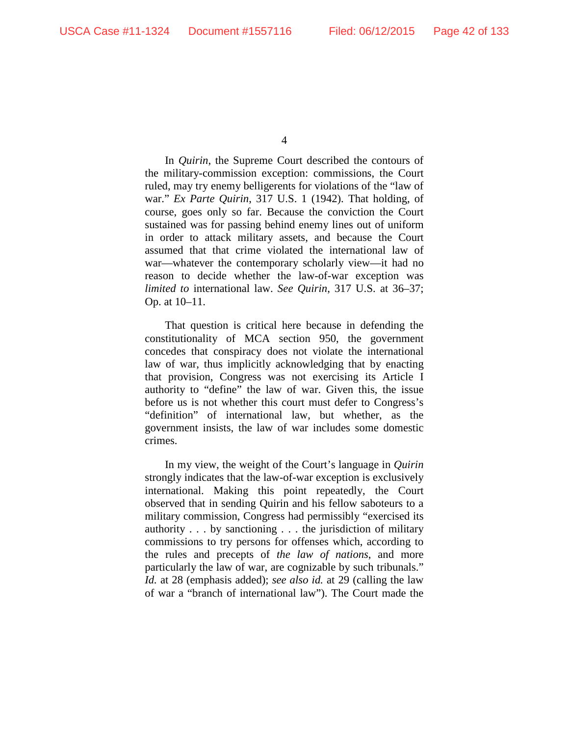In *Quirin*, the Supreme Court described the contours of the military-commission exception: commissions, the Court ruled, may try enemy belligerents for violations of the "law of war." *Ex Parte Quirin*, 317 U.S. 1 (1942). That holding, of course, goes only so far. Because the conviction the Court sustained was for passing behind enemy lines out of uniform in order to attack military assets, and because the Court assumed that that crime violated the international law of war—whatever the contemporary scholarly view—it had no reason to decide whether the law-of-war exception was *limited to* international law. *See Quirin*, 317 U.S. at 36–37; Op. at 10–11.

That question is critical here because in defending the constitutionality of MCA section 950, the government concedes that conspiracy does not violate the international law of war, thus implicitly acknowledging that by enacting that provision, Congress was not exercising its Article I authority to "define" the law of war. Given this, the issue before us is not whether this court must defer to Congress's "definition" of international law, but whether, as the government insists, the law of war includes some domestic crimes.

In my view, the weight of the Court's language in *Quirin*  strongly indicates that the law-of-war exception is exclusively international. Making this point repeatedly, the Court observed that in sending Quirin and his fellow saboteurs to a military commission, Congress had permissibly "exercised its authority . . . by sanctioning . . . the jurisdiction of military commissions to try persons for offenses which, according to the rules and precepts of *the law of nations*, and more particularly the law of war, are cognizable by such tribunals." *Id.* at 28 (emphasis added); *see also id.* at 29 (calling the law of war a "branch of international law"). The Court made the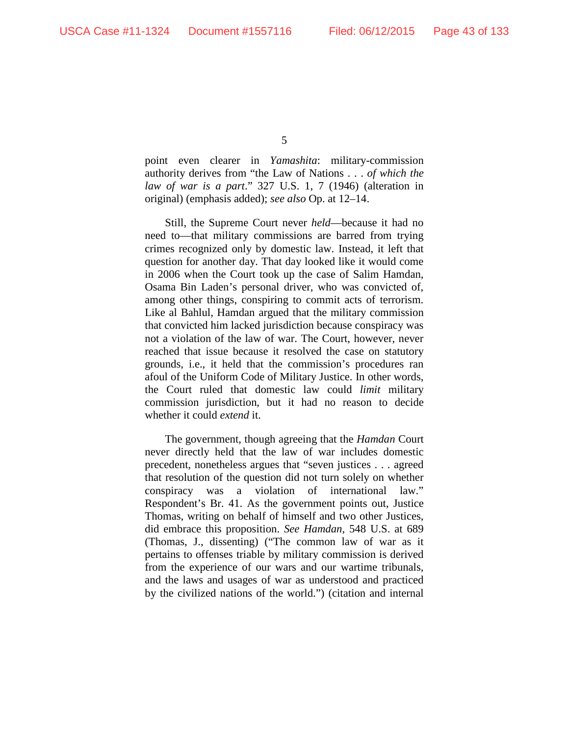point even clearer in *Yamashita*: military-commission authority derives from "the Law of Nations . . . *of which the law of war is a part*." 327 U.S. 1, 7 (1946) (alteration in original) (emphasis added); *see also* Op. at 12–14.

Still, the Supreme Court never *held*—because it had no need to—that military commissions are barred from trying crimes recognized only by domestic law. Instead, it left that question for another day. That day looked like it would come in 2006 when the Court took up the case of Salim Hamdan, Osama Bin Laden's personal driver, who was convicted of, among other things, conspiring to commit acts of terrorism. Like al Bahlul, Hamdan argued that the military commission that convicted him lacked jurisdiction because conspiracy was not a violation of the law of war. The Court, however, never reached that issue because it resolved the case on statutory grounds, i.e., it held that the commission's procedures ran afoul of the Uniform Code of Military Justice. In other words, the Court ruled that domestic law could *limit* military commission jurisdiction, but it had no reason to decide whether it could *extend* it.

The government, though agreeing that the *Hamdan* Court never directly held that the law of war includes domestic precedent, nonetheless argues that "seven justices . . . agreed that resolution of the question did not turn solely on whether conspiracy was a violation of international law." Respondent's Br. 41. As the government points out, Justice Thomas, writing on behalf of himself and two other Justices, did embrace this proposition. *See Hamdan*, 548 U.S. at 689 (Thomas, J., dissenting) ("The common law of war as it pertains to offenses triable by military commission is derived from the experience of our wars and our wartime tribunals, and the laws and usages of war as understood and practiced by the civilized nations of the world.") (citation and internal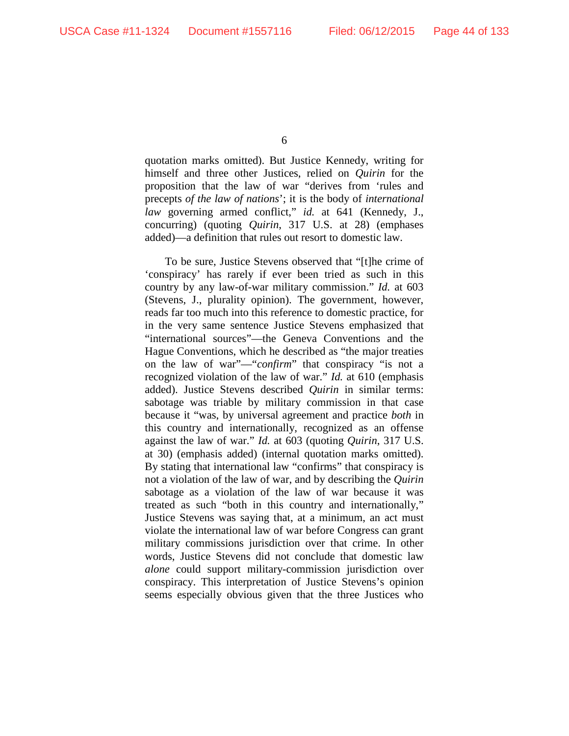quotation marks omitted). But Justice Kennedy, writing for himself and three other Justices, relied on *Quirin* for the proposition that the law of war "derives from 'rules and precepts *of the law of nations*'; it is the body of *international law* governing armed conflict," *id.* at 641 (Kennedy, J., concurring) (quoting *Quirin*, 317 U.S. at 28) (emphases added)—a definition that rules out resort to domestic law.

To be sure, Justice Stevens observed that "[t]he crime of 'conspiracy' has rarely if ever been tried as such in this country by any law-of-war military commission." *Id.* at 603 (Stevens, J., plurality opinion). The government, however, reads far too much into this reference to domestic practice, for in the very same sentence Justice Stevens emphasized that "international sources"—the Geneva Conventions and the Hague Conventions, which he described as "the major treaties on the law of war"—"*confirm*" that conspiracy "is not a recognized violation of the law of war." *Id.* at 610 (emphasis added). Justice Stevens described *Quirin* in similar terms: sabotage was triable by military commission in that case because it "was, by universal agreement and practice *both* in this country and internationally, recognized as an offense against the law of war." *Id.* at 603 (quoting *Quirin*, 317 U.S. at 30) (emphasis added) (internal quotation marks omitted). By stating that international law "confirms" that conspiracy is not a violation of the law of war, and by describing the *Quirin*  sabotage as a violation of the law of war because it was treated as such "both in this country and internationally," Justice Stevens was saying that, at a minimum, an act must violate the international law of war before Congress can grant military commissions jurisdiction over that crime. In other words, Justice Stevens did not conclude that domestic law *alone* could support military-commission jurisdiction over conspiracy. This interpretation of Justice Stevens's opinion seems especially obvious given that the three Justices who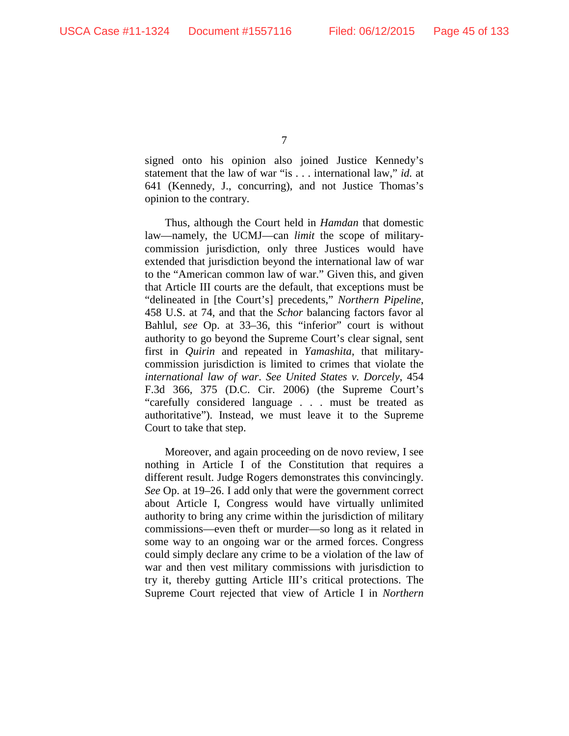signed onto his opinion also joined Justice Kennedy's statement that the law of war "is . . . international law," *id.* at 641 (Kennedy, J., concurring), and not Justice Thomas's opinion to the contrary.

Thus, although the Court held in *Hamdan* that domestic law—namely, the UCMJ—can *limit* the scope of militarycommission jurisdiction, only three Justices would have extended that jurisdiction beyond the international law of war to the "American common law of war." Given this, and given that Article III courts are the default, that exceptions must be "delineated in [the Court's] precedents," *Northern Pipeline*, 458 U.S. at 74, and that the *Schor* balancing factors favor al Bahlul, *see* Op. at 33–36, this "inferior" court is without authority to go beyond the Supreme Court's clear signal, sent first in *Quirin* and repeated in *Yamashita*, that militarycommission jurisdiction is limited to crimes that violate the *international law of war*. *See United States v. Dorcely*, 454 F.3d 366, 375 (D.C. Cir. 2006) (the Supreme Court's "carefully considered language . . . must be treated as authoritative"). Instead, we must leave it to the Supreme Court to take that step.

Moreover, and again proceeding on de novo review, I see nothing in Article I of the Constitution that requires a different result. Judge Rogers demonstrates this convincingly. *See* Op. at 19–26. I add only that were the government correct about Article I, Congress would have virtually unlimited authority to bring any crime within the jurisdiction of military commissions—even theft or murder—so long as it related in some way to an ongoing war or the armed forces. Congress could simply declare any crime to be a violation of the law of war and then vest military commissions with jurisdiction to try it, thereby gutting Article III's critical protections. The Supreme Court rejected that view of Article I in *Northern*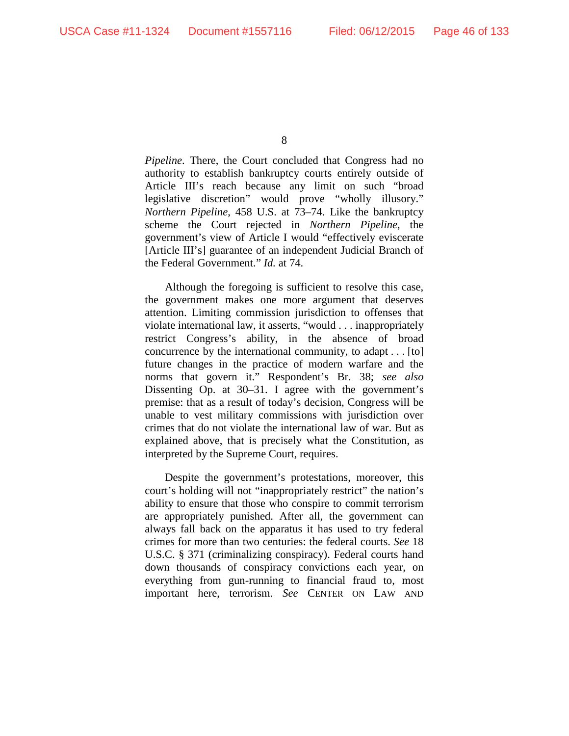*Pipeline*. There, the Court concluded that Congress had no authority to establish bankruptcy courts entirely outside of Article III's reach because any limit on such "broad legislative discretion" would prove "wholly illusory." *Northern Pipeline*, 458 U.S. at 73–74. Like the bankruptcy scheme the Court rejected in *Northern Pipeline*, the government's view of Article I would "effectively eviscerate [Article III's] guarantee of an independent Judicial Branch of the Federal Government." *Id.* at 74.

Although the foregoing is sufficient to resolve this case, the government makes one more argument that deserves attention. Limiting commission jurisdiction to offenses that violate international law, it asserts, "would . . . inappropriately restrict Congress's ability, in the absence of broad concurrence by the international community, to adapt . . . [to] future changes in the practice of modern warfare and the norms that govern it." Respondent's Br. 38; *see also*  Dissenting Op. at 30–31. I agree with the government's premise: that as a result of today's decision, Congress will be unable to vest military commissions with jurisdiction over crimes that do not violate the international law of war. But as explained above, that is precisely what the Constitution, as interpreted by the Supreme Court, requires.

Despite the government's protestations, moreover, this court's holding will not "inappropriately restrict" the nation's ability to ensure that those who conspire to commit terrorism are appropriately punished. After all, the government can always fall back on the apparatus it has used to try federal crimes for more than two centuries: the federal courts. *See* 18 U.S.C. § 371 (criminalizing conspiracy). Federal courts hand down thousands of conspiracy convictions each year, on everything from gun-running to financial fraud to, most important here, terrorism. *See* CENTER ON LAW AND

<sup>8</sup>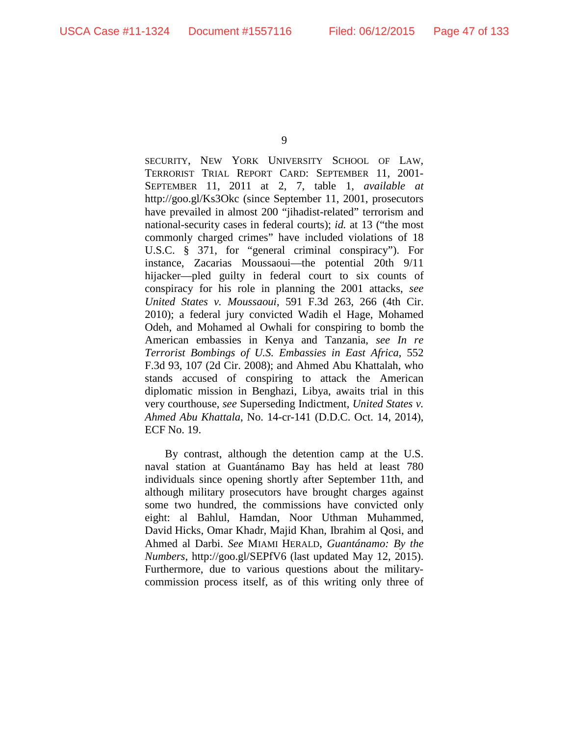SECURITY, NEW YORK UNIVERSITY SCHOOL OF LAW, TERRORIST TRIAL REPORT CARD: SEPTEMBER 11, 2001- SEPTEMBER 11, 2011 at 2, 7, table 1, *available at*  http://goo.gl/Ks3Okc (since September 11, 2001, prosecutors have prevailed in almost 200 "jihadist-related" terrorism and national-security cases in federal courts); *id.* at 13 ("the most commonly charged crimes" have included violations of 18 U.S.C. § 371, for "general criminal conspiracy"). For instance, Zacarias Moussaoui—the potential 20th 9/11 hijacker—pled guilty in federal court to six counts of conspiracy for his role in planning the 2001 attacks, *see United States v. Moussaoui*, 591 F.3d 263, 266 (4th Cir. 2010); a federal jury convicted Wadih el Hage, Mohamed Odeh, and Mohamed al Owhali for conspiring to bomb the American embassies in Kenya and Tanzania, *see In re Terrorist Bombings of U.S. Embassies in East Africa*, 552 F.3d 93, 107 (2d Cir. 2008); and Ahmed Abu Khattalah, who stands accused of conspiring to attack the American diplomatic mission in Benghazi, Libya, awaits trial in this very courthouse, *see* Superseding Indictment, *United States v. Ahmed Abu Khattala*, No. 14-cr-141 (D.D.C. Oct. 14, 2014), ECF No. 19.

By contrast, although the detention camp at the U.S. naval station at Guantánamo Bay has held at least 780 individuals since opening shortly after September 11th, and although military prosecutors have brought charges against some two hundred, the commissions have convicted only eight: al Bahlul, Hamdan, Noor Uthman Muhammed, David Hicks, Omar Khadr, Majid Khan, Ibrahim al Qosi, and Ahmed al Darbi. *See* MIAMI HERALD, *Guantánamo: By the Numbers*, http://goo.gl/SEPfV6 (last updated May 12, 2015). Furthermore, due to various questions about the militarycommission process itself, as of this writing only three of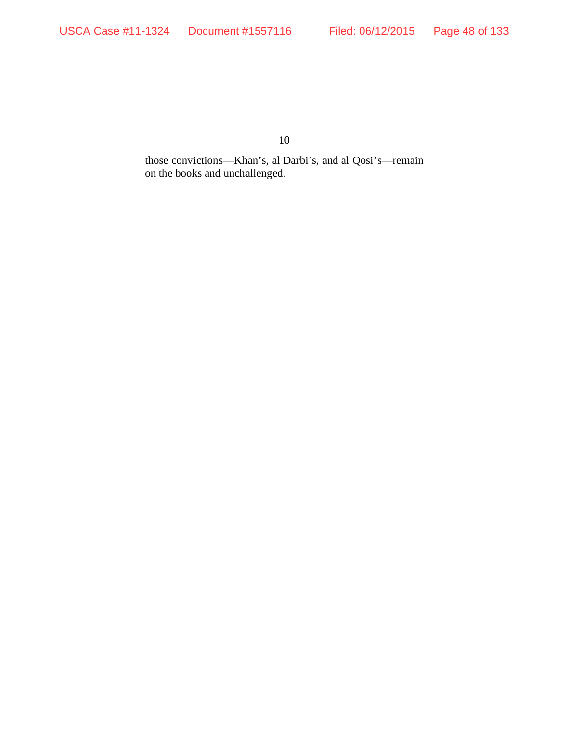those convictions—Khan's, al Darbi's, and al Qosi's—remain on the books and unchallenged.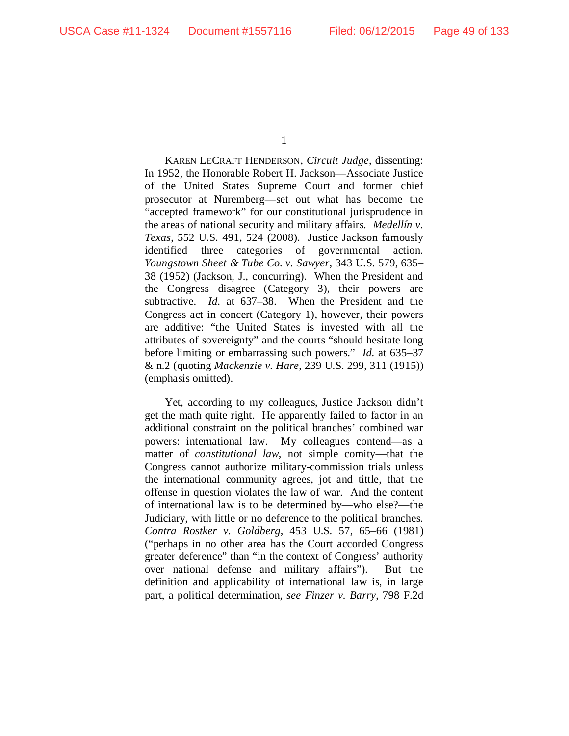KAREN LECRAFT HENDERSON, *Circuit Judge*, dissenting: In 1952, the Honorable Robert H. Jackson—Associate Justice of the United States Supreme Court and former chief prosecutor at Nuremberg—set out what has become the "accepted framework" for our constitutional jurisprudence in the areas of national security and military affairs. *Medellín v. Texas*, 552 U.S. 491, 524 (2008). Justice Jackson famously identified three categories of governmental action. *Youngstown Sheet & Tube Co. v. Sawyer*, 343 U.S. 579, 635– 38 (1952) (Jackson, J., concurring). When the President and the Congress disagree (Category 3), their powers are subtractive. *Id.* at 637–38. When the President and the Congress act in concert (Category 1), however, their powers are additive: "the United States is invested with all the attributes of sovereignty" and the courts "should hesitate long before limiting or embarrassing such powers." *Id.* at 635–37 & n.2 (quoting *Mackenzie v. Hare*, 239 U.S. 299, 311 (1915)) (emphasis omitted).

Yet, according to my colleagues, Justice Jackson didn't get the math quite right. He apparently failed to factor in an additional constraint on the political branches' combined war powers: international law. My colleagues contend—as a matter of *constitutional law*, not simple comity—that the Congress cannot authorize military-commission trials unless the international community agrees, jot and tittle, that the offense in question violates the law of war. And the content of international law is to be determined by—who else?—the Judiciary, with little or no deference to the political branches. *Contra Rostker v. Goldberg*, 453 U.S. 57, 65–66 (1981) ("perhaps in no other area has the Court accorded Congress greater deference" than "in the context of Congress' authority over national defense and military affairs"). But the definition and applicability of international law is, in large part, a political determination, *see Finzer v. Barry*, 798 F.2d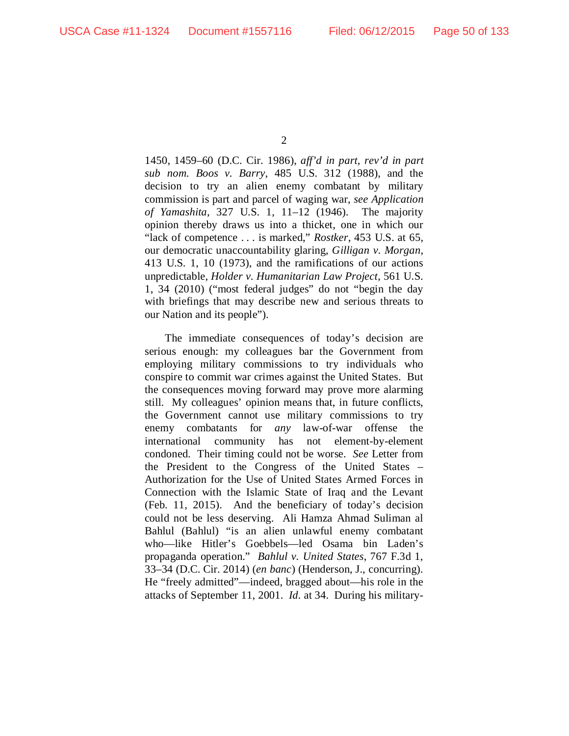1450, 1459–60 (D.C. Cir. 1986), *aff'd in part, rev'd in part sub nom. Boos v. Barry*, 485 U.S. 312 (1988), and the decision to try an alien enemy combatant by military commission is part and parcel of waging war, *see Application of Yamashita*, 327 U.S. 1, 11–12 (1946). The majority opinion thereby draws us into a thicket, one in which our "lack of competence . . . is marked," *Rostker*, 453 U.S. at 65, our democratic unaccountability glaring, *Gilligan v. Morgan*, 413 U.S. 1, 10 (1973), and the ramifications of our actions unpredictable, *Holder v. Humanitarian Law Project*, 561 U.S. 1, 34 (2010) ("most federal judges" do not "begin the day with briefings that may describe new and serious threats to our Nation and its people").

The immediate consequences of today's decision are serious enough: my colleagues bar the Government from employing military commissions to try individuals who conspire to commit war crimes against the United States. But the consequences moving forward may prove more alarming still. My colleagues' opinion means that, in future conflicts, the Government cannot use military commissions to try enemy combatants for *any* law-of-war offense the international community has not element-by-element condoned. Their timing could not be worse. *See* Letter from the President to the Congress of the United States – Authorization for the Use of United States Armed Forces in Connection with the Islamic State of Iraq and the Levant (Feb. 11, 2015). And the beneficiary of today's decision could not be less deserving. Ali Hamza Ahmad Suliman al Bahlul (Bahlul) "is an alien unlawful enemy combatant who—like Hitler's Goebbels—led Osama bin Laden's propaganda operation." *Bahlul v. United States*, 767 F.3d 1, 33–34 (D.C. Cir. 2014) (*en banc*) (Henderson, J., concurring). He "freely admitted"—indeed, bragged about—his role in the attacks of September 11, 2001. *Id.* at 34. During his military-

 $\mathcal{D}_{\mathcal{L}}$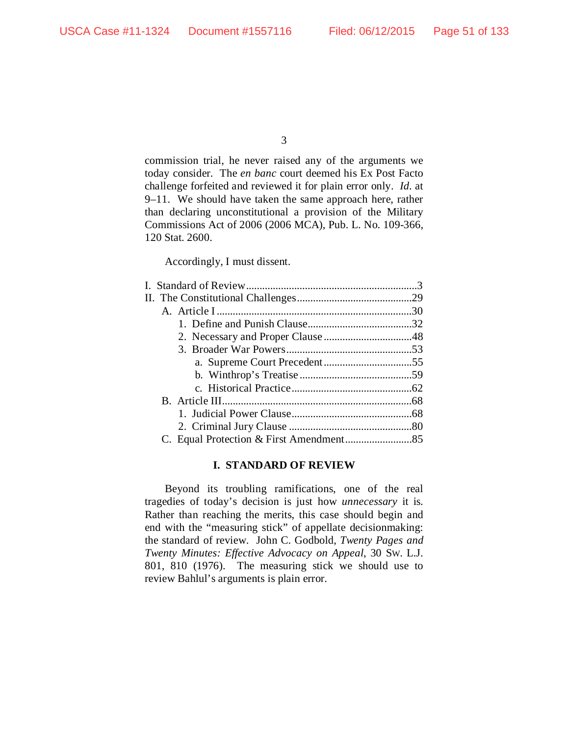commission trial, he never raised any of the arguments we today consider. The *en banc* court deemed his Ex Post Facto challenge forfeited and reviewed it for plain error only. *Id.* at 9–11. We should have taken the same approach here, rather than declaring unconstitutional a provision of the Military Commissions Act of 2006 (2006 MCA), Pub. L. No. 109-366, 120 Stat. 2600.

Accordingly, I must dissent.

## **I. STANDARD OF REVIEW**

<span id="page-50-0"></span>Beyond its troubling ramifications, one of the real tragedies of today's decision is just how *unnecessary* it is. Rather than reaching the merits, this case should begin and end with the "measuring stick" of appellate decisionmaking: the standard of review. John C. Godbold, *Twenty Pages and Twenty Minutes: Effective Advocacy on Appeal*, 30 SW. L.J. 801, 810 (1976). The measuring stick we should use to review Bahlul's arguments is plain error.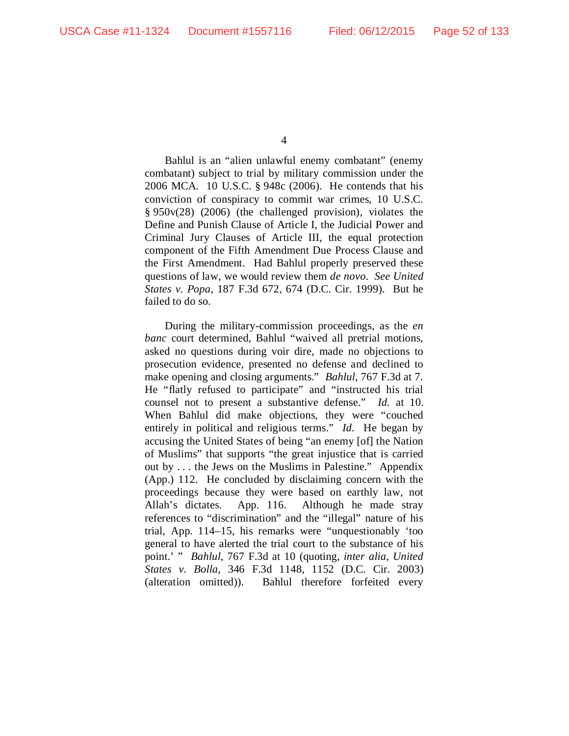Bahlul is an "alien unlawful enemy combatant" (enemy combatant) subject to trial by military commission under the 2006 MCA. 10 U.S.C. § 948c (2006). He contends that his conviction of conspiracy to commit war crimes, 10 U.S.C. § 950v(28) (2006) (the challenged provision), violates the Define and Punish Clause of Article I, the Judicial Power and Criminal Jury Clauses of Article III, the equal protection component of the Fifth Amendment Due Process Clause and the First Amendment. Had Bahlul properly preserved these questions of law, we would review them *de novo*. *See United States v. Popa*, 187 F.3d 672, 674 (D.C. Cir. 1999). But he failed to do so.

During the military-commission proceedings, as the *en banc* court determined, Bahlul "waived all pretrial motions, asked no questions during voir dire, made no objections to prosecution evidence, presented no defense and declined to make opening and closing arguments." *Bahlul*, 767 F.3d at 7. He "flatly refused to participate" and "instructed his trial counsel not to present a substantive defense." *Id.* at 10. When Bahlul did make objections, they were "couched entirely in political and religious terms." *Id.* He began by accusing the United States of being "an enemy [of] the Nation of Muslims" that supports "the great injustice that is carried out by . . . the Jews on the Muslims in Palestine." Appendix (App.) 112. He concluded by disclaiming concern with the proceedings because they were based on earthly law, not Allah's dictates. App. 116. Although he made stray references to "discrimination" and the "illegal" nature of his trial, App. 114–15, his remarks were "unquestionably 'too general to have alerted the trial court to the substance of his point.' " *Bahlul*, 767 F.3d at 10 (quoting, *inter alia*, *United States v. Bolla*, 346 F.3d 1148, 1152 (D.C. Cir. 2003) (alteration omitted)). Bahlul therefore forfeited every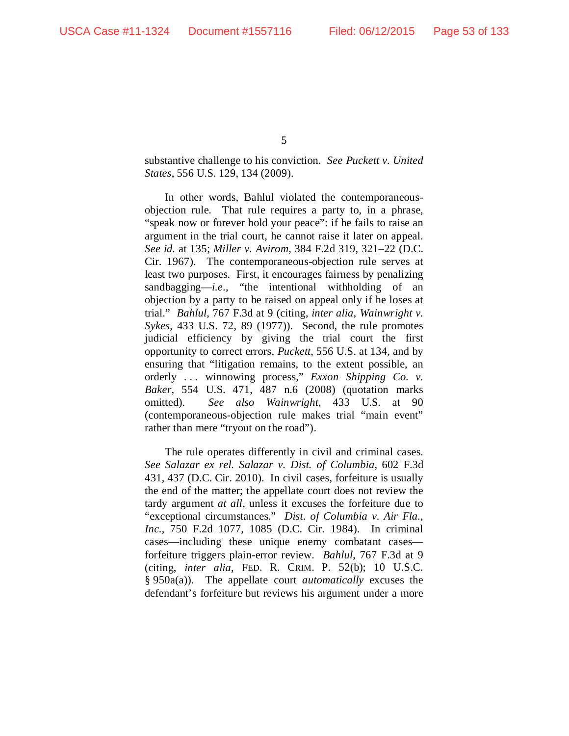substantive challenge to his conviction. *See Puckett v. United States*, 556 U.S. 129, 134 (2009).

In other words, Bahlul violated the contemporaneousobjection rule. That rule requires a party to, in a phrase, "speak now or forever hold your peace": if he fails to raise an argument in the trial court, he cannot raise it later on appeal. *See id.* at 135; *Miller v. Avirom*, 384 F.2d 319, 321–22 (D.C. Cir. 1967). The contemporaneous-objection rule serves at least two purposes. First, it encourages fairness by penalizing sandbagging—*i.e.*, "the intentional withholding of an objection by a party to be raised on appeal only if he loses at trial." *Bahlul*, 767 F.3d at 9 (citing, *inter alia*, *Wainwright v. Sykes*, 433 U.S. 72, 89 (1977)). Second, the rule promotes judicial efficiency by giving the trial court the first opportunity to correct errors, *Puckett*, 556 U.S. at 134, and by ensuring that "litigation remains, to the extent possible, an orderly . . . winnowing process," *Exxon Shipping Co. v. Baker*, 554 U.S. 471, 487 n.6 (2008) (quotation marks omitted). *See also Wainwright*, 433 U.S. at 90 (contemporaneous-objection rule makes trial "main event" rather than mere "tryout on the road").

The rule operates differently in civil and criminal cases. *See Salazar ex rel. Salazar v. Dist. of Columbia*, 602 F.3d 431, 437 (D.C. Cir. 2010). In civil cases, forfeiture is usually the end of the matter; the appellate court does not review the tardy argument *at all*, unless it excuses the forfeiture due to "exceptional circumstances." *Dist. of Columbia v. Air Fla., Inc.*, 750 F.2d 1077, 1085 (D.C. Cir. 1984). In criminal cases—including these unique enemy combatant cases forfeiture triggers plain-error review. *Bahlul*, 767 F.3d at 9 (citing, *inter alia*, FED. R. CRIM. P. 52(b); 10 U.S.C. § 950a(a)). The appellate court *automatically* excuses the defendant's forfeiture but reviews his argument under a more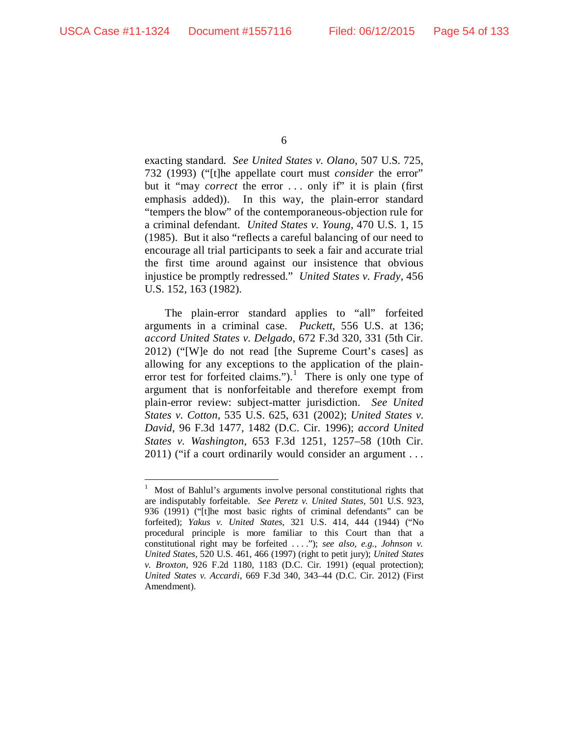exacting standard. *See United States v. Olano*, 507 U.S. 725, 732 (1993) ("[t]he appellate court must *consider* the error" but it "may *correct* the error ... only if" it is plain (first emphasis added)). In this way, the plain-error standard "tempers the blow" of the contemporaneous-objection rule for a criminal defendant. *United States v. Young*, 470 U.S. 1, 15 (1985). But it also "reflects a careful balancing of our need to encourage all trial participants to seek a fair and accurate trial the first time around against our insistence that obvious injustice be promptly redressed." *United States v. Frady*, 456 U.S. 152, 163 (1982).

The plain-error standard applies to "all" forfeited arguments in a criminal case. *Puckett*, 556 U.S. at 136; *accord United States v. Delgado*, 672 F.3d 320, 331 (5th Cir. 2012) ("[W]e do not read [the Supreme Court's cases] as allowing for any exceptions to the application of the plain-error test for forfeited claims.").<sup>[1](#page-53-0)</sup> There is only one type of argument that is nonforfeitable and therefore exempt from plain-error review: subject-matter jurisdiction. *See United States v. Cotton*, 535 U.S. 625, 631 (2002); *United States v. David*, 96 F.3d 1477, 1482 (D.C. Cir. 1996); *accord United States v. Washington*, 653 F.3d 1251, 1257–58 (10th Cir. 2011) ("if a court ordinarily would consider an argument . . .

<span id="page-53-0"></span> $\frac{1}{1}$  Most of Bahlul's arguments involve personal constitutional rights that are indisputably forfeitable. *See Peretz v. United States*, 501 U.S. 923, 936 (1991) ("[t]he most basic rights of criminal defendants" can be forfeited); *Yakus v. United States*, 321 U.S. 414, 444 (1944) ("No procedural principle is more familiar to this Court than that a constitutional right may be forfeited . . . ."); *see also, e.g.*, *Johnson v. United States*, 520 U.S. 461, 466 (1997) (right to petit jury); *United States v. Broxton*, 926 F.2d 1180, 1183 (D.C. Cir. 1991) (equal protection); *United States v. Accardi*, 669 F.3d 340, 343–44 (D.C. Cir. 2012) (First Amendment).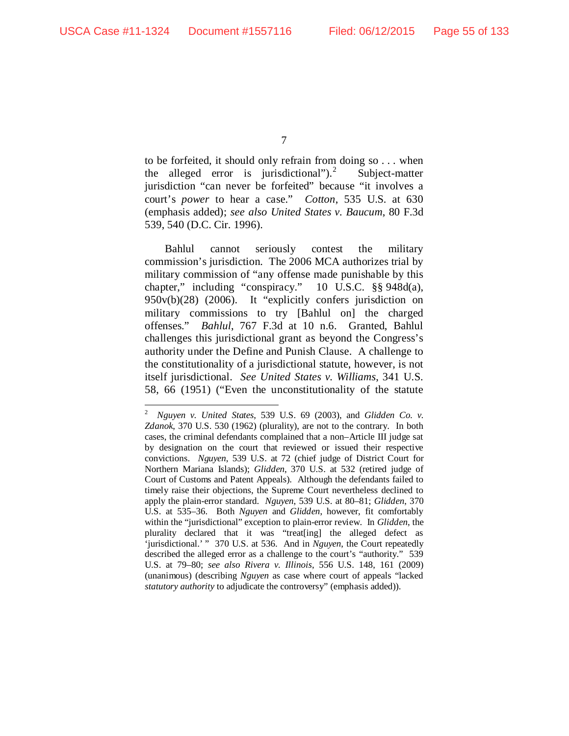to be forfeited, it should only refrain from doing so . . . when the alleged error is jurisdictional").<sup>[2](#page-54-0)</sup> Subject-matter jurisdiction "can never be forfeited" because "it involves a court's *power* to hear a case." *Cotton*, 535 U.S. at 630 (emphasis added); *see also United States v. Baucum*, 80 F.3d 539, 540 (D.C. Cir. 1996).

Bahlul cannot seriously contest the military commission's jurisdiction. The 2006 MCA authorizes trial by military commission of "any offense made punishable by this chapter," including "conspiracy." 10 U.S.C. §§ 948d(a), 950v(b)(28) (2006). It "explicitly confers jurisdiction on military commissions to try [Bahlul on] the charged offenses." *Bahlul*, 767 F.3d at 10 n.6. Granted, Bahlul challenges this jurisdictional grant as beyond the Congress's authority under the Define and Punish Clause. A challenge to the constitutionality of a jurisdictional statute, however, is not itself jurisdictional. *See United States v. Williams*, 341 U.S. 58, 66 (1951) ("Even the unconstitutionality of the statute

<span id="page-54-0"></span> $\frac{1}{2}$  *Nguyen v. United States*, 539 U.S. 69 (2003), and *Glidden Co. v. Zdanok*, 370 U.S. 530 (1962) (plurality), are not to the contrary. In both cases, the criminal defendants complained that a non–Article III judge sat by designation on the court that reviewed or issued their respective convictions. *Nguyen*, 539 U.S. at 72 (chief judge of District Court for Northern Mariana Islands); *Glidden*, 370 U.S. at 532 (retired judge of Court of Customs and Patent Appeals). Although the defendants failed to timely raise their objections, the Supreme Court nevertheless declined to apply the plain-error standard. *Nguyen*, 539 U.S. at 80–81; *Glidden*, 370 U.S. at 535–36. Both *Nguyen* and *Glidden*, however, fit comfortably within the "jurisdictional" exception to plain-error review. In *Glidden*, the plurality declared that it was "treat[ing] the alleged defect as 'jurisdictional.' " 370 U.S. at 536. And in *Nguyen*, the Court repeatedly described the alleged error as a challenge to the court's "authority." 539 U.S. at 79–80; *see also Rivera v. Illinois*, 556 U.S. 148, 161 (2009) (unanimous) (describing *Nguyen* as case where court of appeals "lacked *statutory authority* to adjudicate the controversy" (emphasis added)).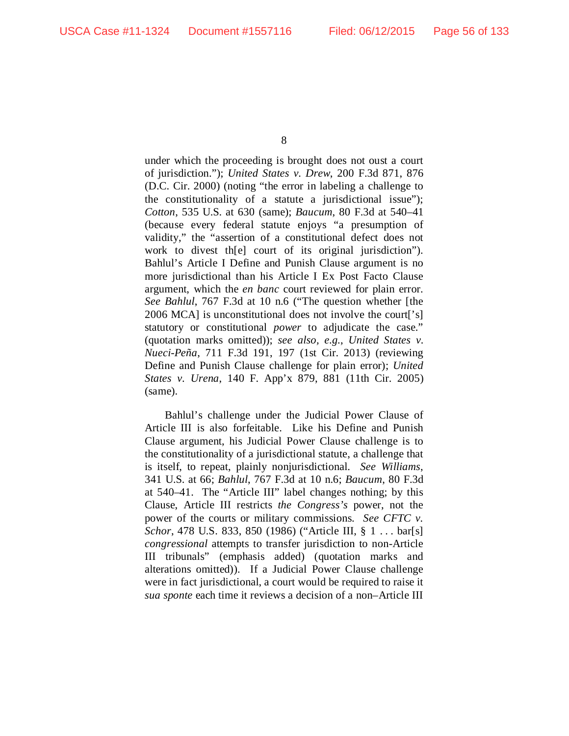under which the proceeding is brought does not oust a court of jurisdiction."); *United States v. Drew*, 200 F.3d 871, 876 (D.C. Cir. 2000) (noting "the error in labeling a challenge to the constitutionality of a statute a jurisdictional issue"); *Cotton*, 535 U.S. at 630 (same); *Baucum*, 80 F.3d at 540–41 (because every federal statute enjoys "a presumption of validity," the "assertion of a constitutional defect does not work to divest th[e] court of its original jurisdiction"). Bahlul's Article I Define and Punish Clause argument is no more jurisdictional than his Article I Ex Post Facto Clause argument, which the *en banc* court reviewed for plain error. *See Bahlul*, 767 F.3d at 10 n.6 ("The question whether [the 2006 MCA] is unconstitutional does not involve the court['s] statutory or constitutional *power* to adjudicate the case." (quotation marks omitted)); *see also, e.g.*, *United States v. Nueci-Peña*, 711 F.3d 191, 197 (1st Cir. 2013) (reviewing Define and Punish Clause challenge for plain error); *United States v. Urena*, 140 F. App'x 879, 881 (11th Cir. 2005) (same).

Bahlul's challenge under the Judicial Power Clause of Article III is also forfeitable. Like his Define and Punish Clause argument, his Judicial Power Clause challenge is to the constitutionality of a jurisdictional statute, a challenge that is itself, to repeat, plainly nonjurisdictional. *See Williams*, 341 U.S. at 66; *Bahlul*, 767 F.3d at 10 n.6; *Baucum*, 80 F.3d at 540–41. The "Article III" label changes nothing; by this Clause, Article III restricts *the Congress's* power, not the power of the courts or military commissions. *See CFTC v. Schor*, 478 U.S. 833, 850 (1986) ("Article III, § 1 . . . bar[s] *congressional* attempts to transfer jurisdiction to non-Article III tribunals" (emphasis added) (quotation marks and alterations omitted)). If a Judicial Power Clause challenge were in fact jurisdictional, a court would be required to raise it *sua sponte* each time it reviews a decision of a non–Article III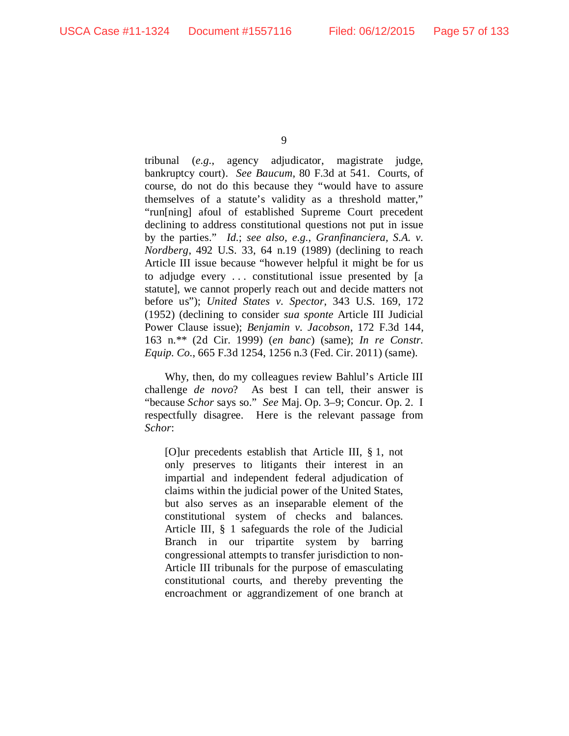tribunal (*e.g.*, agency adjudicator, magistrate judge, bankruptcy court). *See Baucum*, 80 F.3d at 541. Courts, of course, do not do this because they "would have to assure themselves of a statute's validity as a threshold matter," "run[ning] afoul of established Supreme Court precedent declining to address constitutional questions not put in issue by the parties." *Id.*; *see also, e.g.*, *Granfinanciera, S.A. v. Nordberg*, 492 U.S. 33, 64 n.19 (1989) (declining to reach Article III issue because "however helpful it might be for us to adjudge every . . . constitutional issue presented by [a statute], we cannot properly reach out and decide matters not before us"); *United States v. Spector*, 343 U.S. 169, 172 (1952) (declining to consider *sua sponte* Article III Judicial Power Clause issue); *Benjamin v. Jacobson*, 172 F.3d 144, 163 n.\*\* (2d Cir. 1999) (*en banc*) (same); *In re Constr. Equip. Co.*, 665 F.3d 1254, 1256 n.3 (Fed. Cir. 2011) (same).

Why, then, do my colleagues review Bahlul's Article III challenge *de novo*? As best I can tell, their answer is "because *Schor* says so." *See* Maj. Op. 3–9; Concur. Op. 2. I respectfully disagree. Here is the relevant passage from *Schor*:

[O]ur precedents establish that Article III, § 1, not only preserves to litigants their interest in an impartial and independent federal adjudication of claims within the judicial power of the United States, but also serves as an inseparable element of the constitutional system of checks and balances. Article III, § 1 safeguards the role of the Judicial Branch in our tripartite system by barring congressional attempts to transfer jurisdiction to non-Article III tribunals for the purpose of emasculating constitutional courts, and thereby preventing the encroachment or aggrandizement of one branch at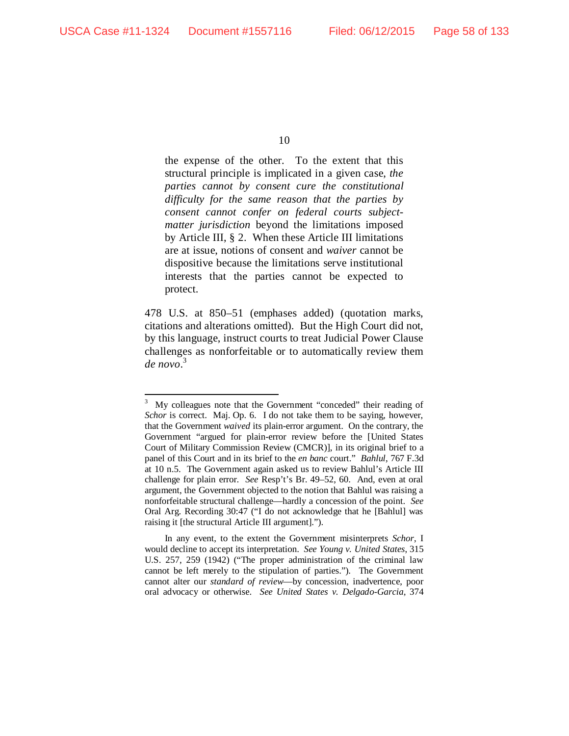the expense of the other. To the extent that this structural principle is implicated in a given case, *the parties cannot by consent cure the constitutional difficulty for the same reason that the parties by consent cannot confer on federal courts subjectmatter jurisdiction* beyond the limitations imposed by Article III, § 2. When these Article III limitations are at issue, notions of consent and *waiver* cannot be dispositive because the limitations serve institutional interests that the parties cannot be expected to protect.

478 U.S. at 850–51 (emphases added) (quotation marks, citations and alterations omitted). But the High Court did not, by this language, instruct courts to treat Judicial Power Clause challenges as nonforfeitable or to automatically review them *de novo*. [3](#page-57-0)

<span id="page-57-0"></span> <sup>3</sup> <sup>3</sup> My colleagues note that the Government "conceded" their reading of *Schor* is correct. Maj. Op. 6. I do not take them to be saying, however, that the Government *waived* its plain-error argument. On the contrary, the Government "argued for plain-error review before the [United States Court of Military Commission Review (CMCR)], in its original brief to a panel of this Court and in its brief to the *en banc* court." *Bahlul*, 767 F.3d at 10 n.5. The Government again asked us to review Bahlul's Article III challenge for plain error. *See* Resp't's Br. 49–52, 60. And, even at oral argument, the Government objected to the notion that Bahlul was raising a nonforfeitable structural challenge—hardly a concession of the point. *See* Oral Arg. Recording 30:47 ("I do not acknowledge that he [Bahlul] was raising it [the structural Article III argument].").

In any event, to the extent the Government misinterprets *Schor*, I would decline to accept its interpretation. *See Young v. United States*, 315 U.S. 257, 259 (1942) ("The proper administration of the criminal law cannot be left merely to the stipulation of parties."). The Government cannot alter our *standard of review*—by concession, inadvertence, poor oral advocacy or otherwise. *See United States v. Delgado-Garcia*, 374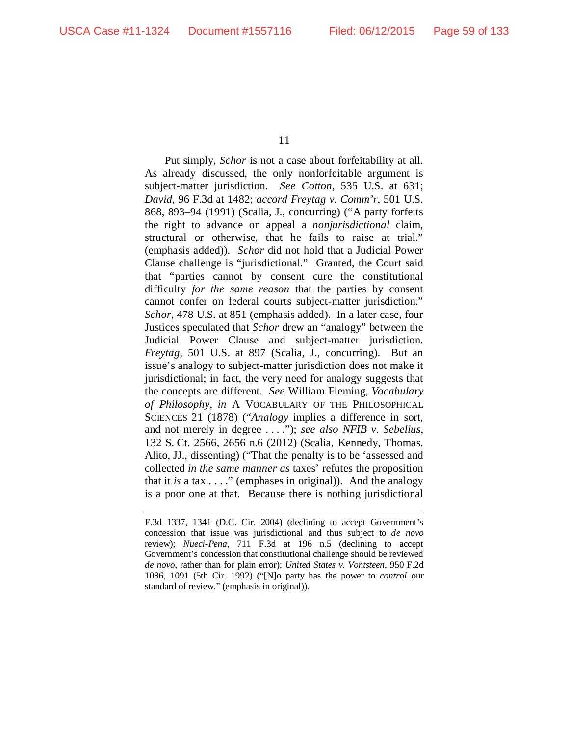Put simply, *Schor* is not a case about forfeitability at all. As already discussed, the only nonforfeitable argument is subject-matter jurisdiction. *See Cotton*, 535 U.S. at 631; *David*, 96 F.3d at 1482; *accord Freytag v. Comm'r*, 501 U.S. 868, 893–94 (1991) (Scalia, J., concurring) ("A party forfeits the right to advance on appeal a *nonjurisdictional* claim, structural or otherwise, that he fails to raise at trial." (emphasis added)). *Schor* did not hold that a Judicial Power Clause challenge is "jurisdictional." Granted, the Court said that "parties cannot by consent cure the constitutional difficulty *for the same reason* that the parties by consent cannot confer on federal courts subject-matter jurisdiction." *Schor*, 478 U.S. at 851 (emphasis added). In a later case, four Justices speculated that *Schor* drew an "analogy" between the Judicial Power Clause and subject-matter jurisdiction. *Freytag*, 501 U.S. at 897 (Scalia, J., concurring). But an issue's analogy to subject-matter jurisdiction does not make it jurisdictional; in fact, the very need for analogy suggests that the concepts are different. *See* William Fleming, *Vocabulary of Philosophy*, *in* A VOCABULARY OF THE PHILOSOPHICAL SCIENCES 21 (1878) ("*Analogy* implies a difference in sort, and not merely in degree . . . ."); *see also NFIB v. Sebelius*, 132 S. Ct. 2566, 2656 n.6 (2012) (Scalia, Kennedy, Thomas, Alito, JJ., dissenting) ("That the penalty is to be 'assessed and collected *in the same manner as* taxes' refutes the proposition that it *is* a tax  $\ldots$ ." (emphases in original)). And the analogy is a poor one at that. Because there is nothing jurisdictional

F.3d 1337, 1341 (D.C. Cir. 2004) (declining to accept Government's concession that issue was jurisdictional and thus subject to *de novo* review); *Nueci-Pena*, 711 F.3d at 196 n.5 (declining to accept Government's concession that constitutional challenge should be reviewed *de novo*, rather than for plain error); *United States v. Vontsteen*, 950 F.2d 1086, 1091 (5th Cir. 1992) ("[N]o party has the power to *control* our standard of review." (emphasis in original)).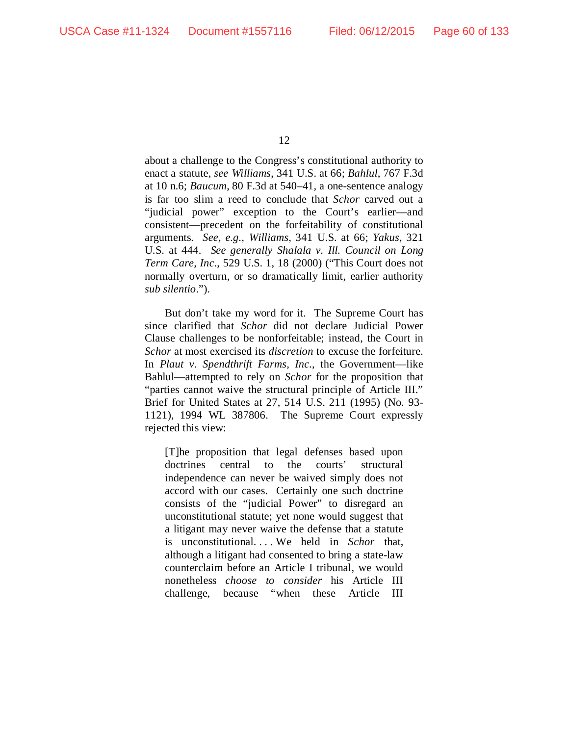about a challenge to the Congress's constitutional authority to enact a statute, *see Williams*, 341 U.S. at 66; *Bahlul*, 767 F.3d at 10 n.6; *Baucum*, 80 F.3d at 540–41, a one-sentence analogy is far too slim a reed to conclude that *Schor* carved out a "judicial power" exception to the Court's earlier—and consistent—precedent on the forfeitability of constitutional arguments. *See, e.g.*, *Williams*, 341 U.S. at 66; *Yakus*, 321 U.S. at 444. *See generally Shalala v. Ill. Council on Long Term Care, Inc.*, 529 U.S. 1, 18 (2000) ("This Court does not normally overturn, or so dramatically limit, earlier authority *sub silentio*.").

But don't take my word for it. The Supreme Court has since clarified that *Schor* did not declare Judicial Power Clause challenges to be nonforfeitable; instead, the Court in *Schor* at most exercised its *discretion* to excuse the forfeiture. In *Plaut v. Spendthrift Farms, Inc.*, the Government—like Bahlul—attempted to rely on *Schor* for the proposition that "parties cannot waive the structural principle of Article III." Brief for United States at 27, 514 U.S. 211 (1995) (No. 93- 1121), 1994 WL 387806. The Supreme Court expressly rejected this view:

[T]he proposition that legal defenses based upon doctrines central to the courts' structural independence can never be waived simply does not accord with our cases. Certainly one such doctrine consists of the "judicial Power" to disregard an unconstitutional statute; yet none would suggest that a litigant may never waive the defense that a statute is unconstitutional. . . . We held in *Schor* that, although a litigant had consented to bring a state-law counterclaim before an Article I tribunal, we would nonetheless *choose to consider* his Article III challenge, because "when these Article III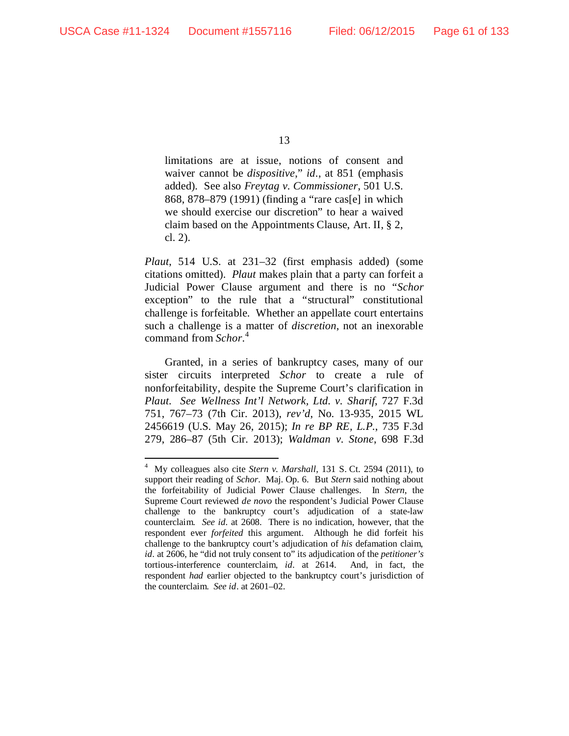limitations are at issue, notions of consent and waiver cannot be *dispositive*," *id*., at 851 (emphasis added). See also *Freytag v. Commissioner*, 501 U.S. 868, 878–879 (1991) (finding a "rare cas[e] in which we should exercise our discretion" to hear a waived claim based on the Appointments Clause, Art. II, § 2, cl. 2).

*Plaut*, 514 U.S. at 231–32 (first emphasis added) (some citations omitted). *Plaut* makes plain that a party can forfeit a Judicial Power Clause argument and there is no "*Schor* exception" to the rule that a "structural" constitutional challenge is forfeitable. Whether an appellate court entertains such a challenge is a matter of *discretion*, not an inexorable command from *Schor*. [4](#page-60-0)

Granted, in a series of bankruptcy cases, many of our sister circuits interpreted *Schor* to create a rule of nonforfeitability, despite the Supreme Court's clarification in *Plaut*. *See Wellness Int'l Network, Ltd. v. Sharif*, 727 F.3d 751, 767–73 (7th Cir. 2013), *rev'd*, No. 13-935, 2015 WL 2456619 (U.S. May 26, 2015); *In re BP RE, L.P.*, 735 F.3d 279, 286–87 (5th Cir. 2013); *Waldman v. Stone*, 698 F.3d

<span id="page-60-0"></span> $\frac{1}{4}$  My colleagues also cite *Stern v. Marshall*, 131 S. Ct. 2594 (2011), to support their reading of *Schor*. Maj. Op. 6. But *Stern* said nothing about the forfeitability of Judicial Power Clause challenges. In *Stern*, the Supreme Court reviewed *de novo* the respondent's Judicial Power Clause challenge to the bankruptcy court's adjudication of a state-law counterclaim. *See id.* at 2608. There is no indication, however, that the respondent ever *forfeited* this argument. Although he did forfeit his challenge to the bankruptcy court's adjudication of *his* defamation claim, *id.* at 2606, he "did not truly consent to" its adjudication of the *petitioner's* tortious-interference counterclaim, *id.* at 2614. And, in fact, the respondent *had* earlier objected to the bankruptcy court's jurisdiction of the counterclaim. *See id*. at 2601–02.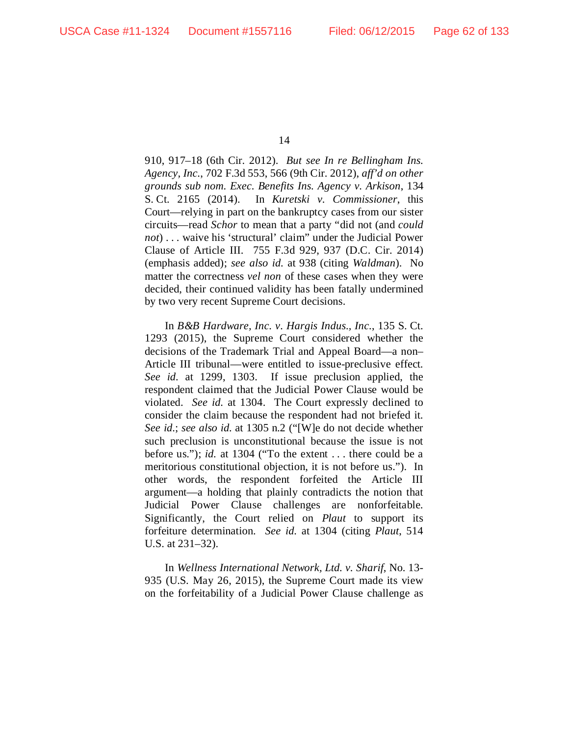910, 917–18 (6th Cir. 2012). *But see In re Bellingham Ins. Agency, Inc.*, 702 F.3d 553, 566 (9th Cir. 2012), *aff'd on other grounds sub nom. Exec. Benefits Ins. Agency v. Arkison*, 134 S. Ct. 2165 (2014). In *Kuretski v. Commissioner*, this Court—relying in part on the bankruptcy cases from our sister circuits—read *Schor* to mean that a party "did not (and *could not*) . . . waive his 'structural' claim" under the Judicial Power Clause of Article III. 755 F.3d 929, 937 (D.C. Cir. 2014) (emphasis added); *see also id.* at 938 (citing *Waldman*). No matter the correctness *vel non* of these cases when they were decided, their continued validity has been fatally undermined by two very recent Supreme Court decisions.

In *B&B Hardware, Inc. v. Hargis Indus., Inc.*, 135 S. Ct. 1293 (2015), the Supreme Court considered whether the decisions of the Trademark Trial and Appeal Board—a non– Article III tribunal—were entitled to issue-preclusive effect. *See id.* at 1299, 1303. If issue preclusion applied, the respondent claimed that the Judicial Power Clause would be violated. *See id.* at 1304. The Court expressly declined to consider the claim because the respondent had not briefed it. *See id.*; *see also id.* at 1305 n.2 ("[W]e do not decide whether such preclusion is unconstitutional because the issue is not before us."); *id.* at 1304 ("To the extent . . . there could be a meritorious constitutional objection, it is not before us."). In other words, the respondent forfeited the Article III argument—a holding that plainly contradicts the notion that Judicial Power Clause challenges are nonforfeitable. Significantly, the Court relied on *Plaut* to support its forfeiture determination. *See id.* at 1304 (citing *Plaut*, 514 U.S. at 231–32).

In *Wellness International Network, Ltd. v. Sharif*, No. 13- 935 (U.S. May 26, 2015), the Supreme Court made its view on the forfeitability of a Judicial Power Clause challenge as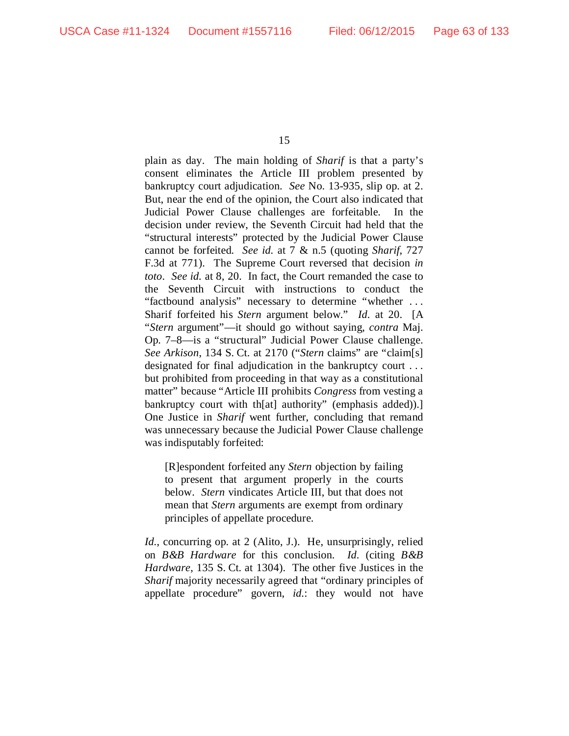plain as day. The main holding of *Sharif* is that a party's consent eliminates the Article III problem presented by bankruptcy court adjudication. *See* No. 13-935, slip op. at 2. But, near the end of the opinion, the Court also indicated that Judicial Power Clause challenges are forfeitable. In the decision under review, the Seventh Circuit had held that the "structural interests" protected by the Judicial Power Clause cannot be forfeited. *See id.* at 7 & n.5 (quoting *Sharif*, 727 F.3d at 771). The Supreme Court reversed that decision *in toto*. *See id.* at 8, 20. In fact, the Court remanded the case to the Seventh Circuit with instructions to conduct the "factbound analysis" necessary to determine "whether . . . Sharif forfeited his *Stern* argument below." *Id.* at 20. [A "*Stern* argument"—it should go without saying, *contra* Maj. Op. 7–8—is a "structural" Judicial Power Clause challenge. *See Arkison*, 134 S. Ct. at 2170 ("*Stern* claims" are "claim[s] designated for final adjudication in the bankruptcy court . . . but prohibited from proceeding in that way as a constitutional matter" because "Article III prohibits *Congress* from vesting a bankruptcy court with th[at] authority" (emphasis added)).] One Justice in *Sharif* went further, concluding that remand was unnecessary because the Judicial Power Clause challenge was indisputably forfeited:

[R]espondent forfeited any *Stern* objection by failing to present that argument properly in the courts below. *Stern* vindicates Article III, but that does not mean that *Stern* arguments are exempt from ordinary principles of appellate procedure.

*Id.*, concurring op. at 2 (Alito, J.). He, unsurprisingly, relied on *B&B Hardware* for this conclusion. *Id.* (citing *B&B Hardware*, 135 S. Ct. at 1304). The other five Justices in the *Sharif* majority necessarily agreed that "ordinary principles of appellate procedure" govern, *id.*: they would not have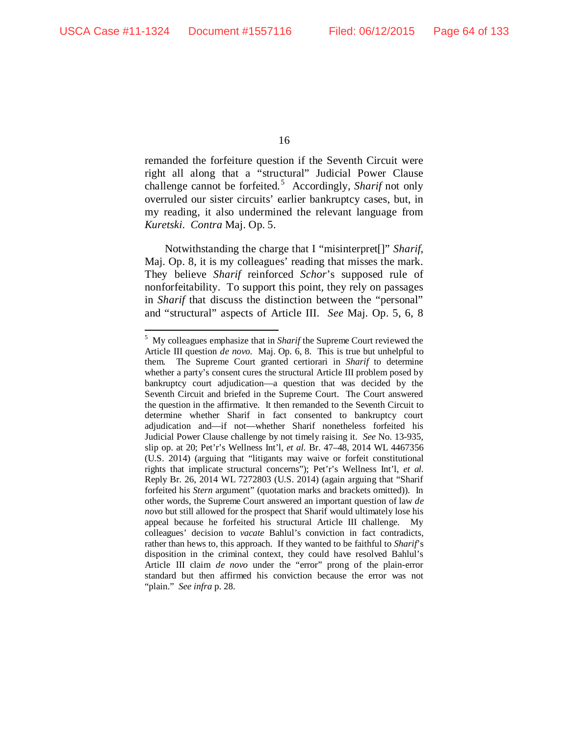remanded the forfeiture question if the Seventh Circuit were right all along that a "structural" Judicial Power Clause challenge cannot be forfeited. [5](#page-63-0) Accordingly, *Sharif* not only overruled our sister circuits' earlier bankruptcy cases, but, in my reading, it also undermined the relevant language from *Kuretski*. *Contra* Maj. Op. 5.

Notwithstanding the charge that I "misinterpret[]" *Sharif*, Maj. Op. 8, it is my colleagues' reading that misses the mark. They believe *Sharif* reinforced *Schor*'s supposed rule of nonforfeitability. To support this point, they rely on passages in *Sharif* that discuss the distinction between the "personal" and "structural" aspects of Article III. *See* Maj. Op. 5, 6, 8

<span id="page-63-0"></span> $\frac{1}{5}$  My colleagues emphasize that in *Sharif* the Supreme Court reviewed the Article III question *de novo.* Maj. Op. 6, 8. This is true but unhelpful to them. The Supreme Court granted certiorari in *Sharif* to determine whether a party's consent cures the structural Article III problem posed by bankruptcy court adjudication—a question that was decided by the Seventh Circuit and briefed in the Supreme Court. The Court answered the question in the affirmative. It then remanded to the Seventh Circuit to determine whether Sharif in fact consented to bankruptcy court adjudication and—if not—whether Sharif nonetheless forfeited his Judicial Power Clause challenge by not timely raising it. *See* No. 13-935, slip op. at 20; Pet'r's Wellness Int'l, *et al.* Br. 47–48, 2014 WL 4467356 (U.S. 2014) (arguing that "litigants may waive or forfeit constitutional rights that implicate structural concerns"); Pet'r's Wellness Int'l, *et al.* Reply Br. 26, 2014 WL 7272803 (U.S. 2014) (again arguing that "Sharif forfeited his *Stern* argument" (quotation marks and brackets omitted)). In other words, the Supreme Court answered an important question of law *de novo* but still allowed for the prospect that Sharif would ultimately lose his appeal because he forfeited his structural Article III challenge. My colleagues' decision to *vacate* Bahlul's conviction in fact contradicts, rather than hews to, this approach. If they wanted to be faithful to *Sharif*'s disposition in the criminal context, they could have resolved Bahlul's Article III claim *de novo* under the "error" prong of the plain-error standard but then affirmed his conviction because the error was not "plain." *See infra* p. 28.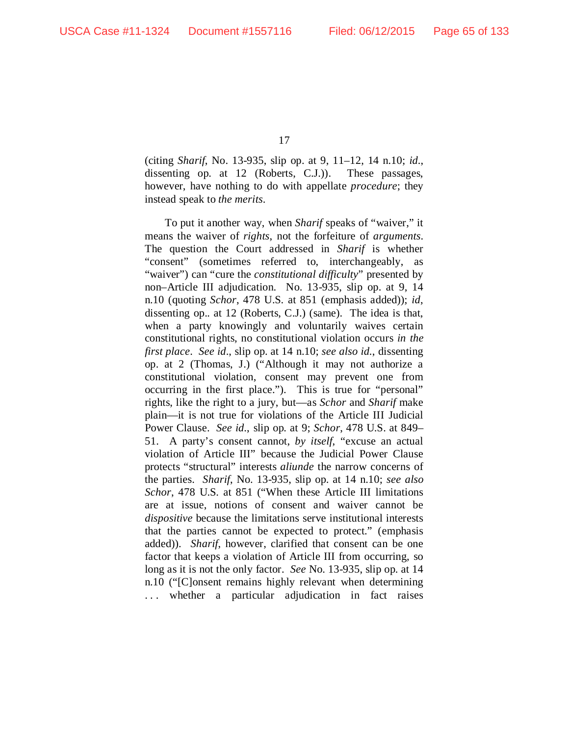(citing *Sharif*, No. 13-935, slip op. at 9, 11–12, 14 n.10; *id.*, dissenting op. at 12 (Roberts, C.J.)). These passages, however, have nothing to do with appellate *procedure*; they instead speak to *the merits*.

To put it another way, when *Sharif* speaks of "waiver," it means the waiver of *rights*, not the forfeiture of *arguments*. The question the Court addressed in *Sharif* is whether "consent" (sometimes referred to, interchangeably, as "waiver") can "cure the *constitutional difficulty*" presented by non–Article III adjudication. No. 13-935, slip op. at 9, 14 n.10 (quoting *Schor*, 478 U.S. at 851 (emphasis added)); *id*, dissenting op.*.* at 12 (Roberts, C.J.) (same). The idea is that, when a party knowingly and voluntarily waives certain constitutional rights, no constitutional violation occurs *in the first place*. *See id*., slip op. at 14 n.10; *see also id.*, dissenting op. at 2 (Thomas, J.) ("Although it may not authorize a constitutional violation, consent may prevent one from occurring in the first place."). This is true for "personal" rights, like the right to a jury, but—as *Schor* and *Sharif* make plain—it is not true for violations of the Article III Judicial Power Clause. *See id.*, slip op*.* at 9; *Schor*, 478 U.S. at 849– 51. A party's consent cannot, *by itself*, "excuse an actual violation of Article III" because the Judicial Power Clause protects "structural" interests *aliunde* the narrow concerns of the parties. *Sharif*, No. 13-935, slip op. at 14 n.10; *see also Schor*, 478 U.S. at 851 ("When these Article III limitations are at issue, notions of consent and waiver cannot be *dispositive* because the limitations serve institutional interests that the parties cannot be expected to protect." (emphasis added)). *Sharif*, however, clarified that consent can be one factor that keeps a violation of Article III from occurring, so long as it is not the only factor. *See* No. 13-935, slip op. at 14 n.10 ("[C]onsent remains highly relevant when determining . . . whether a particular adjudication in fact raises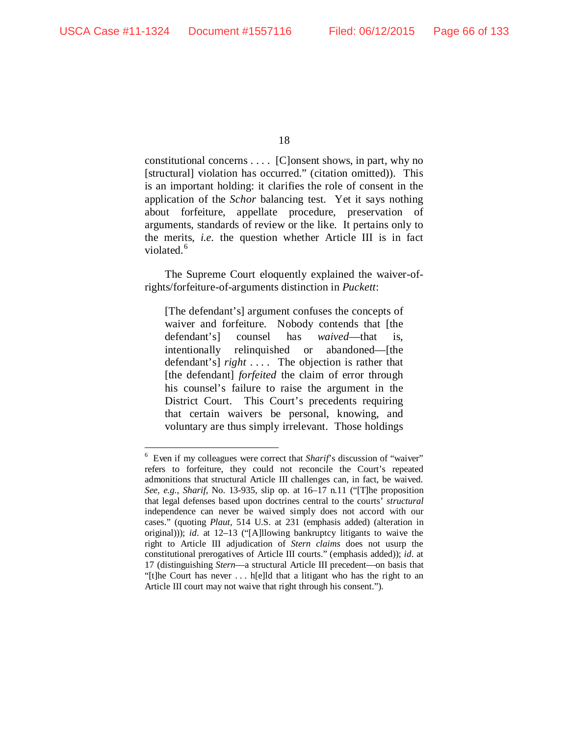constitutional concerns . . . . [C]onsent shows, in part, why no [structural] violation has occurred." (citation omitted)). This is an important holding: it clarifies the role of consent in the application of the *Schor* balancing test. Yet it says nothing about forfeiture, appellate procedure, preservation of arguments, standards of review or the like. It pertains only to the merits, *i.e.* the question whether Article III is in fact violated.<sup>[6](#page-65-0)</sup>

The Supreme Court eloquently explained the waiver-ofrights/forfeiture-of-arguments distinction in *Puckett*:

[The defendant's] argument confuses the concepts of waiver and forfeiture. Nobody contends that [the defendant's] counsel has *waived*—that is, intentionally relinquished or abandoned—[the defendant's] *right* . . . . The objection is rather that [the defendant] *forfeited* the claim of error through his counsel's failure to raise the argument in the District Court. This Court's precedents requiring that certain waivers be personal, knowing, and voluntary are thus simply irrelevant. Those holdings

<span id="page-65-0"></span> $\frac{1}{6}$ <sup>6</sup> Even if my colleagues were correct that *Sharif*'s discussion of "waiver" refers to forfeiture, they could not reconcile the Court's repeated admonitions that structural Article III challenges can, in fact, be waived. *See, e.g.*, *Sharif*, No. 13-935, slip op. at 16–17 n.11 ("[T]he proposition that legal defenses based upon doctrines central to the courts' *structural* independence can never be waived simply does not accord with our cases." (quoting *Plaut*, 514 U.S. at 231 (emphasis added) (alteration in original))); *id.* at 12–13 ("[A]llowing bankruptcy litigants to waive the right to Article III adjudication of *Stern claims* does not usurp the constitutional prerogatives of Article III courts." (emphasis added)); *id.* at 17 (distinguishing *Stern*—a structural Article III precedent—on basis that "[t]he Court has never . . . h[e]ld that a litigant who has the right to an Article III court may not waive that right through his consent.").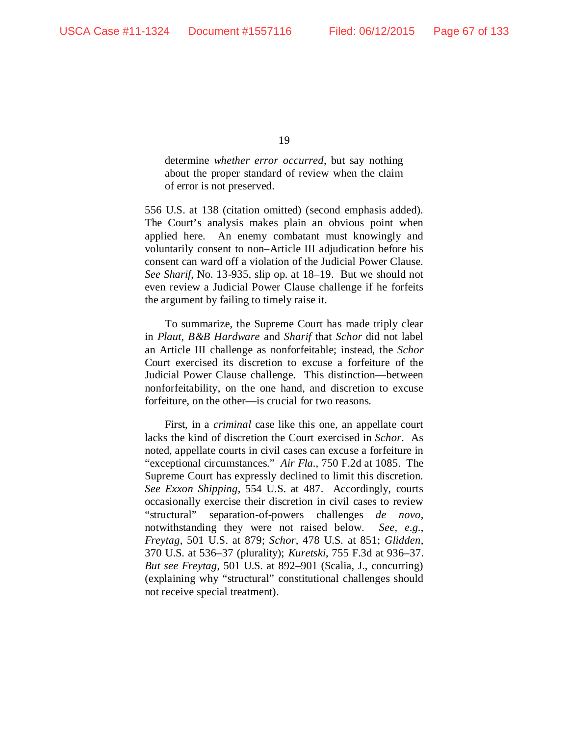determine *whether error occurred*, but say nothing about the proper standard of review when the claim of error is not preserved.

556 U.S. at 138 (citation omitted) (second emphasis added). The Court's analysis makes plain an obvious point when applied here. An enemy combatant must knowingly and voluntarily consent to non–Article III adjudication before his consent can ward off a violation of the Judicial Power Clause. *See Sharif*, No. 13-935, slip op. at 18–19. But we should not even review a Judicial Power Clause challenge if he forfeits the argument by failing to timely raise it.

To summarize, the Supreme Court has made triply clear in *Plaut*, *B&B Hardware* and *Sharif* that *Schor* did not label an Article III challenge as nonforfeitable; instead, the *Schor*  Court exercised its discretion to excuse a forfeiture of the Judicial Power Clause challenge. This distinction—between nonforfeitability, on the one hand, and discretion to excuse forfeiture, on the other—is crucial for two reasons.

First, in a *criminal* case like this one, an appellate court lacks the kind of discretion the Court exercised in *Schor*. As noted, appellate courts in civil cases can excuse a forfeiture in "exceptional circumstances." *Air Fla.*, 750 F.2d at 1085. The Supreme Court has expressly declined to limit this discretion. *See Exxon Shipping*, 554 U.S. at 487. Accordingly, courts occasionally exercise their discretion in civil cases to review "structural" separation-of-powers challenges *de novo*, notwithstanding they were not raised below. *See, e.g.*, *Freytag*, 501 U.S. at 879; *Schor*, 478 U.S. at 851; *Glidden*, 370 U.S. at 536–37 (plurality); *Kuretski*, 755 F.3d at 936–37. *But see Freytag*, 501 U.S. at 892–901 (Scalia, J., concurring) (explaining why "structural" constitutional challenges should not receive special treatment).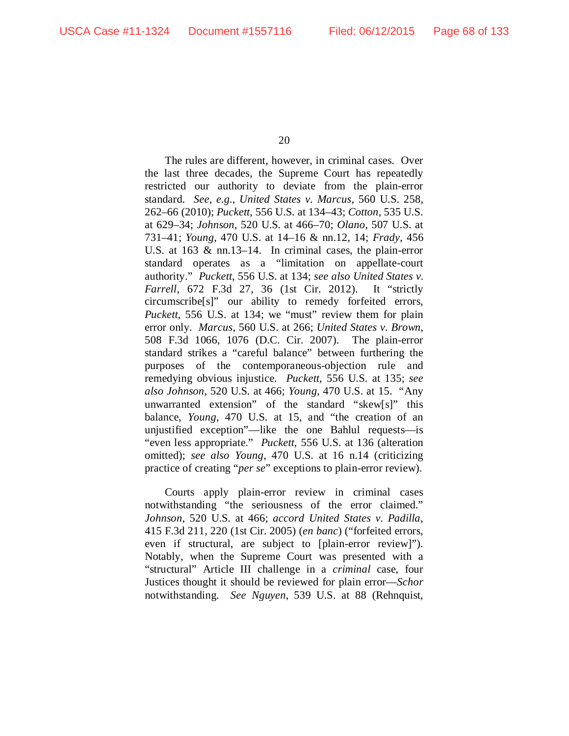The rules are different, however, in criminal cases. Over the last three decades, the Supreme Court has repeatedly restricted our authority to deviate from the plain-error standard. *See, e.g.*, *United States v. Marcus*, 560 U.S. 258, 262–66 (2010); *Puckett*, 556 U.S. at 134–43; *Cotton*, 535 U.S. at 629–34; *Johnson*, 520 U.S. at 466–70; *Olano*, 507 U.S. at 731–41; *Young*, 470 U.S. at 14–16 & nn.12, 14; *Frady*, 456 U.S. at 163 & nn.13–14. In criminal cases, the plain-error standard operates as a "limitation on appellate-court authority." *Puckett*, 556 U.S. at 134; *see also United States v. Farrell*, 672 F.3d 27, 36 (1st Cir. 2012). It "strictly circumscribe[s]" our ability to remedy forfeited errors, *Puckett*, 556 U.S. at 134; we "must" review them for plain error only. *Marcus*, 560 U.S. at 266; *United States v. Brown*, 508 F.3d 1066, 1076 (D.C. Cir. 2007). The plain-error standard strikes a "careful balance" between furthering the purposes of the contemporaneous-objection rule and remedying obvious injustice. *Puckett*, 556 U.S. at 135; *see also Johnson*, 520 U.S. at 466; *Young*, 470 U.S. at 15. "Any unwarranted extension" of the standard "skew[s]" this balance, *Young*, 470 U.S. at 15, and "the creation of an unjustified exception"—like the one Bahlul requests—is "even less appropriate." *Puckett*, 556 U.S. at 136 (alteration omitted); *see also Young*, 470 U.S. at 16 n.14 (criticizing practice of creating "*per se*" exceptions to plain-error review).

Courts apply plain-error review in criminal cases notwithstanding "the seriousness of the error claimed." *Johnson*, 520 U.S. at 466; *accord United States v. Padilla*, 415 F.3d 211, 220 (1st Cir. 2005) (*en banc*) ("forfeited errors, even if structural, are subject to [plain-error review]"). Notably, when the Supreme Court was presented with a "structural" Article III challenge in a *criminal* case, four Justices thought it should be reviewed for plain error—*Schor*  notwithstanding. *See Nguyen*, 539 U.S. at 88 (Rehnquist,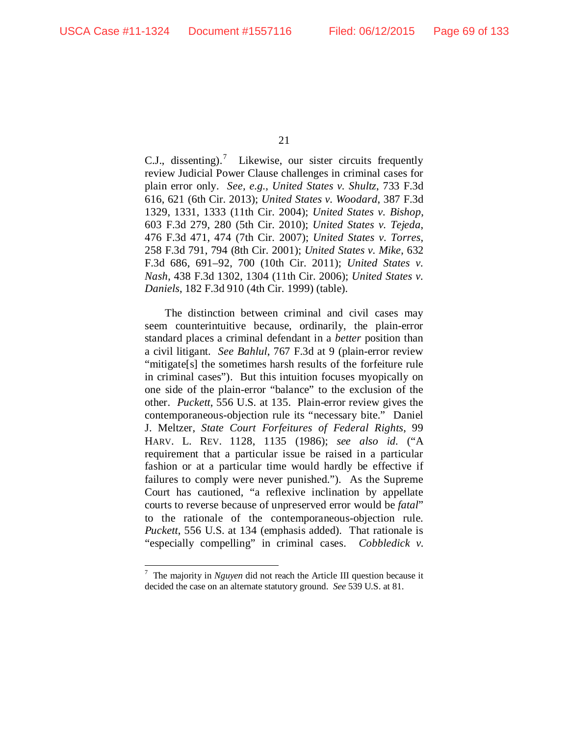C.J., dissenting).<sup>[7](#page-68-0)</sup> Likewise, our sister circuits frequently review Judicial Power Clause challenges in criminal cases for plain error only. *See, e.g.*, *United States v. Shultz*, 733 F.3d 616, 621 (6th Cir. 2013); *United States v. Woodard*, 387 F.3d 1329, 1331, 1333 (11th Cir. 2004); *United States v. Bishop*, 603 F.3d 279, 280 (5th Cir. 2010); *United States v. Tejeda*, 476 F.3d 471, 474 (7th Cir. 2007); *United States v. Torres*, 258 F.3d 791, 794 (8th Cir. 2001); *United States v. Mike*, 632 F.3d 686, 691–92, 700 (10th Cir. 2011); *United States v. Nash*, 438 F.3d 1302, 1304 (11th Cir. 2006); *United States v. Daniels*, 182 F.3d 910 (4th Cir. 1999) (table).

The distinction between criminal and civil cases may seem counterintuitive because, ordinarily, the plain-error standard places a criminal defendant in a *better* position than a civil litigant. *See Bahlul*, 767 F.3d at 9 (plain-error review "mitigate[s] the sometimes harsh results of the forfeiture rule in criminal cases"). But this intuition focuses myopically on one side of the plain-error "balance" to the exclusion of the other. *Puckett*, 556 U.S. at 135. Plain-error review gives the contemporaneous-objection rule its "necessary bite." Daniel J. Meltzer, *State Court Forfeitures of Federal Rights*, 99 HARV. L. REV. 1128, 1135 (1986); *see also id.* ("A requirement that a particular issue be raised in a particular fashion or at a particular time would hardly be effective if failures to comply were never punished."). As the Supreme Court has cautioned, "a reflexive inclination by appellate courts to reverse because of unpreserved error would be *fatal*" to the rationale of the contemporaneous-objection rule. *Puckett*, 556 U.S. at 134 (emphasis added). That rationale is "especially compelling" in criminal cases. *Cobbledick v.* 

<span id="page-68-0"></span><sup>&</sup>lt;sup>-</sup> The majority in *Nguyen* did not reach the Article III question because it decided the case on an alternate statutory ground. *See* 539 U.S. at 81.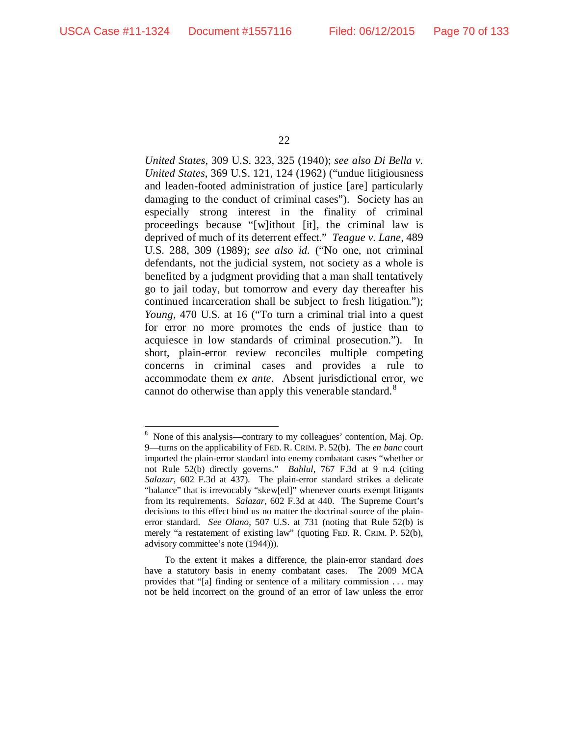*United States*, 309 U.S. 323, 325 (1940); *see also Di Bella v. United States*, 369 U.S. 121, 124 (1962) ("undue litigiousness and leaden-footed administration of justice [are] particularly damaging to the conduct of criminal cases"). Society has an especially strong interest in the finality of criminal proceedings because "[w]ithout [it], the criminal law is deprived of much of its deterrent effect." *Teague v. Lane*, 489 U.S. 288, 309 (1989); *see also id.* ("No one, not criminal defendants, not the judicial system, not society as a whole is benefited by a judgment providing that a man shall tentatively go to jail today, but tomorrow and every day thereafter his continued incarceration shall be subject to fresh litigation."); *Young*, 470 U.S. at 16 ("To turn a criminal trial into a quest for error no more promotes the ends of justice than to acquiesce in low standards of criminal prosecution."). In short, plain-error review reconciles multiple competing concerns in criminal cases and provides a rule to accommodate them *ex ante*. Absent jurisdictional error, we cannot do otherwise than apply this venerable standard.<sup>[8](#page-69-0)</sup>

<span id="page-69-0"></span> <sup>8</sup> <sup>8</sup> None of this analysis—contrary to my colleagues' contention, Maj. Op. 9—turns on the applicability of FED. R. CRIM. P. 52(b). The *en banc* court imported the plain-error standard into enemy combatant cases "whether or not Rule 52(b) directly governs." *Bahlul*, 767 F.3d at 9 n.4 (citing *Salazar*, 602 F.3d at 437). The plain-error standard strikes a delicate "balance" that is irrevocably "skew[ed]" whenever courts exempt litigants from its requirements. *Salazar*, 602 F.3d at 440. The Supreme Court's decisions to this effect bind us no matter the doctrinal source of the plainerror standard. *See Olano*, 507 U.S. at 731 (noting that Rule 52(b) is merely "a restatement of existing law" (quoting FED. R. CRIM. P. 52(b), advisory committee's note (1944))).

To the extent it makes a difference, the plain-error standard *does* have a statutory basis in enemy combatant cases. The 2009 MCA provides that "[a] finding or sentence of a military commission . . . may not be held incorrect on the ground of an error of law unless the error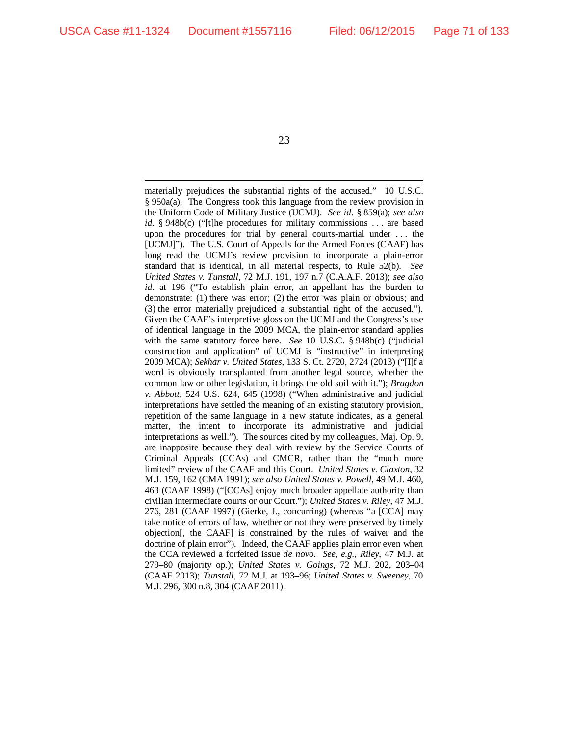materially prejudices the substantial rights of the accused." 10 U.S.C. § 950a(a). The Congress took this language from the review provision in the Uniform Code of Military Justice (UCMJ). *See id.* § 859(a); *see also id.* § 948b(c) ("[t]he procedures for military commissions . . . are based upon the procedures for trial by general courts-martial under . . . the [UCMJ]"). The U.S. Court of Appeals for the Armed Forces (CAAF) has long read the UCMJ's review provision to incorporate a plain-error standard that is identical, in all material respects, to Rule 52(b). *See United States v. Tunstall*, 72 M.J. 191, 197 n.7 (C.A.A.F. 2013); *see also id.* at 196 ("To establish plain error, an appellant has the burden to demonstrate: (1) there was error; (2) the error was plain or obvious; and (3) the error materially prejudiced a substantial right of the accused."). Given the CAAF's interpretive gloss on the UCMJ and the Congress's use of identical language in the 2009 MCA, the plain-error standard applies with the same statutory force here. *See* 10 U.S.C. § 948b(c) ("judicial construction and application" of UCMJ is "instructive" in interpreting 2009 MCA); *Sekhar v. United States*, 133 S. Ct. 2720, 2724 (2013) ("[I]f a word is obviously transplanted from another legal source, whether the common law or other legislation, it brings the old soil with it."); *Bragdon v. Abbott*, 524 U.S. 624, 645 (1998) ("When administrative and judicial interpretations have settled the meaning of an existing statutory provision, repetition of the same language in a new statute indicates, as a general matter, the intent to incorporate its administrative and judicial interpretations as well."). The sources cited by my colleagues, Maj. Op. 9, are inapposite because they deal with review by the Service Courts of Criminal Appeals (CCAs) and CMCR, rather than the "much more limited" review of the CAAF and this Court. *United States v. Claxton*, 32 M.J. 159, 162 (CMA 1991); *see also United States v. Powell*, 49 M.J. 460, 463 (CAAF 1998) ("[CCAs] enjoy much broader appellate authority than civilian intermediate courts or our Court."); *United States v. Riley*, 47 M.J. 276, 281 (CAAF 1997) (Gierke, J., concurring) (whereas "a [CCA] may take notice of errors of law, whether or not they were preserved by timely objection[, the CAAF] is constrained by the rules of waiver and the doctrine of plain error"). Indeed, the CAAF applies plain error even when the CCA reviewed a forfeited issue *de novo*. *See, e.g.*, *Riley*, 47 M.J. at 279–80 (majority op.); *United States v. Goings*, 72 M.J. 202, 203–04 (CAAF 2013); *Tunstall*, 72 M.J. at 193–96; *United States v. Sweeney*, 70 M.J. 296, 300 n.8, 304 (CAAF 2011).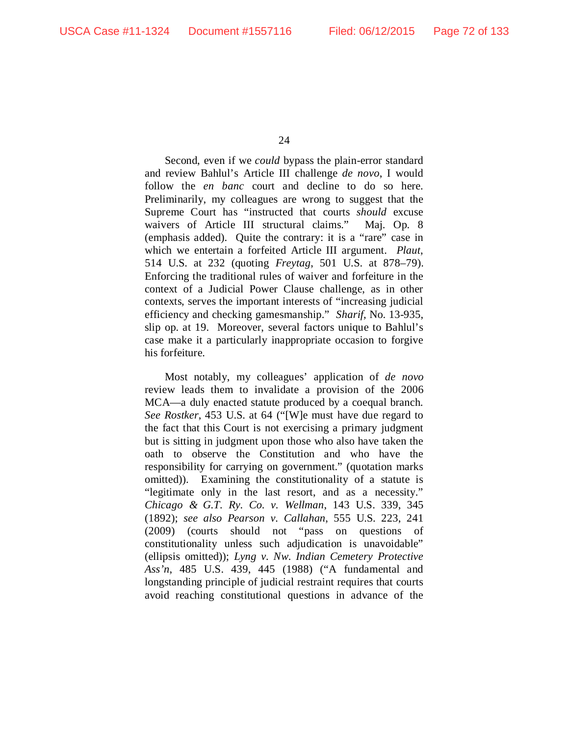Second, even if we *could* bypass the plain-error standard and review Bahlul's Article III challenge *de novo*, I would follow the *en banc* court and decline to do so here. Preliminarily, my colleagues are wrong to suggest that the Supreme Court has "instructed that courts *should* excuse waivers of Article III structural claims." Maj. Op. 8 (emphasis added). Quite the contrary: it is a "rare" case in which we entertain a forfeited Article III argument. *Plaut*, 514 U.S. at 232 (quoting *Freytag*, 501 U.S. at 878–79). Enforcing the traditional rules of waiver and forfeiture in the context of a Judicial Power Clause challenge, as in other contexts, serves the important interests of "increasing judicial efficiency and checking gamesmanship." *Sharif*, No. 13-935, slip op. at 19. Moreover, several factors unique to Bahlul's case make it a particularly inappropriate occasion to forgive his forfeiture.

Most notably, my colleagues' application of *de novo* review leads them to invalidate a provision of the 2006 MCA—a duly enacted statute produced by a coequal branch. *See Rostker*, 453 U.S. at 64 ("[W]e must have due regard to the fact that this Court is not exercising a primary judgment but is sitting in judgment upon those who also have taken the oath to observe the Constitution and who have the responsibility for carrying on government." (quotation marks omitted)). Examining the constitutionality of a statute is "legitimate only in the last resort, and as a necessity." *Chicago & G.T. Ry. Co. v. Wellman*, 143 U.S. 339, 345 (1892); *see also Pearson v. Callahan*, 555 U.S. 223, 241 (2009) (courts should not "pass on questions of constitutionality unless such adjudication is unavoidable" (ellipsis omitted)); *Lyng v. Nw. Indian Cemetery Protective Ass'n*, 485 U.S. 439, 445 (1988) ("A fundamental and longstanding principle of judicial restraint requires that courts avoid reaching constitutional questions in advance of the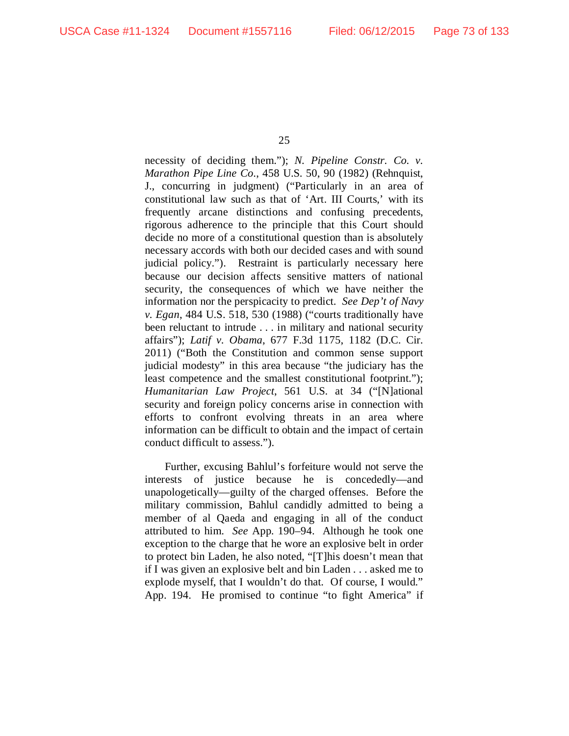necessity of deciding them."); *N. Pipeline Constr. Co. v. Marathon Pipe Line Co.*, 458 U.S. 50, 90 (1982) (Rehnquist, J., concurring in judgment) ("Particularly in an area of constitutional law such as that of 'Art. III Courts,' with its frequently arcane distinctions and confusing precedents, rigorous adherence to the principle that this Court should decide no more of a constitutional question than is absolutely necessary accords with both our decided cases and with sound judicial policy."). Restraint is particularly necessary here because our decision affects sensitive matters of national security, the consequences of which we have neither the information nor the perspicacity to predict. *See Dep't of Navy v. Egan*, 484 U.S. 518, 530 (1988) ("courts traditionally have been reluctant to intrude . . . in military and national security affairs"); *Latif v. Obama*, 677 F.3d 1175, 1182 (D.C. Cir. 2011) ("Both the Constitution and common sense support judicial modesty" in this area because "the judiciary has the least competence and the smallest constitutional footprint."); *Humanitarian Law Project*, 561 U.S. at 34 ("[N]ational security and foreign policy concerns arise in connection with efforts to confront evolving threats in an area where information can be difficult to obtain and the impact of certain conduct difficult to assess.").

Further, excusing Bahlul's forfeiture would not serve the interests of justice because he is concededly—and unapologetically—guilty of the charged offenses. Before the military commission, Bahlul candidly admitted to being a member of al Qaeda and engaging in all of the conduct attributed to him. *See* App. 190–94. Although he took one exception to the charge that he wore an explosive belt in order to protect bin Laden, he also noted, "[T]his doesn't mean that if I was given an explosive belt and bin Laden . . . asked me to explode myself, that I wouldn't do that. Of course, I would." App. 194. He promised to continue "to fight America" if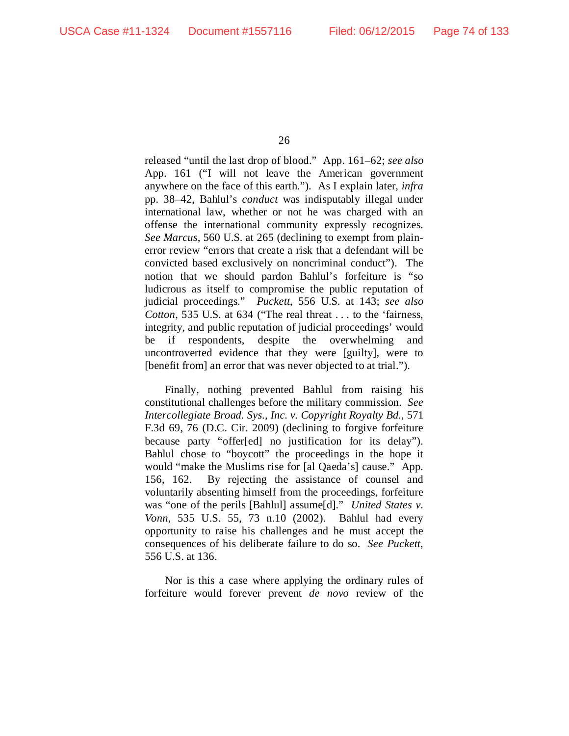released "until the last drop of blood." App. 161–62; *see also*  App. 161 ("I will not leave the American government anywhere on the face of this earth."). As I explain later, *infra*  pp. 38–42, Bahlul's *conduct* was indisputably illegal under international law, whether or not he was charged with an offense the international community expressly recognizes. *See Marcus*, 560 U.S. at 265 (declining to exempt from plainerror review "errors that create a risk that a defendant will be convicted based exclusively on noncriminal conduct"). The notion that we should pardon Bahlul's forfeiture is "so ludicrous as itself to compromise the public reputation of judicial proceedings." *Puckett*, 556 U.S. at 143; *see also Cotton*, 535 U.S. at 634 ("The real threat . . . to the 'fairness, integrity, and public reputation of judicial proceedings' would be if respondents, despite the overwhelming and uncontroverted evidence that they were [guilty], were to [benefit from] an error that was never objected to at trial.").

Finally, nothing prevented Bahlul from raising his constitutional challenges before the military commission. *See Intercollegiate Broad. Sys., Inc. v. Copyright Royalty Bd.*, 571 F.3d 69, 76 (D.C. Cir. 2009) (declining to forgive forfeiture because party "offer[ed] no justification for its delay"). Bahlul chose to "boycott" the proceedings in the hope it would "make the Muslims rise for [al Qaeda's] cause." App. 156, 162. By rejecting the assistance of counsel and voluntarily absenting himself from the proceedings, forfeiture was "one of the perils [Bahlul] assume[d]." *United States v. Vonn*, 535 U.S. 55, 73 n.10 (2002). Bahlul had every opportunity to raise his challenges and he must accept the consequences of his deliberate failure to do so. *See Puckett*, 556 U.S. at 136.

Nor is this a case where applying the ordinary rules of forfeiture would forever prevent *de novo* review of the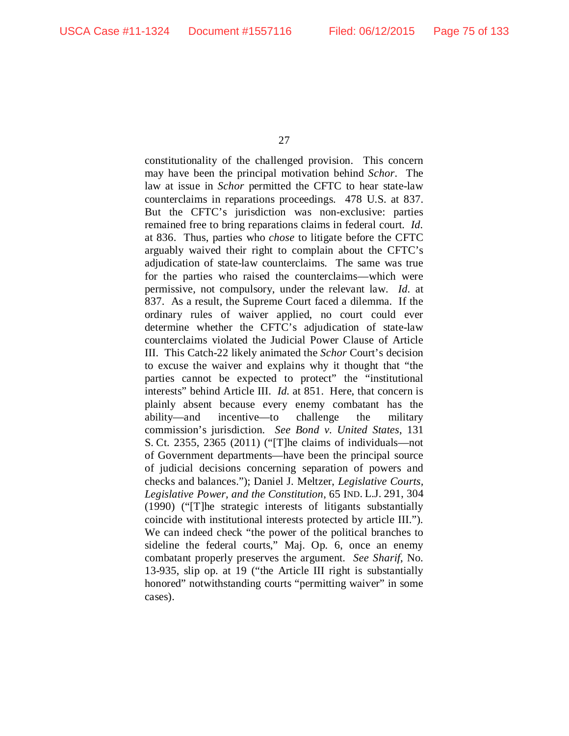constitutionality of the challenged provision. This concern may have been the principal motivation behind *Schor*. The law at issue in *Schor* permitted the CFTC to hear state-law counterclaims in reparations proceedings. 478 U.S. at 837. But the CFTC's jurisdiction was non-exclusive: parties remained free to bring reparations claims in federal court. *Id.* at 836. Thus, parties who *chose* to litigate before the CFTC arguably waived their right to complain about the CFTC's adjudication of state-law counterclaims. The same was true for the parties who raised the counterclaims—which were permissive, not compulsory, under the relevant law. *Id.* at 837. As a result, the Supreme Court faced a dilemma. If the ordinary rules of waiver applied, no court could ever determine whether the CFTC's adjudication of state-law counterclaims violated the Judicial Power Clause of Article III. This Catch-22 likely animated the *Schor* Court's decision to excuse the waiver and explains why it thought that "the parties cannot be expected to protect" the "institutional interests" behind Article III. *Id.* at 851. Here, that concern is plainly absent because every enemy combatant has the ability—and incentive—to challenge the military commission's jurisdiction. *See Bond v. United States*, 131 S. Ct. 2355, 2365 (2011) ("[T]he claims of individuals—not of Government departments—have been the principal source of judicial decisions concerning separation of powers and checks and balances."); Daniel J. Meltzer, *Legislative Courts, Legislative Power, and the Constitution*, 65 IND. L.J. 291, 304 (1990) ("[T]he strategic interests of litigants substantially coincide with institutional interests protected by article III."). We can indeed check "the power of the political branches to sideline the federal courts," Maj. Op. 6, once an enemy combatant properly preserves the argument. *See Sharif*, No. 13-935, slip op. at 19 ("the Article III right is substantially honored" notwithstanding courts "permitting waiver" in some cases).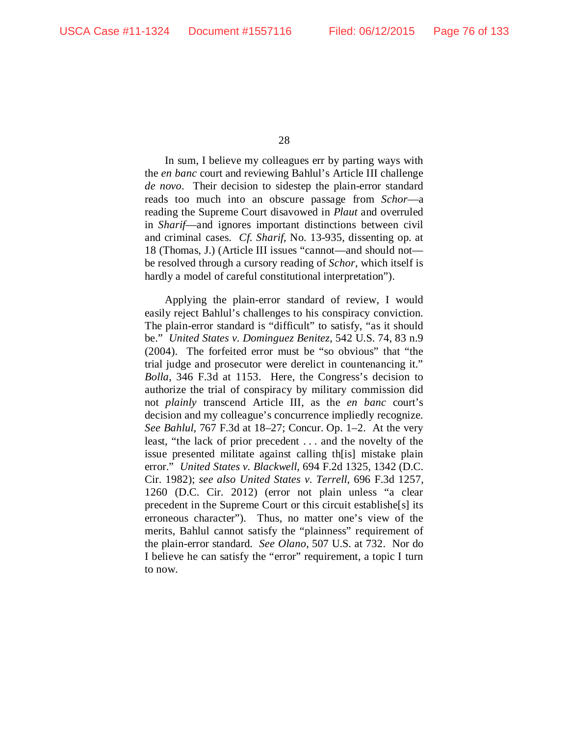In sum, I believe my colleagues err by parting ways with the *en banc* court and reviewing Bahlul's Article III challenge *de novo*. Their decision to sidestep the plain-error standard reads too much into an obscure passage from *Schor*—a reading the Supreme Court disavowed in *Plaut* and overruled in *Sharif*—and ignores important distinctions between civil and criminal cases. *Cf. Sharif*, No. 13-935, dissenting op. at 18 (Thomas, J.) (Article III issues "cannot—and should not be resolved through a cursory reading of *Schor*, which itself is hardly a model of careful constitutional interpretation").

Applying the plain-error standard of review, I would easily reject Bahlul's challenges to his conspiracy conviction. The plain-error standard is "difficult" to satisfy, "as it should be." *United States v. Dominguez Benitez*, 542 U.S. 74, 83 n.9 (2004). The forfeited error must be "so obvious" that "the trial judge and prosecutor were derelict in countenancing it." *Bolla*, 346 F.3d at 1153. Here, the Congress's decision to authorize the trial of conspiracy by military commission did not *plainly* transcend Article III, as the *en banc* court's decision and my colleague's concurrence impliedly recognize. *See Bahlul*, 767 F.3d at 18–27; Concur. Op. 1–2. At the very least, "the lack of prior precedent . . . and the novelty of the issue presented militate against calling th[is] mistake plain error." *United States v. Blackwell*, 694 F.2d 1325, 1342 (D.C. Cir. 1982); *see also United States v. Terrell*, 696 F.3d 1257, 1260 (D.C. Cir. 2012) (error not plain unless "a clear precedent in the Supreme Court or this circuit establishe[s] its erroneous character"). Thus, no matter one's view of the merits, Bahlul cannot satisfy the "plainness" requirement of the plain-error standard. *See Olano*, 507 U.S. at 732. Nor do I believe he can satisfy the "error" requirement, a topic I turn to now.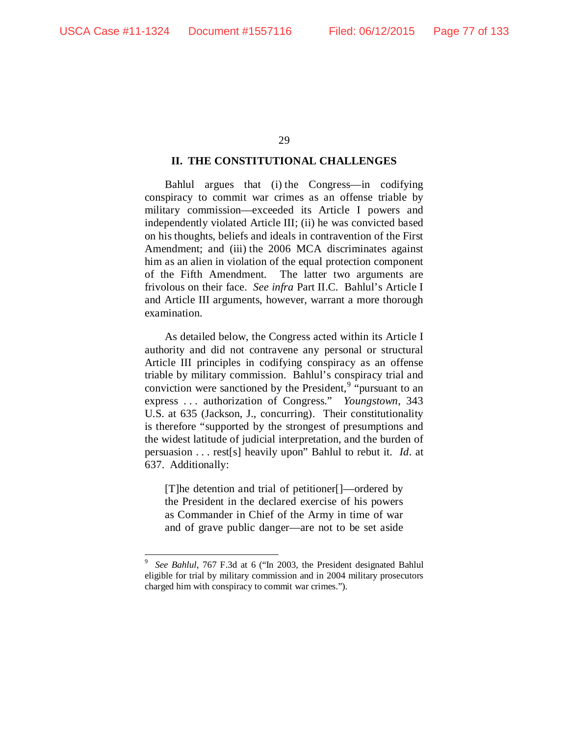## **II. THE CONSTITUTIONAL CHALLENGES**

Bahlul argues that (i) the Congress—in codifying conspiracy to commit war crimes as an offense triable by military commission—exceeded its Article I powers and independently violated Article III; (ii) he was convicted based on his thoughts, beliefs and ideals in contravention of the First Amendment; and (iii) the 2006 MCA discriminates against him as an alien in violation of the equal protection component of the Fifth Amendment. The latter two arguments are frivolous on their face. *See infra* Part II.C. Bahlul's Article I and Article III arguments, however, warrant a more thorough examination.

As detailed below, the Congress acted within its Article I authority and did not contravene any personal or structural Article III principles in codifying conspiracy as an offense triable by military commission. Bahlul's conspiracy trial and conviction were sanctioned by the President, $9$  "pursuant to an express . . . authorization of Congress." *Youngstown*, 343 U.S. at 635 (Jackson, J., concurring). Their constitutionality is therefore "supported by the strongest of presumptions and the widest latitude of judicial interpretation, and the burden of persuasion . . . rest[s] heavily upon" Bahlul to rebut it. *Id*. at 637. Additionally:

[T]he detention and trial of petitioner[]—ordered by the President in the declared exercise of his powers as Commander in Chief of the Army in time of war and of grave public danger—are not to be set aside

<span id="page-76-0"></span><sup>-&</sup>lt;br>9 *See Bahlul*, 767 F.3d at 6 ("In 2003, the President designated Bahlul eligible for trial by military commission and in 2004 military prosecutors charged him with conspiracy to commit war crimes.").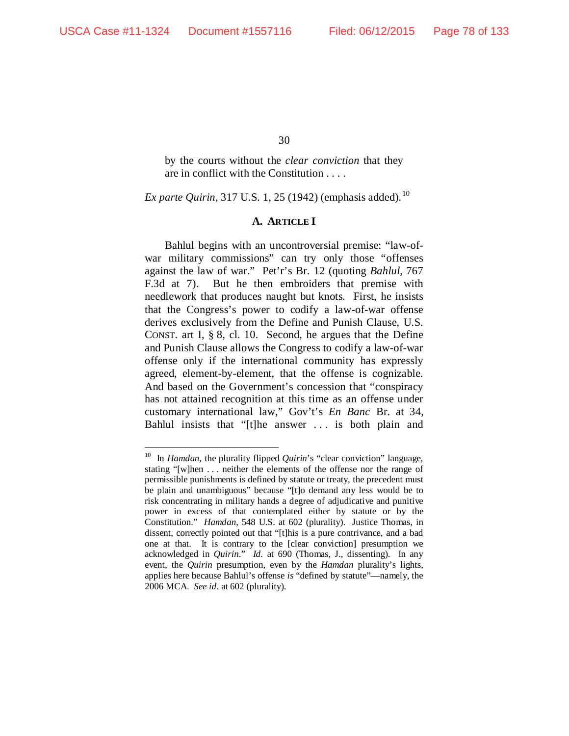by the courts without the *clear conviction* that they are in conflict with the Constitution . . . .

*Ex parte Quirin,* 317 U.S. 1, 25 (1942) (emphasis added).<sup>[10](#page-77-0)</sup>

# **A. ARTICLE I**

Bahlul begins with an uncontroversial premise: "law-ofwar military commissions" can try only those "offenses against the law of war." Pet'r's Br. 12 (quoting *Bahlul*, 767 F.3d at 7). But he then embroiders that premise with needlework that produces naught but knots. First, he insists that the Congress's power to codify a law-of-war offense derives exclusively from the Define and Punish Clause, U.S. CONST. art I, § 8, cl. 10. Second, he argues that the Define and Punish Clause allows the Congress to codify a law-of-war offense only if the international community has expressly agreed, element-by-element, that the offense is cognizable. And based on the Government's concession that "conspiracy has not attained recognition at this time as an offense under customary international law," Gov't's *En Banc* Br. at 34, Bahlul insists that "[t]he answer . . . is both plain and

<span id="page-77-0"></span> <sup>10</sup> In *Hamdan*, the plurality flipped *Quirin*'s "clear conviction" language, stating "[w]hen . . . neither the elements of the offense nor the range of permissible punishments is defined by statute or treaty, the precedent must be plain and unambiguous" because "[t]o demand any less would be to risk concentrating in military hands a degree of adjudicative and punitive power in excess of that contemplated either by statute or by the Constitution." *Hamdan*, 548 U.S. at 602 (plurality). Justice Thomas, in dissent, correctly pointed out that "[t]his is a pure contrivance, and a bad one at that. It is contrary to the [clear conviction] presumption we acknowledged in *Quirin*." *Id.* at 690 (Thomas, J., dissenting). In any event, the *Quirin* presumption, even by the *Hamdan* plurality's lights, applies here because Bahlul's offense *is* "defined by statute"—namely, the 2006 MCA. *See id.* at 602 (plurality).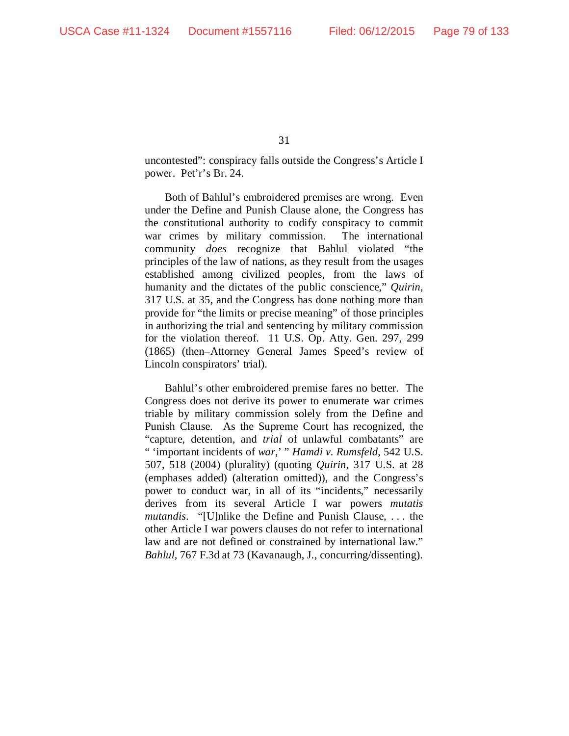uncontested": conspiracy falls outside the Congress's Article I power. Pet'r's Br. 24.

Both of Bahlul's embroidered premises are wrong. Even under the Define and Punish Clause alone, the Congress has the constitutional authority to codify conspiracy to commit war crimes by military commission. The international community *does* recognize that Bahlul violated "the principles of the law of nations, as they result from the usages established among civilized peoples, from the laws of humanity and the dictates of the public conscience," *Quirin*, 317 U.S. at 35, and the Congress has done nothing more than provide for "the limits or precise meaning" of those principles in authorizing the trial and sentencing by military commission for the violation thereof. 11 U.S. Op. Atty. Gen. 297, 299 (1865) (then–Attorney General James Speed's review of Lincoln conspirators' trial).

Bahlul's other embroidered premise fares no better. The Congress does not derive its power to enumerate war crimes triable by military commission solely from the Define and Punish Clause. As the Supreme Court has recognized, the "capture, detention, and *trial* of unlawful combatants" are " 'important incidents of *war*,' " *Hamdi v. Rumsfeld*, 542 U.S. 507, 518 (2004) (plurality) (quoting *Quirin*, 317 U.S. at 28 (emphases added) (alteration omitted)), and the Congress's power to conduct war, in all of its "incidents," necessarily derives from its several Article I war powers *mutatis mutandis*. "[U]nlike the Define and Punish Clause, . . . the other Article I war powers clauses do not refer to international law and are not defined or constrained by international law." *Bahlul*, 767 F.3d at 73 (Kavanaugh, J., concurring/dissenting).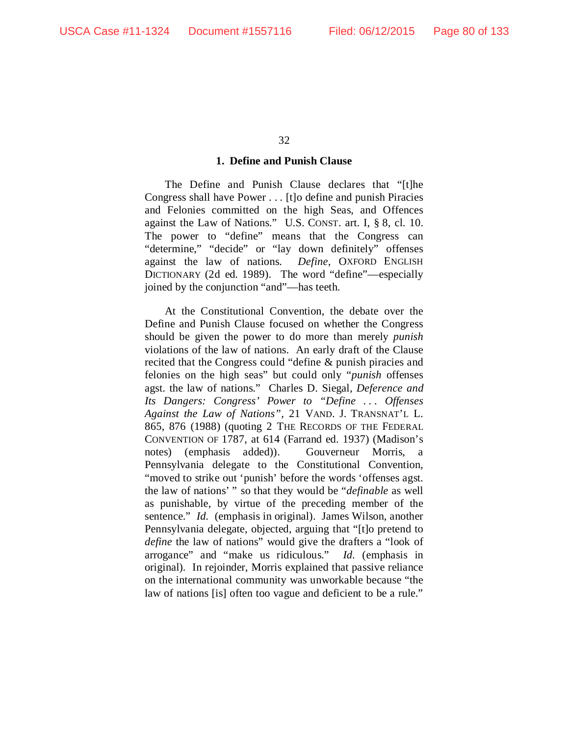## **1. Define and Punish Clause**

The Define and Punish Clause declares that "[t]he Congress shall have Power . . . [t]o define and punish Piracies and Felonies committed on the high Seas, and Offences against the Law of Nations." U.S. CONST. art. I, § 8, cl. 10. The power to "define" means that the Congress can "determine," "decide" or "lay down definitely" offenses against the law of nations. *Define*, OXFORD ENGLISH DICTIONARY (2d ed. 1989). The word "define"—especially joined by the conjunction "and"—has teeth.

At the Constitutional Convention, the debate over the Define and Punish Clause focused on whether the Congress should be given the power to do more than merely *punish* violations of the law of nations. An early draft of the Clause recited that the Congress could "define & punish piracies and felonies on the high seas" but could only "*punish* offenses agst. the law of nations." Charles D. Siegal, *Deference and Its Dangers: Congress' Power to "Define ... Offenses Against the Law of Nations"*, 21 VAND. J. TRANSNAT'L L. 865, 876 (1988) (quoting 2 THE RECORDS OF THE FEDERAL CONVENTION OF 1787, at 614 (Farrand ed. 1937) (Madison's notes) (emphasis added)). Gouverneur Morris, a Pennsylvania delegate to the Constitutional Convention, "moved to strike out 'punish' before the words 'offenses agst. the law of nations' " so that they would be "*definable* as well as punishable, by virtue of the preceding member of the sentence." *Id.* (emphasis in original). James Wilson, another Pennsylvania delegate, objected, arguing that "[t]o pretend to *define* the law of nations" would give the drafters a "look of arrogance" and "make us ridiculous." *Id.* (emphasis in original). In rejoinder, Morris explained that passive reliance on the international community was unworkable because "the law of nations [is] often too vague and deficient to be a rule."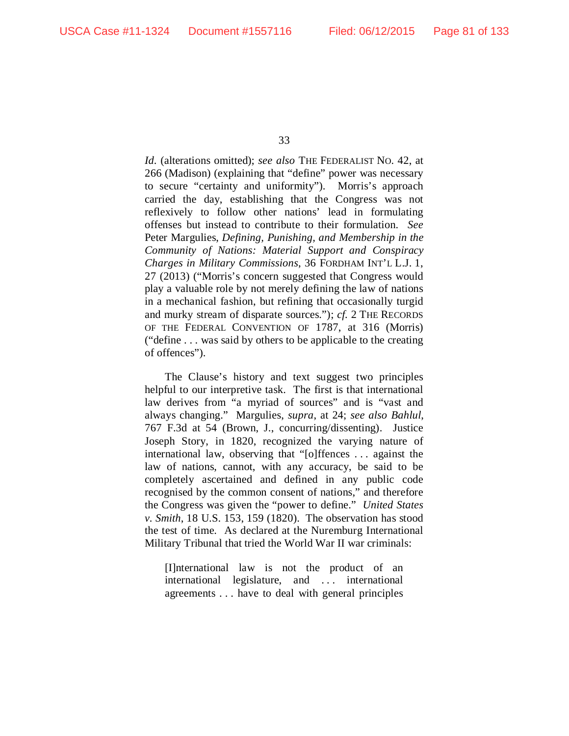*Id.* (alterations omitted); *see also* THE FEDERALIST NO. 42, at 266 (Madison) (explaining that "define" power was necessary to secure "certainty and uniformity"). Morris's approach carried the day, establishing that the Congress was not reflexively to follow other nations' lead in formulating offenses but instead to contribute to their formulation. *See*  Peter Margulies, *Defining, Punishing, and Membership in the Community of Nations: Material Support and Conspiracy Charges in Military Commissions*, 36 FORDHAM INT'L L.J. 1, 27 (2013) ("Morris's concern suggested that Congress would play a valuable role by not merely defining the law of nations in a mechanical fashion, but refining that occasionally turgid and murky stream of disparate sources."); *cf.* 2 THE RECORDS OF THE FEDERAL CONVENTION OF 1787, at 316 (Morris) ("define . . . was said by others to be applicable to the creating of offences").

The Clause's history and text suggest two principles helpful to our interpretive task. The first is that international law derives from "a myriad of sources" and is "vast and always changing." Margulies, *supra*, at 24; *see also Bahlul*, 767 F.3d at 54 (Brown, J., concurring/dissenting). Justice Joseph Story, in 1820, recognized the varying nature of international law, observing that "[o]ffences . . . against the law of nations, cannot, with any accuracy, be said to be completely ascertained and defined in any public code recognised by the common consent of nations," and therefore the Congress was given the "power to define." *United States v. Smith*, 18 U.S. 153, 159 (1820). The observation has stood the test of time. As declared at the Nuremburg International Military Tribunal that tried the World War II war criminals:

[I]nternational law is not the product of an international legislature, and . . . international agreements . . . have to deal with general principles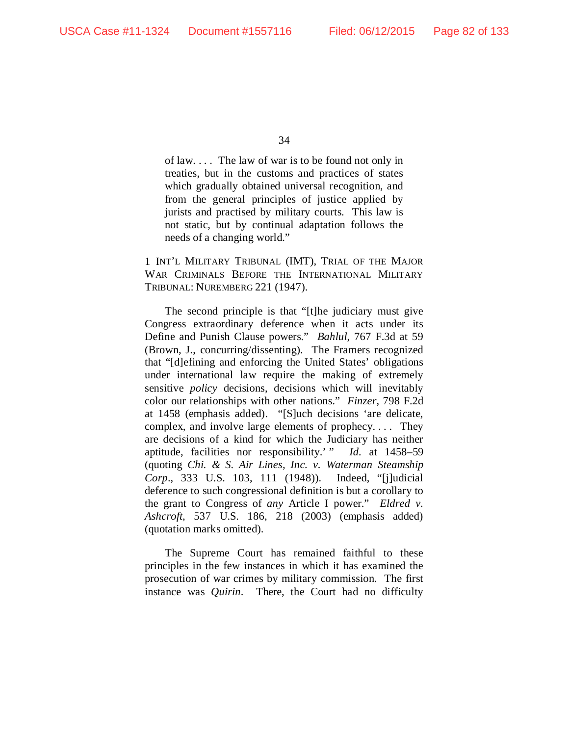of law. . . . The law of war is to be found not only in treaties, but in the customs and practices of states which gradually obtained universal recognition, and from the general principles of justice applied by jurists and practised by military courts. This law is not static, but by continual adaptation follows the needs of a changing world."

1 INT'L MILITARY TRIBUNAL (IMT), TRIAL OF THE MAJOR WAR CRIMINALS BEFORE THE INTERNATIONAL MILITARY TRIBUNAL: NUREMBERG 221 (1947).

The second principle is that "[t]he judiciary must give Congress extraordinary deference when it acts under its Define and Punish Clause powers." *Bahlul*, 767 F.3d at 59 (Brown, J., concurring/dissenting). The Framers recognized that "[d]efining and enforcing the United States' obligations under international law require the making of extremely sensitive *policy* decisions, decisions which will inevitably color our relationships with other nations." *Finzer*, 798 F.2d at 1458 (emphasis added). "[S]uch decisions 'are delicate, complex, and involve large elements of prophecy. . . . They are decisions of a kind for which the Judiciary has neither aptitude, facilities nor responsibility.' " *Id.* at 1458–59 (quoting *Chi. & S. Air Lines, Inc. v. Waterman Steamship Corp*., 333 U.S. 103, 111 (1948)). Indeed, "[j]udicial deference to such congressional definition is but a corollary to the grant to Congress of *any* Article I power." *Eldred v. Ashcroft*, 537 U.S. 186, 218 (2003) (emphasis added) (quotation marks omitted).

The Supreme Court has remained faithful to these principles in the few instances in which it has examined the prosecution of war crimes by military commission. The first instance was *Quirin*. There, the Court had no difficulty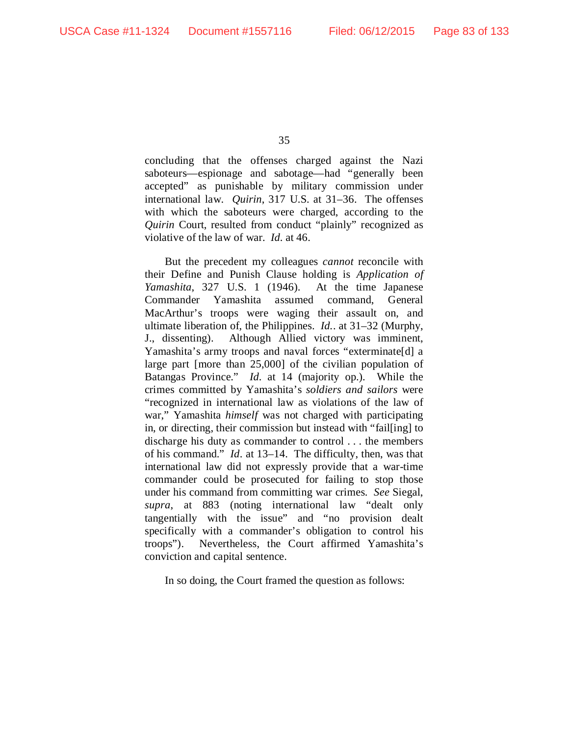concluding that the offenses charged against the Nazi saboteurs—espionage and sabotage—had "generally been accepted" as punishable by military commission under international law. *Quirin*, 317 U.S. at 31–36. The offenses with which the saboteurs were charged, according to the *Quirin* Court, resulted from conduct "plainly" recognized as violative of the law of war. *Id.* at 46.

But the precedent my colleagues *cannot* reconcile with their Define and Punish Clause holding is *Application of Yamashita*, 327 U.S. 1 (1946). At the time Japanese Commander Yamashita assumed command, General MacArthur's troops were waging their assault on, and ultimate liberation of, the Philippines. *Id.*. at 31–32 (Murphy, J., dissenting). Although Allied victory was imminent, Yamashita's army troops and naval forces "exterminate[d] a large part [more than 25,000] of the civilian population of Batangas Province." *Id.* at 14 (majority op.). While the crimes committed by Yamashita's *soldiers and sailors* were "recognized in international law as violations of the law of war," Yamashita *himself* was not charged with participating in, or directing, their commission but instead with "fail[ing] to discharge his duty as commander to control . . . the members of his command." *Id*. at 13–14. The difficulty, then, was that international law did not expressly provide that a war-time commander could be prosecuted for failing to stop those under his command from committing war crimes. *See* Siegal, *supra*, at 883 (noting international law "dealt only tangentially with the issue" and "no provision dealt specifically with a commander's obligation to control his troops"). Nevertheless, the Court affirmed Yamashita's conviction and capital sentence.

In so doing, the Court framed the question as follows: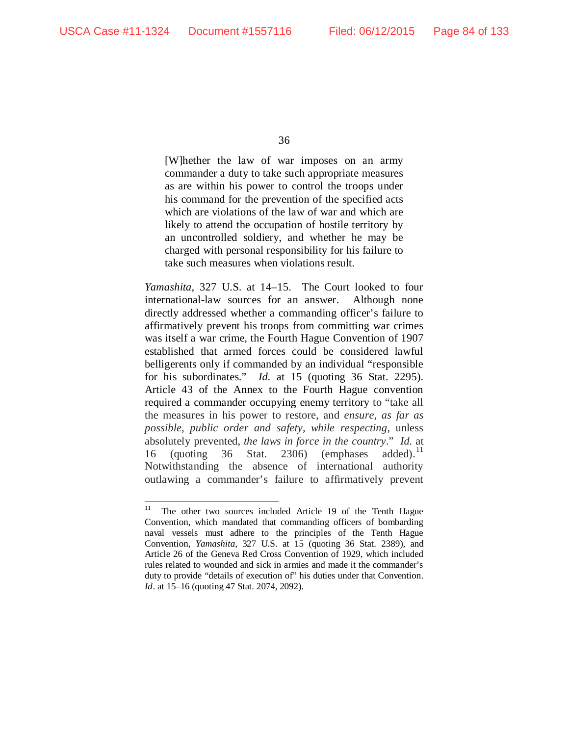[W]hether the law of war imposes on an army commander a duty to take such appropriate measures as are within his power to control the troops under his command for the prevention of the specified acts which are violations of the law of war and which are likely to attend the occupation of hostile territory by an uncontrolled soldiery, and whether he may be charged with personal responsibility for his failure to take such measures when violations result.

*Yamashita*, 327 U.S. at 14–15. The Court looked to four international-law sources for an answer. Although none directly addressed whether a commanding officer's failure to affirmatively prevent his troops from committing war crimes was itself a war crime, the Fourth Hague Convention of 1907 established that armed forces could be considered lawful belligerents only if commanded by an individual "responsible for his subordinates." *Id.* at 15 (quoting 36 Stat. 2295). Article 43 of the Annex to the Fourth Hague convention required a commander occupying enemy territory to "take all the measures in his power to restore, and *ensure, as far as possible, public order and safety, while respecting*, unless absolutely prevented, *the laws in force in the country*." *Id.* at 16 (quoting 36 Stat. 2306) (emphases added). Notwithstanding the absence of international authority outlawing a commander's failure to affirmatively prevent

<span id="page-83-0"></span><sup>&</sup>lt;sup>11</sup> The other two sources included Article 19 of the Tenth Hague Convention, which mandated that commanding officers of bombarding naval vessels must adhere to the principles of the Tenth Hague Convention, *Yamashita*, 327 U.S. at 15 (quoting 36 Stat. 2389), and Article 26 of the Geneva Red Cross Convention of 1929, which included rules related to wounded and sick in armies and made it the commander's duty to provide "details of execution of" his duties under that Convention. *Id*. at 15–16 (quoting 47 Stat. 2074, 2092).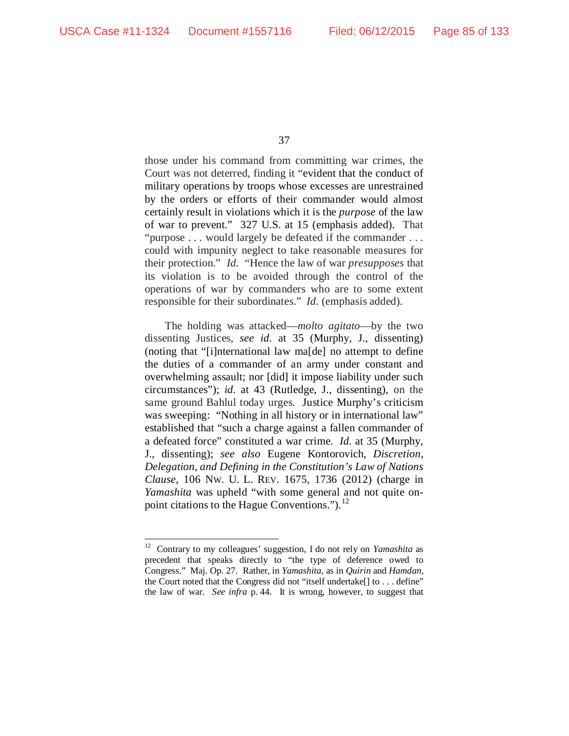those under his command from committing war crimes, the Court was not deterred, finding it "evident that the conduct of military operations by troops whose excesses are unrestrained by the orders or efforts of their commander would almost certainly result in violations which it is the *purpose* of the law of war to prevent." 327 U.S. at 15 (emphasis added). That "purpose . . . would largely be defeated if the commander . . . could with impunity neglect to take reasonable measures for their protection." *Id.* "Hence the law of war *presupposes* that its violation is to be avoided through the control of the operations of war by commanders who are to some extent responsible for their subordinates." *Id.* (emphasis added).

The holding was attacked—*molto agitato*—by the two dissenting Justices, *see id*. at 35 (Murphy, J., dissenting) (noting that "[i]nternational law ma[de] no attempt to define the duties of a commander of an army under constant and overwhelming assault; nor [did] it impose liability under such circumstances"); *id.* at 43 (Rutledge, J., dissenting), on the same ground Bahlul today urges. Justice Murphy's criticism was sweeping: "Nothing in all history or in international law" established that "such a charge against a fallen commander of a defeated force" constituted a war crime. *Id.* at 35 (Murphy, J., dissenting); *see also* Eugene Kontorovich, *Discretion, Delegation, and Defining in the Constitution's Law of Nations Clause*, 106 NW. U. L. REV. 1675, 1736 (2012) (charge in *Yamashita* was upheld "with some general and not quite on-point citations to the Hague Conventions.").<sup>[12](#page-84-0)</sup>

<span id="page-84-0"></span> <sup>12</sup> Contrary to my colleagues' suggestion, I do not rely on *Yamashita* as precedent that speaks directly to "the type of deference owed to Congress." Maj. Op. 27. Rather, in *Yamashita*, as in *Quirin* and *Hamdan*, the Court noted that the Congress did not "itself undertake[] to . . . define" the law of war. *See infra* p. 44. It is wrong, however, to suggest that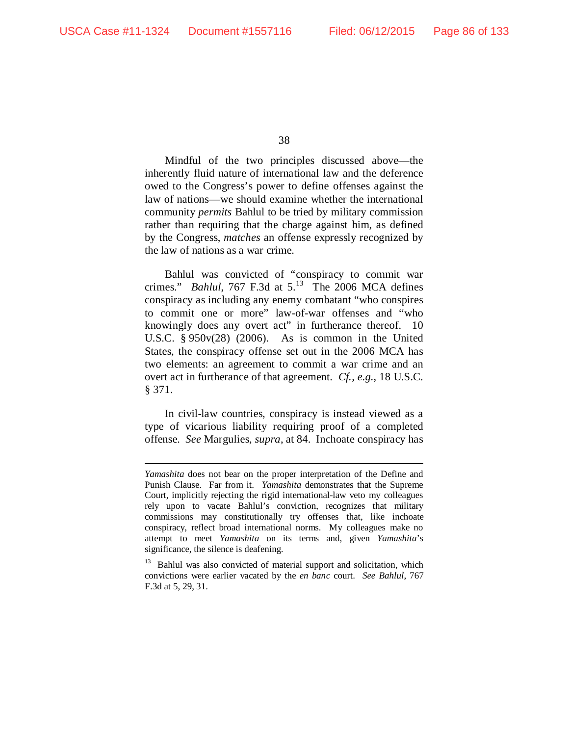38

Mindful of the two principles discussed above—the inherently fluid nature of international law and the deference owed to the Congress's power to define offenses against the law of nations—we should examine whether the international community *permits* Bahlul to be tried by military commission rather than requiring that the charge against him, as defined by the Congress, *matches* an offense expressly recognized by the law of nations as a war crime.

Bahlul was convicted of "conspiracy to commit war crimes." *Bahlul*, 767 F.3d at  $5^{13}$  The 2006 MCA defines conspiracy as including any enemy combatant "who conspires to commit one or more" law-of-war offenses and "who knowingly does any overt act" in furtherance thereof. 10 U.S.C. § 950v(28) (2006). As is common in the United States, the conspiracy offense set out in the 2006 MCA has two elements: an agreement to commit a war crime and an overt act in furtherance of that agreement. *Cf., e.g.*, 18 U.S.C. § 371.

In civil-law countries, conspiracy is instead viewed as a type of vicarious liability requiring proof of a completed offense. *See* Margulies, *supra*, at 84. Inchoate conspiracy has

*Yamashita* does not bear on the proper interpretation of the Define and Punish Clause. Far from it. *Yamashita* demonstrates that the Supreme Court, implicitly rejecting the rigid international-law veto my colleagues rely upon to vacate Bahlul's conviction, recognizes that military commissions may constitutionally try offenses that, like inchoate conspiracy, reflect broad international norms. My colleagues make no attempt to meet *Yamashita* on its terms and, given *Yamashita*'s significance, the silence is deafening.

<span id="page-85-0"></span><sup>&</sup>lt;sup>13</sup> Bahlul was also convicted of material support and solicitation, which convictions were earlier vacated by the *en banc* court. *See Bahlul*, 767 F.3d at 5, 29, 31.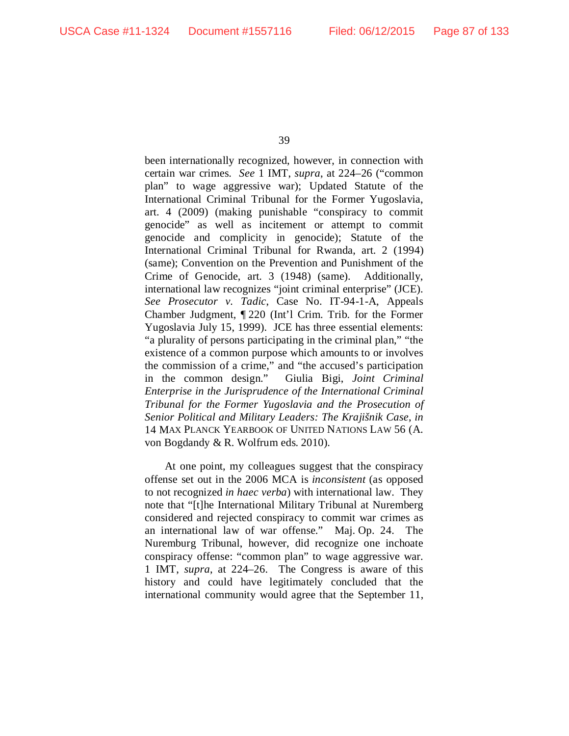been internationally recognized, however, in connection with certain war crimes. *See* 1 IMT, *supra*, at 224–26 ("common plan" to wage aggressive war); Updated Statute of the International Criminal Tribunal for the Former Yugoslavia, art. 4 (2009) (making punishable "conspiracy to commit genocide" as well as incitement or attempt to commit genocide and complicity in genocide); Statute of the International Criminal Tribunal for Rwanda, art. 2 (1994) (same); Convention on the Prevention and Punishment of the Crime of Genocide, art. 3 (1948) (same). Additionally, international law recognizes "joint criminal enterprise" (JCE). *See Prosecutor v. Tadic*, Case No. IT-94-1-A, Appeals Chamber Judgment, ¶ 220 (Int'l Crim. Trib. for the Former Yugoslavia July 15, 1999). JCE has three essential elements: "a plurality of persons participating in the criminal plan," "the existence of a common purpose which amounts to or involves the commission of a crime," and "the accused's participation in the common design." Giulia Bigi, *Joint Criminal Enterprise in the Jurisprudence of the International Criminal Tribunal for the Former Yugoslavia and the Prosecution of Senior Political and Military Leaders: The Krajišnik Case*, *in*  14 MAX PLANCK YEARBOOK OF UNITED NATIONS LAW 56 (A. von Bogdandy & R. Wolfrum eds. 2010).

At one point, my colleagues suggest that the conspiracy offense set out in the 2006 MCA is *inconsistent* (as opposed to not recognized *in haec verba*) with international law. They note that "[t]he International Military Tribunal at Nuremberg considered and rejected conspiracy to commit war crimes as an international law of war offense." Maj. Op. 24. The Nuremburg Tribunal, however, did recognize one inchoate conspiracy offense: "common plan" to wage aggressive war. 1 IMT, *supra*, at 224–26. The Congress is aware of this history and could have legitimately concluded that the international community would agree that the September 11,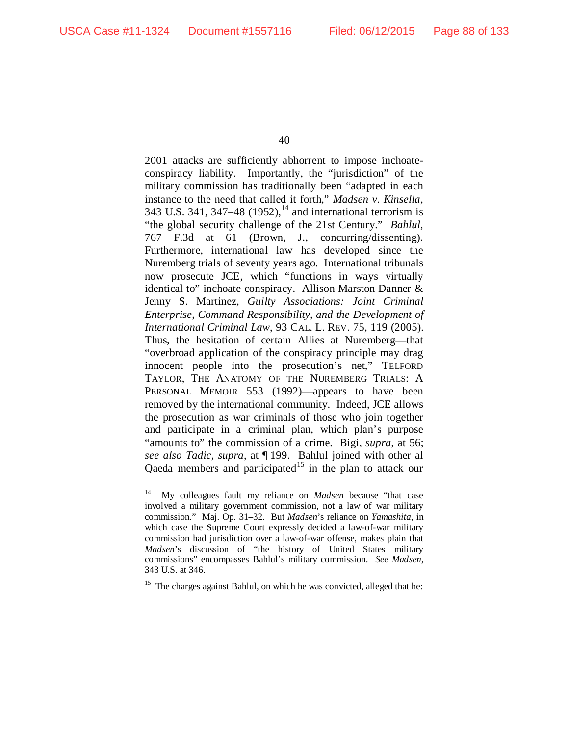2001 attacks are sufficiently abhorrent to impose inchoateconspiracy liability. Importantly, the "jurisdiction" of the military commission has traditionally been "adapted in each instance to the need that called it forth," *Madsen v. Kinsella*, 343 U.S. 341, 347–48 (1952),<sup>[14](#page-87-0)</sup> and international terrorism is "the global security challenge of the 21st Century." *Bahlul*, 767 F.3d at 61 (Brown, J., concurring/dissenting). Furthermore, international law has developed since the Nuremberg trials of seventy years ago. International tribunals now prosecute JCE, which "functions in ways virtually identical to" inchoate conspiracy. Allison Marston Danner & Jenny S. Martinez, *Guilty Associations: Joint Criminal Enterprise, Command Responsibility, and the Development of International Criminal Law*, 93 CAL. L. REV. 75, 119 (2005). Thus, the hesitation of certain Allies at Nuremberg—that "overbroad application of the conspiracy principle may drag innocent people into the prosecution's net," TELFORD TAYLOR, THE ANATOMY OF THE NUREMBERG TRIALS: A PERSONAL MEMOIR 553 (1992)—appears to have been removed by the international community. Indeed, JCE allows the prosecution as war criminals of those who join together and participate in a criminal plan, which plan's purpose "amounts to" the commission of a crime. Bigi, *supra*, at 56; *see also Tadic, supra*, at ¶ 199. Bahlul joined with other al Qaeda members and participated<sup>[15](#page-87-1)</sup> in the plan to attack our

<span id="page-87-0"></span> <sup>14</sup> My colleagues fault my reliance on *Madsen* because "that case involved a military government commission, not a law of war military commission." Maj. Op. 31–32. But *Madsen*'s reliance on *Yamashita*, in which case the Supreme Court expressly decided a law-of-war military commission had jurisdiction over a law-of-war offense, makes plain that *Madsen*'s discussion of "the history of United States military commissions" encompasses Bahlul's military commission. *See Madsen*, 343 U.S. at 346.

<span id="page-87-1"></span><sup>&</sup>lt;sup>15</sup> The charges against Bahlul, on which he was convicted, alleged that he: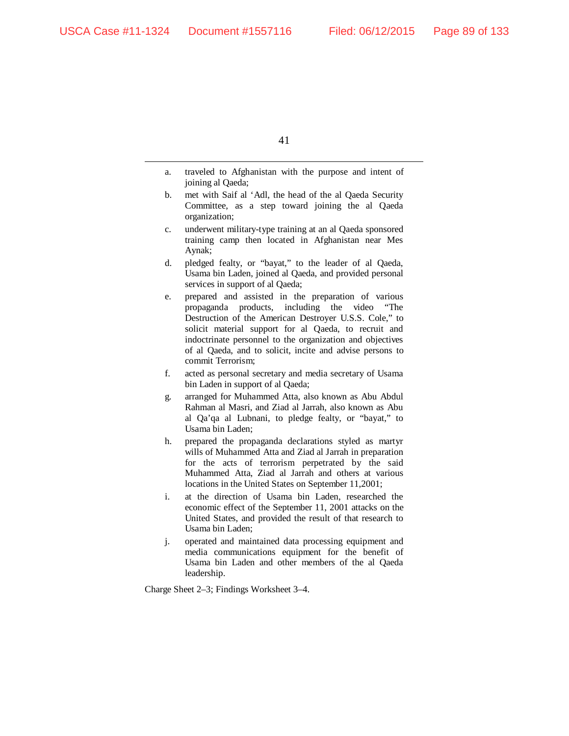- a. traveled to Afghanistan with the purpose and intent of joining al Qaeda;
- b. met with Saif al 'Adl, the head of the al Qaeda Security Committee, as a step toward joining the al Qaeda organization;
- c. underwent military-type training at an al Qaeda sponsored training camp then located in Afghanistan near Mes Aynak;
- d. pledged fealty, or "bayat," to the leader of al Qaeda, Usama bin Laden, joined al Qaeda, and provided personal services in support of al Qaeda;
- e. prepared and assisted in the preparation of various propaganda products, including the video "The Destruction of the American Destroyer U.S.S. Cole," to solicit material support for al Qaeda, to recruit and indoctrinate personnel to the organization and objectives of al Qaeda, and to solicit, incite and advise persons to commit Terrorism;
- f. acted as personal secretary and media secretary of Usama bin Laden in support of al Qaeda;
- g. arranged for Muhammed Atta, also known as Abu Abdul Rahman al Masri, and Ziad al Jarrah, also known as Abu al Qa'qa al Lubnani, to pledge fealty, or "bayat," to Usama bin Laden;
- h. prepared the propaganda declarations styled as martyr wills of Muhammed Atta and Ziad al Jarrah in preparation for the acts of terrorism perpetrated by the said Muhammed Atta, Ziad al Jarrah and others at various locations in the United States on September 11,2001;
- i. at the direction of Usama bin Laden, researched the economic effect of the September 11, 2001 attacks on the United States, and provided the result of that research to Usama bin Laden;
- j. operated and maintained data processing equipment and media communications equipment for the benefit of Usama bin Laden and other members of the al Qaeda leadership.

Charge Sheet 2–3; Findings Worksheet 3–4.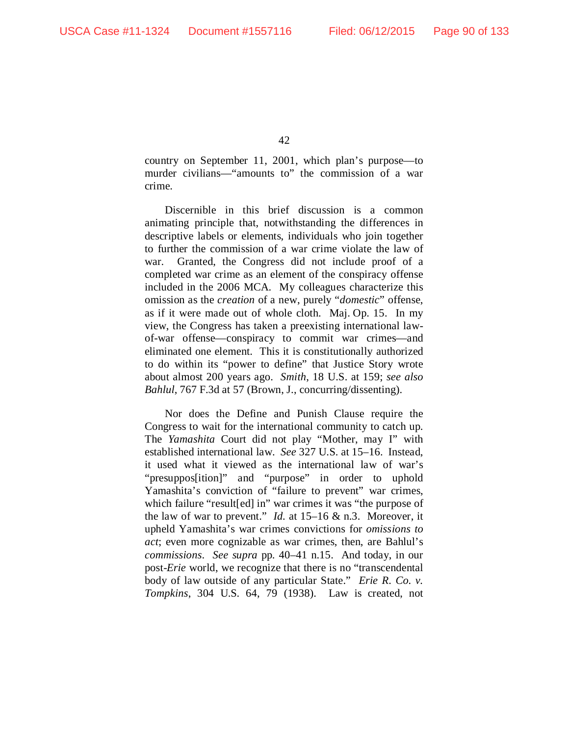country on September 11, 2001, which plan's purpose—to murder civilians—"amounts to" the commission of a war crime.

Discernible in this brief discussion is a common animating principle that, notwithstanding the differences in descriptive labels or elements, individuals who join together to further the commission of a war crime violate the law of war. Granted, the Congress did not include proof of a completed war crime as an element of the conspiracy offense included in the 2006 MCA. My colleagues characterize this omission as the *creation* of a new, purely "*domestic*" offense, as if it were made out of whole cloth. Maj. Op. 15. In my view, the Congress has taken a preexisting international lawof-war offense—conspiracy to commit war crimes—and eliminated one element. This it is constitutionally authorized to do within its "power to define" that Justice Story wrote about almost 200 years ago. *Smith*, 18 U.S. at 159; *see also Bahlul*, 767 F.3d at 57 (Brown, J., concurring/dissenting).

Nor does the Define and Punish Clause require the Congress to wait for the international community to catch up. The *Yamashita* Court did not play "Mother, may I" with established international law. *See* 327 U.S. at 15–16. Instead, it used what it viewed as the international law of war's "presuppos[ition]" and "purpose" in order to uphold Yamashita's conviction of "failure to prevent" war crimes, which failure "result[ed] in" war crimes it was "the purpose of the law of war to prevent." *Id.* at 15–16 & n.3. Moreover, it upheld Yamashita's war crimes convictions for *omissions to act*; even more cognizable as war crimes, then, are Bahlul's *commissions*. *See supra* pp. 40–41 n.15. And today, in our post-*Erie* world, we recognize that there is no "transcendental body of law outside of any particular State." *Erie R. Co. v. Tompkins*, 304 U.S. 64, 79 (1938). Law is created, not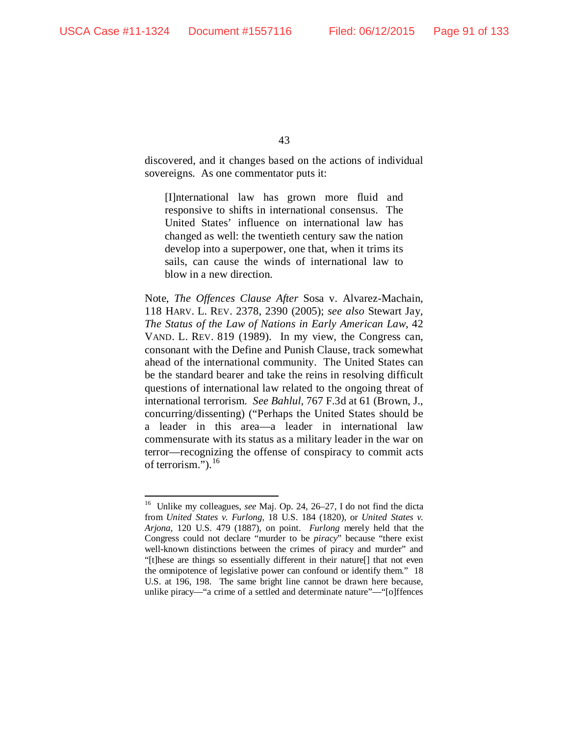discovered, and it changes based on the actions of individual sovereigns. As one commentator puts it:

[I]nternational law has grown more fluid and responsive to shifts in international consensus. The United States' influence on international law has changed as well: the twentieth century saw the nation develop into a superpower, one that, when it trims its sails, can cause the winds of international law to blow in a new direction.

Note, *The Offences Clause After* Sosa v. Alvarez-Machain, 118 HARV. L. REV. 2378, 2390 (2005); *see also* Stewart Jay, *The Status of the Law of Nations in Early American Law*, 42 VAND. L. REV. 819 (1989). In my view, the Congress can, consonant with the Define and Punish Clause, track somewhat ahead of the international community. The United States can be the standard bearer and take the reins in resolving difficult questions of international law related to the ongoing threat of international terrorism. *See Bahlul*, 767 F.3d at 61 (Brown, J., concurring/dissenting) ("Perhaps the United States should be a leader in this area—a leader in international law commensurate with its status as a military leader in the war on terror—recognizing the offense of conspiracy to commit acts of terrorism.").<sup>[16](#page-90-0)</sup>

<span id="page-90-0"></span> <sup>16</sup> Unlike my colleagues, *see* Maj. Op. 24, 26–27, I do not find the dicta from *United States v. Furlong*, 18 U.S. 184 (1820), or *United States v. Arjona*, 120 U.S. 479 (1887), on point. *Furlong* merely held that the Congress could not declare "murder to be *piracy*" because "there exist well-known distinctions between the crimes of piracy and murder" and "[t]hese are things so essentially different in their nature[] that not even the omnipotence of legislative power can confound or identify them." 18 U.S. at 196, 198. The same bright line cannot be drawn here because, unlike piracy—"a crime of a settled and determinate nature"—"[o]ffences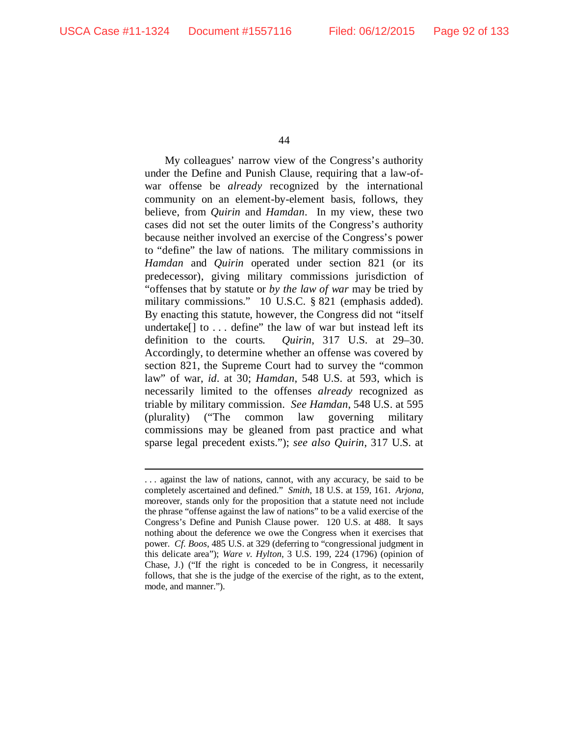-

44

My colleagues' narrow view of the Congress's authority under the Define and Punish Clause, requiring that a law-ofwar offense be *already* recognized by the international community on an element-by-element basis, follows, they believe, from *Quirin* and *Hamdan*. In my view, these two cases did not set the outer limits of the Congress's authority because neither involved an exercise of the Congress's power to "define" the law of nations. The military commissions in *Hamdan* and *Quirin* operated under section 821 (or its predecessor), giving military commissions jurisdiction of "offenses that by statute or *by the law of war* may be tried by military commissions." 10 U.S.C. § 821 (emphasis added). By enacting this statute, however, the Congress did not "itself undertake $[$  to  $\ldots$  define" the law of war but instead left its definition to the courts. *Quirin*, 317 U.S. at 29–30. Accordingly, to determine whether an offense was covered by section 821, the Supreme Court had to survey the "common law" of war, *id*. at 30; *Hamdan*, 548 U.S. at 593, which is necessarily limited to the offenses *already* recognized as triable by military commission. *See Hamdan*, 548 U.S. at 595 (plurality) ("The common law governing military commissions may be gleaned from past practice and what sparse legal precedent exists."); *see also Quirin*, 317 U.S. at

<sup>.</sup> . . against the law of nations, cannot, with any accuracy, be said to be completely ascertained and defined." *Smith*, 18 U.S. at 159, 161. *Arjona*, moreover, stands only for the proposition that a statute need not include the phrase "offense against the law of nations" to be a valid exercise of the Congress's Define and Punish Clause power. 120 U.S. at 488. It says nothing about the deference we owe the Congress when it exercises that power. *Cf. Boos*, 485 U.S. at 329 (deferring to "congressional judgment in this delicate area"); *Ware v. Hylton*, 3 U.S. 199, 224 (1796) (opinion of Chase, J.) ("If the right is conceded to be in Congress, it necessarily follows, that she is the judge of the exercise of the right, as to the extent, mode, and manner.").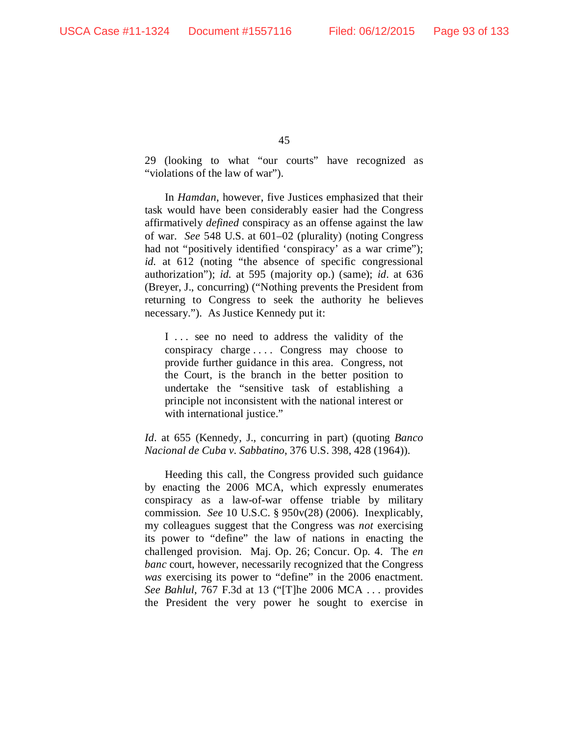29 (looking to what "our courts" have recognized as "violations of the law of war").

In *Hamdan*, however, five Justices emphasized that their task would have been considerably easier had the Congress affirmatively *defined* conspiracy as an offense against the law of war. *See* 548 U.S. at 601–02 (plurality) (noting Congress had not "positively identified 'conspiracy' as a war crime"); *id.* at 612 (noting "the absence of specific congressional authorization"); *id.* at 595 (majority op.) (same); *id*. at 636 (Breyer, J., concurring) ("Nothing prevents the President from returning to Congress to seek the authority he believes necessary."). As Justice Kennedy put it:

I ... see no need to address the validity of the conspiracy charge . . . . Congress may choose to provide further guidance in this area. Congress, not the Court, is the branch in the better position to undertake the "sensitive task of establishing a principle not inconsistent with the national interest or with international justice."

*Id*. at 655 (Kennedy, J., concurring in part) (quoting *Banco Nacional de Cuba v. Sabbatino*, 376 U.S. 398, 428 (1964)).

Heeding this call, the Congress provided such guidance by enacting the 2006 MCA, which expressly enumerates conspiracy as a law-of-war offense triable by military commission. *See* 10 U.S.C. § 950v(28) (2006). Inexplicably, my colleagues suggest that the Congress was *not* exercising its power to "define" the law of nations in enacting the challenged provision. Maj. Op. 26; Concur. Op. 4. The *en banc* court, however, necessarily recognized that the Congress *was* exercising its power to "define" in the 2006 enactment. *See Bahlul*, 767 F.3d at 13 ("[T]he 2006 MCA . . . provides the President the very power he sought to exercise in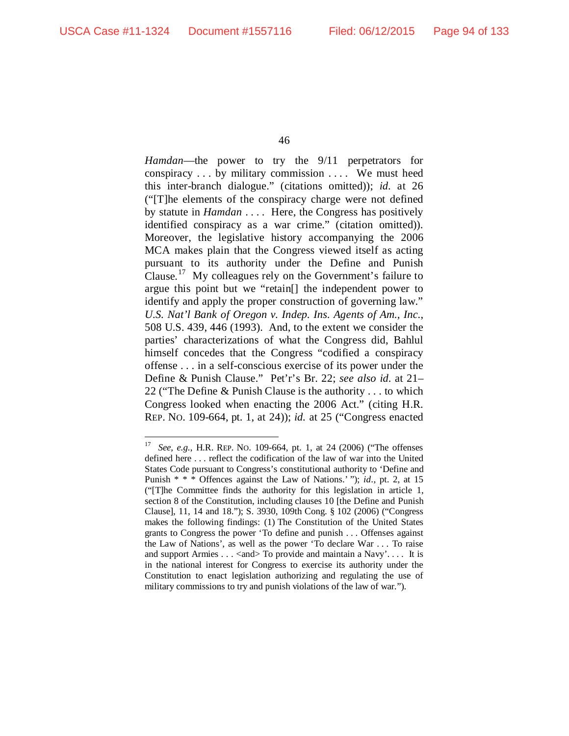*Hamdan*—the power to try the 9/11 perpetrators for conspiracy . . . by military commission . . . . We must heed this inter-branch dialogue." (citations omitted)); *id.* at 26 ("[T]he elements of the conspiracy charge were not defined by statute in *Hamdan* . . . . Here, the Congress has positively identified conspiracy as a war crime." (citation omitted)). Moreover, the legislative history accompanying the 2006 MCA makes plain that the Congress viewed itself as acting pursuant to its authority under the Define and Punish Clause.<sup>17</sup> My colleagues rely on the Government's failure to argue this point but we "retain[] the independent power to identify and apply the proper construction of governing law." *U.S. Nat'l Bank of Oregon v. Indep. Ins. Agents of Am., Inc.*, 508 U.S. 439, 446 (1993). And, to the extent we consider the parties' characterizations of what the Congress did, Bahlul himself concedes that the Congress "codified a conspiracy offense . . . in a self-conscious exercise of its power under the Define & Punish Clause." Pet'r's Br. 22; *see also id.* at 21– 22 ("The Define & Punish Clause is the authority . . . to which Congress looked when enacting the 2006 Act." (citing H.R. REP. NO. 109-664, pt. 1, at 24)); *id.* at 25 ("Congress enacted

<span id="page-93-0"></span> <sup>17</sup> *See, e.g.*, H.R. REP. NO. 109-664, pt. 1, at 24 (2006) ("The offenses defined here . . . reflect the codification of the law of war into the United States Code pursuant to Congress's constitutional authority to 'Define and Punish \* \* \* Offences against the Law of Nations.' "); *id.*, pt. 2, at 15 ("[T]he Committee finds the authority for this legislation in article 1, section 8 of the Constitution, including clauses 10 [the Define and Punish Clause], 11, 14 and 18."); S. 3930, 109th Cong. § 102 (2006) ("Congress makes the following findings: (1) The Constitution of the United States grants to Congress the power 'To define and punish . . . Offenses against the Law of Nations', as well as the power 'To declare War . . . To raise and support Armies  $\dots$  < and  $\triangleright$  To provide and maintain a Navy'.... It is in the national interest for Congress to exercise its authority under the Constitution to enact legislation authorizing and regulating the use of military commissions to try and punish violations of the law of war.").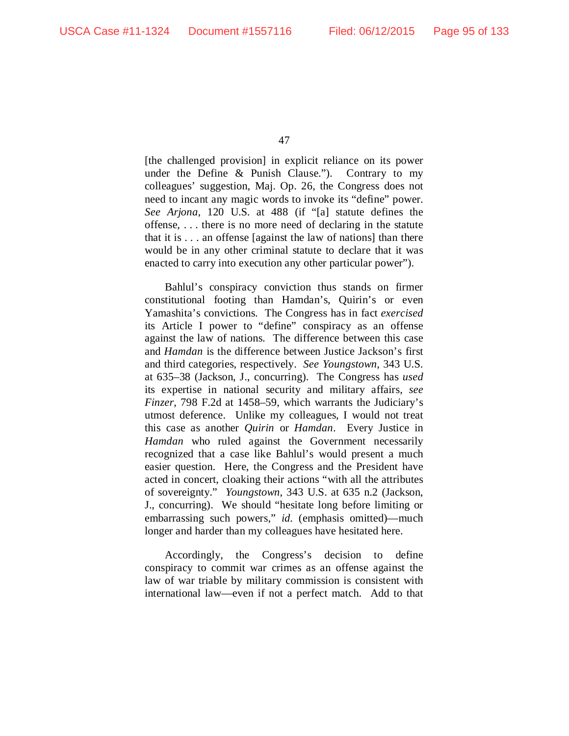[the challenged provision] in explicit reliance on its power under the Define & Punish Clause."). Contrary to my colleagues' suggestion, Maj. Op. 26, the Congress does not need to incant any magic words to invoke its "define" power. *See Arjona*, 120 U.S. at 488 (if "[a] statute defines the offense, . . . there is no more need of declaring in the statute that it is . . . an offense [against the law of nations] than there would be in any other criminal statute to declare that it was enacted to carry into execution any other particular power").

Bahlul's conspiracy conviction thus stands on firmer constitutional footing than Hamdan's, Quirin's or even Yamashita's convictions. The Congress has in fact *exercised* its Article I power to "define" conspiracy as an offense against the law of nations. The difference between this case and *Hamdan* is the difference between Justice Jackson's first and third categories, respectively. *See Youngstown*, 343 U.S. at 635–38 (Jackson, J., concurring). The Congress has *used* its expertise in national security and military affairs, *see Finzer*, 798 F.2d at 1458–59, which warrants the Judiciary's utmost deference. Unlike my colleagues, I would not treat this case as another *Quirin* or *Hamdan*. Every Justice in *Hamdan* who ruled against the Government necessarily recognized that a case like Bahlul's would present a much easier question. Here, the Congress and the President have acted in concert, cloaking their actions "with all the attributes of sovereignty." *Youngstown*, 343 U.S. at 635 n.2 (Jackson, J., concurring). We should "hesitate long before limiting or embarrassing such powers," *id.* (emphasis omitted)—much longer and harder than my colleagues have hesitated here.

Accordingly, the Congress's decision to define conspiracy to commit war crimes as an offense against the law of war triable by military commission is consistent with international law—even if not a perfect match. Add to that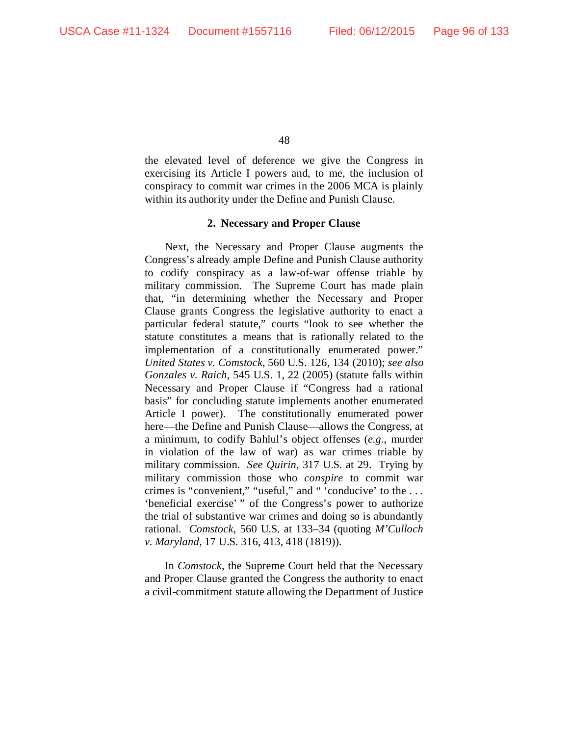the elevated level of deference we give the Congress in exercising its Article I powers and, to me, the inclusion of conspiracy to commit war crimes in the 2006 MCA is plainly within its authority under the Define and Punish Clause.

### **2. Necessary and Proper Clause**

Next, the Necessary and Proper Clause augments the Congress's already ample Define and Punish Clause authority to codify conspiracy as a law-of-war offense triable by military commission. The Supreme Court has made plain that, "in determining whether the Necessary and Proper Clause grants Congress the legislative authority to enact a particular federal statute," courts "look to see whether the statute constitutes a means that is rationally related to the implementation of a constitutionally enumerated power." *United States v. Comstock*, 560 U.S. 126, 134 (2010); *see also Gonzales v. Raich*, 545 U.S. 1, 22 (2005) (statute falls within Necessary and Proper Clause if "Congress had a rational basis" for concluding statute implements another enumerated Article I power). The constitutionally enumerated power here—the Define and Punish Clause—allows the Congress, at a minimum, to codify Bahlul's object offenses (*e.g.*, murder in violation of the law of war) as war crimes triable by military commission. *See Quirin*, 317 U.S. at 29. Trying by military commission those who *conspire* to commit war crimes is "convenient," "useful," and " 'conducive' to the . . . 'beneficial exercise' " of the Congress's power to authorize the trial of substantive war crimes and doing so is abundantly rational. *Comstock*, 560 U.S. at 133–34 (quoting *M'Culloch v. Maryland*, 17 U.S. 316, 413, 418 (1819)).

In *Comstock*, the Supreme Court held that the Necessary and Proper Clause granted the Congress the authority to enact a civil-commitment statute allowing the Department of Justice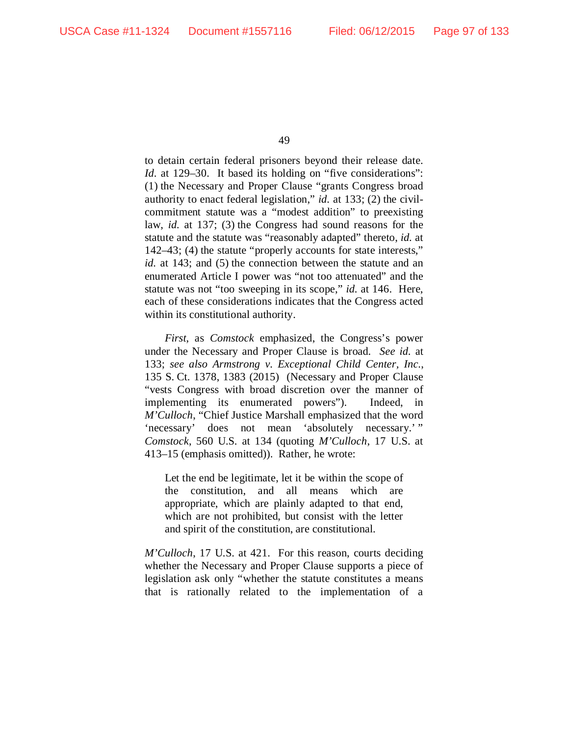to detain certain federal prisoners beyond their release date. *Id.* at 129–30. It based its holding on "five considerations": (1) the Necessary and Proper Clause "grants Congress broad authority to enact federal legislation," *id.* at 133; (2) the civilcommitment statute was a "modest addition" to preexisting law, *id.* at 137; (3) the Congress had sound reasons for the statute and the statute was "reasonably adapted" thereto, *id.* at 142–43; (4) the statute "properly accounts for state interests," *id.* at 143; and (5) the connection between the statute and an enumerated Article I power was "not too attenuated" and the statute was not "too sweeping in its scope," *id.* at 146. Here, each of these considerations indicates that the Congress acted within its constitutional authority.

*First*, as *Comstock* emphasized, the Congress's power under the Necessary and Proper Clause is broad. *See id.* at 133; *see also Armstrong v. Exceptional Child Center, Inc.*, 135 S. Ct. 1378, 1383 (2015) (Necessary and Proper Clause "vests Congress with broad discretion over the manner of implementing its enumerated powers"). Indeed, in *M'Culloch*, "Chief Justice Marshall emphasized that the word 'necessary' does not mean 'absolutely necessary.' " *Comstock*, 560 U.S. at 134 (quoting *M'Culloch*, 17 U.S. at 413–15 (emphasis omitted)). Rather, he wrote:

Let the end be legitimate, let it be within the scope of the constitution, and all means which are appropriate, which are plainly adapted to that end, which are not prohibited, but consist with the letter and spirit of the constitution, are constitutional.

*M'Culloch*, 17 U.S. at 421. For this reason, courts deciding whether the Necessary and Proper Clause supports a piece of legislation ask only "whether the statute constitutes a means that is rationally related to the implementation of a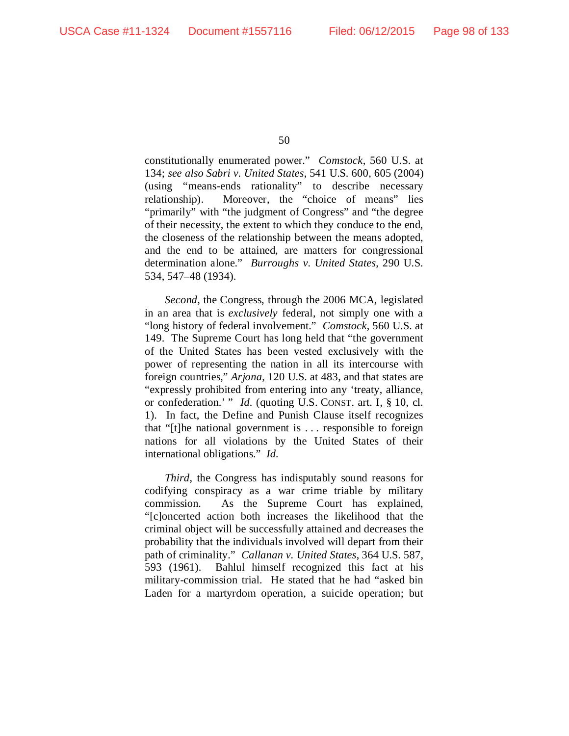constitutionally enumerated power." *Comstock*, 560 U.S. at 134; *see also Sabri v. United States*, 541 U.S. 600, 605 (2004) (using "means-ends rationality" to describe necessary relationship). Moreover, the "choice of means" lies "primarily" with "the judgment of Congress" and "the degree of their necessity, the extent to which they conduce to the end, the closeness of the relationship between the means adopted, and the end to be attained, are matters for congressional determination alone." *Burroughs v. United States*, 290 U.S. 534, 547–48 (1934).

*Second*, the Congress, through the 2006 MCA, legislated in an area that is *exclusively* federal, not simply one with a "long history of federal involvement." *Comstock*, 560 U.S. at 149. The Supreme Court has long held that "the government of the United States has been vested exclusively with the power of representing the nation in all its intercourse with foreign countries," *Arjona*, 120 U.S. at 483, and that states are "expressly prohibited from entering into any 'treaty, alliance, or confederation.' " *Id.* (quoting U.S. CONST. art. I, § 10, cl. 1). In fact, the Define and Punish Clause itself recognizes that "[t]he national government is . . . responsible to foreign nations for all violations by the United States of their international obligations." *Id.*

*Third*, the Congress has indisputably sound reasons for codifying conspiracy as a war crime triable by military commission. As the Supreme Court has explained, "[c]oncerted action both increases the likelihood that the criminal object will be successfully attained and decreases the probability that the individuals involved will depart from their path of criminality." *Callanan v. United States*, 364 U.S. 587, 593 (1961). Bahlul himself recognized this fact at his military-commission trial. He stated that he had "asked bin Laden for a martyrdom operation, a suicide operation; but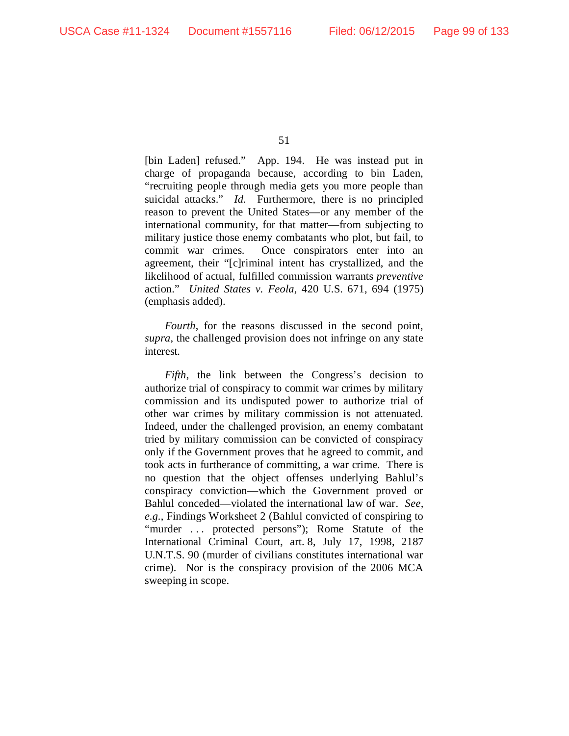[bin Laden] refused." App. 194. He was instead put in charge of propaganda because, according to bin Laden, "recruiting people through media gets you more people than suicidal attacks." *Id.* Furthermore, there is no principled reason to prevent the United States—or any member of the international community, for that matter—from subjecting to military justice those enemy combatants who plot, but fail, to commit war crimes. Once conspirators enter into an agreement, their "[c]riminal intent has crystallized, and the likelihood of actual, fulfilled commission warrants *preventive*  action." *United States v. Feola*, 420 U.S. 671, 694 (1975) (emphasis added).

*Fourth*, for the reasons discussed in the second point, *supra*, the challenged provision does not infringe on any state interest.

*Fifth*, the link between the Congress's decision to authorize trial of conspiracy to commit war crimes by military commission and its undisputed power to authorize trial of other war crimes by military commission is not attenuated. Indeed, under the challenged provision, an enemy combatant tried by military commission can be convicted of conspiracy only if the Government proves that he agreed to commit, and took acts in furtherance of committing, a war crime. There is no question that the object offenses underlying Bahlul's conspiracy conviction—which the Government proved or Bahlul conceded—violated the international law of war. *See, e.g.*, Findings Worksheet 2 (Bahlul convicted of conspiring to "murder ... protected persons"); Rome Statute of the International Criminal Court, art. 8, July 17, 1998, 2187 U.N.T.S. 90 (murder of civilians constitutes international war crime). Nor is the conspiracy provision of the 2006 MCA sweeping in scope.

<sup>51</sup>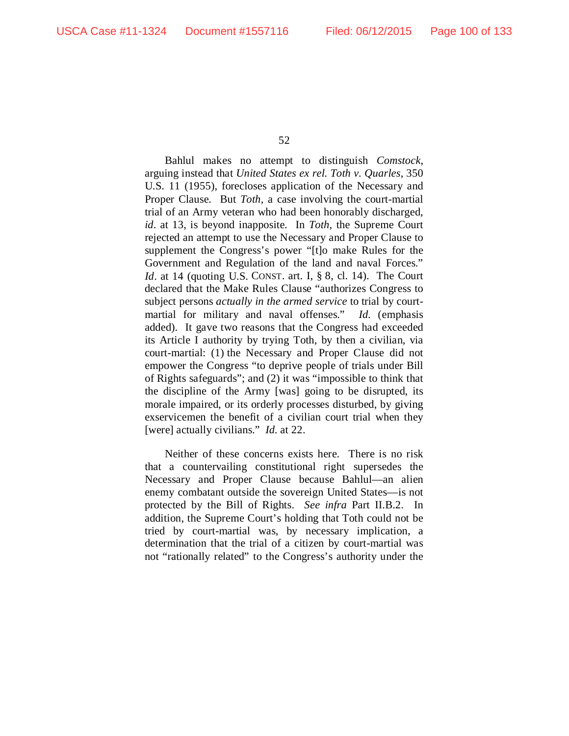Bahlul makes no attempt to distinguish *Comstock*, arguing instead that *United States ex rel. Toth v. Quarles*, 350 U.S. 11 (1955), forecloses application of the Necessary and Proper Clause. But *Toth*, a case involving the court-martial trial of an Army veteran who had been honorably discharged, *id*. at 13, is beyond inapposite. In *Toth*, the Supreme Court rejected an attempt to use the Necessary and Proper Clause to supplement the Congress's power "[t]o make Rules for the Government and Regulation of the land and naval Forces." *Id.* at 14 (quoting U.S. CONST. art. I, § 8, cl. 14). The Court declared that the Make Rules Clause "authorizes Congress to subject persons *actually in the armed service* to trial by courtmartial for military and naval offenses." *Id.* (emphasis added). It gave two reasons that the Congress had exceeded its Article I authority by trying Toth, by then a civilian, via court-martial: (1) the Necessary and Proper Clause did not empower the Congress "to deprive people of trials under Bill of Rights safeguards"; and (2) it was "impossible to think that the discipline of the Army [was] going to be disrupted, its morale impaired, or its orderly processes disturbed, by giving exservicemen the benefit of a civilian court trial when they [were] actually civilians." *Id.* at 22.

Neither of these concerns exists here. There is no risk that a countervailing constitutional right supersedes the Necessary and Proper Clause because Bahlul—an alien enemy combatant outside the sovereign United States—is not protected by the Bill of Rights. *See infra* Part II.B.2. In addition, the Supreme Court's holding that Toth could not be tried by court-martial was, by necessary implication, a determination that the trial of a citizen by court-martial was not "rationally related" to the Congress's authority under the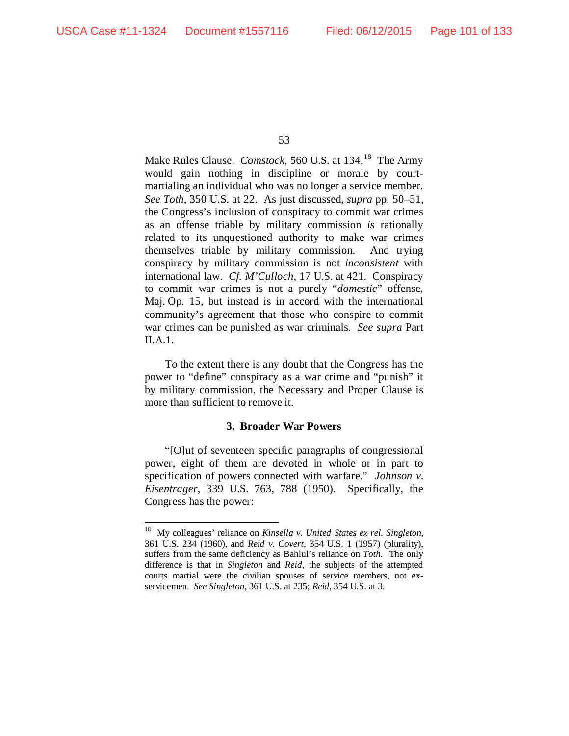Make Rules Clause. *Comstock*, 560 U.S. at 134.<sup>18</sup> The Army would gain nothing in discipline or morale by courtmartialing an individual who was no longer a service member. *See Toth*, 350 U.S. at 22. As just discussed, *supra* pp. 50–51, the Congress's inclusion of conspiracy to commit war crimes as an offense triable by military commission *is* rationally related to its unquestioned authority to make war crimes themselves triable by military commission. And trying conspiracy by military commission is not *inconsistent* with international law. *Cf. M'Culloch*, 17 U.S. at 421. Conspiracy to commit war crimes is not a purely "*domestic*" offense, Maj. Op. 15, but instead is in accord with the international community's agreement that those who conspire to commit war crimes can be punished as war criminals. *See supra* Part II.A.1.

To the extent there is any doubt that the Congress has the power to "define" conspiracy as a war crime and "punish" it by military commission, the Necessary and Proper Clause is more than sufficient to remove it.

### **3. Broader War Powers**

"[O]ut of seventeen specific paragraphs of congressional power, eight of them are devoted in whole or in part to specification of powers connected with warfare." *Johnson v. Eisentrager*, 339 U.S. 763, 788 (1950). Specifically, the Congress has the power:

<span id="page-100-0"></span> <sup>18</sup> My colleagues' reliance on *Kinsella v. United States ex rel. Singleton*, 361 U.S. 234 (1960), and *Reid v. Covert*, 354 U.S. 1 (1957) (plurality), suffers from the same deficiency as Bahlul's reliance on *Toth*. The only difference is that in *Singleton* and *Reid*, the subjects of the attempted courts martial were the civilian spouses of service members, not exservicemen. *See Singleton*, 361 U.S. at 235; *Reid*, 354 U.S. at 3.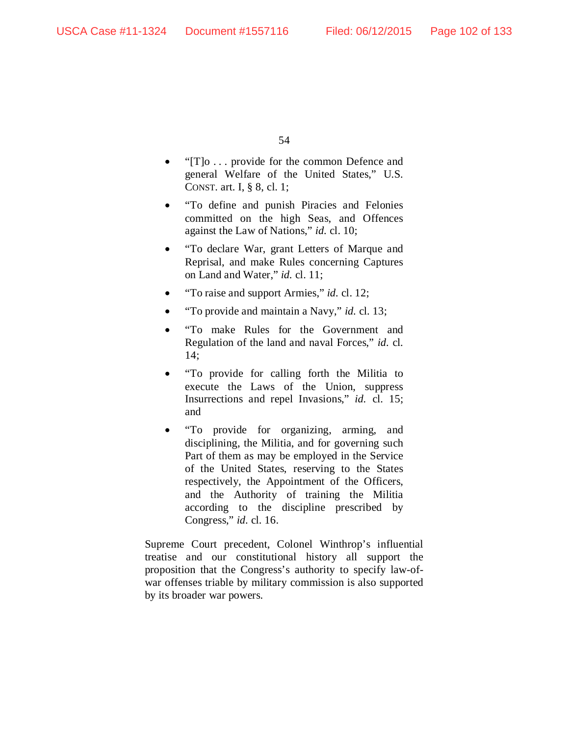- "[T]o . . . provide for the common Defence and general Welfare of the United States," U.S. CONST. art. I, § 8, cl. 1;
- "To define and punish Piracies and Felonies committed on the high Seas, and Offences against the Law of Nations," *id.* cl. 10;
- "To declare War, grant Letters of Marque and Reprisal, and make Rules concerning Captures on Land and Water," *id.* cl. 11;
- "To raise and support Armies," *id.* cl. 12;
- "To provide and maintain a Navy," *id.* cl. 13;
- "To make Rules for the Government and Regulation of the land and naval Forces," *id.* cl. 14;
- "To provide for calling forth the Militia to execute the Laws of the Union, suppress Insurrections and repel Invasions," *id.* cl. 15; and
- "To provide for organizing, arming, and disciplining, the Militia, and for governing such Part of them as may be employed in the Service of the United States, reserving to the States respectively, the Appointment of the Officers, and the Authority of training the Militia according to the discipline prescribed by Congress," *id.* cl. 16.

Supreme Court precedent, Colonel Winthrop's influential treatise and our constitutional history all support the proposition that the Congress's authority to specify law-ofwar offenses triable by military commission is also supported by its broader war powers.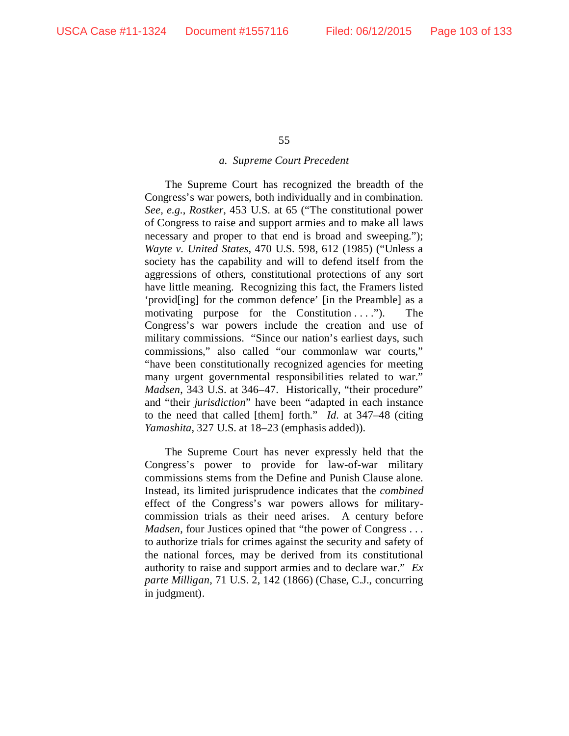#### *a. Supreme Court Precedent*

The Supreme Court has recognized the breadth of the Congress's war powers, both individually and in combination. *See, e.g.*, *Rostker*, 453 U.S. at 65 ("The constitutional power of Congress to raise and support armies and to make all laws necessary and proper to that end is broad and sweeping."); *Wayte v. United States*, 470 U.S. 598, 612 (1985) ("Unless a society has the capability and will to defend itself from the aggressions of others, constitutional protections of any sort have little meaning. Recognizing this fact, the Framers listed 'provid[ing] for the common defence' [in the Preamble] as a motivating purpose for the Constitution  $\dots$ "). The Congress's war powers include the creation and use of military commissions. "Since our nation's earliest days, such commissions," also called "our commonlaw war courts," "have been constitutionally recognized agencies for meeting many urgent governmental responsibilities related to war." *Madsen*, 343 U.S. at 346–47. Historically, "their procedure" and "their *jurisdiction*" have been "adapted in each instance to the need that called [them] forth." *Id.* at 347–48 (citing *Yamashita*, 327 U.S. at 18–23 (emphasis added)).

The Supreme Court has never expressly held that the Congress's power to provide for law-of-war military commissions stems from the Define and Punish Clause alone. Instead, its limited jurisprudence indicates that the *combined* effect of the Congress's war powers allows for militarycommission trials as their need arises. A century before *Madsen*, four Justices opined that "the power of Congress . . . to authorize trials for crimes against the security and safety of the national forces, may be derived from its constitutional authority to raise and support armies and to declare war." *Ex parte Milligan*, 71 U.S. 2, 142 (1866) (Chase, C.J., concurring in judgment).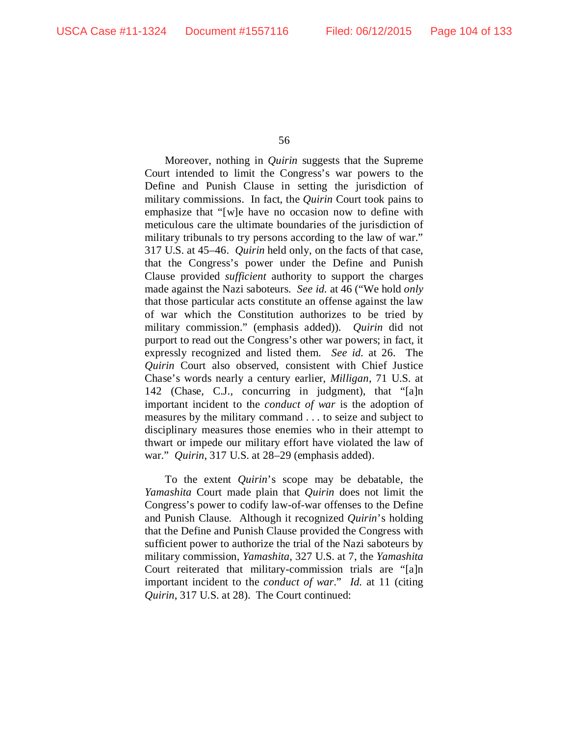Moreover, nothing in *Quirin* suggests that the Supreme Court intended to limit the Congress's war powers to the Define and Punish Clause in setting the jurisdiction of military commissions. In fact, the *Quirin* Court took pains to emphasize that "[w]e have no occasion now to define with meticulous care the ultimate boundaries of the jurisdiction of military tribunals to try persons according to the law of war." 317 U.S. at 45–46. *Quirin* held only, on the facts of that case, that the Congress's power under the Define and Punish Clause provided *sufficient* authority to support the charges made against the Nazi saboteurs. *See id.* at 46 ("We hold *only* that those particular acts constitute an offense against the law of war which the Constitution authorizes to be tried by military commission." (emphasis added)). *Quirin* did not purport to read out the Congress's other war powers; in fact, it expressly recognized and listed them. *See id.* at 26. The *Quirin* Court also observed, consistent with Chief Justice Chase's words nearly a century earlier, *Milligan*, 71 U.S. at 142 (Chase, C.J., concurring in judgment), that "[a]n important incident to the *conduct of war* is the adoption of measures by the military command . . . to seize and subject to disciplinary measures those enemies who in their attempt to thwart or impede our military effort have violated the law of war." *Quirin*, 317 U.S. at 28–29 (emphasis added).

To the extent *Quirin*'s scope may be debatable, the *Yamashita* Court made plain that *Quirin* does not limit the Congress's power to codify law-of-war offenses to the Define and Punish Clause. Although it recognized *Quirin*'s holding that the Define and Punish Clause provided the Congress with sufficient power to authorize the trial of the Nazi saboteurs by military commission, *Yamashita*, 327 U.S. at 7, the *Yamashita*  Court reiterated that military-commission trials are "[a]n important incident to the *conduct of war*." *Id.* at 11 (citing *Quirin*, 317 U.S. at 28). The Court continued: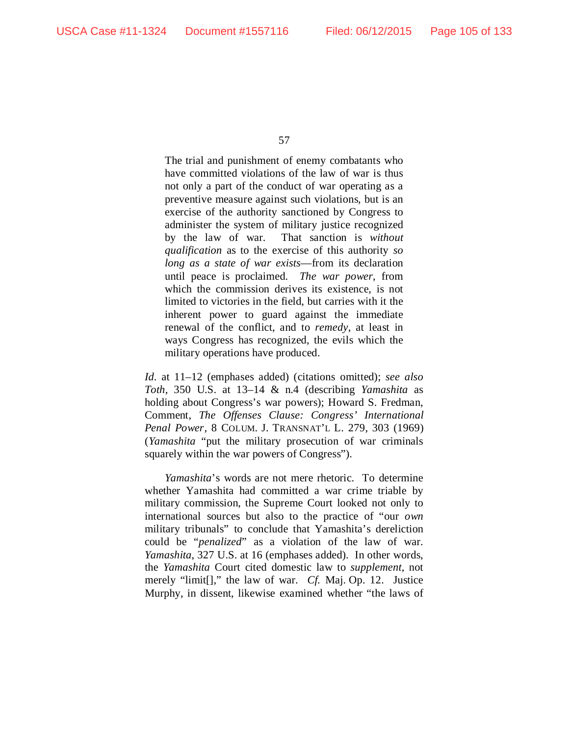The trial and punishment of enemy combatants who have committed violations of the law of war is thus not only a part of the conduct of war operating as a preventive measure against such violations, but is an exercise of the authority sanctioned by Congress to administer the system of military justice recognized by the law of war. That sanction is *without qualification* as to the exercise of this authority *so long as a state of war exists*—from its declaration until peace is proclaimed. *The war power*, from which the commission derives its existence, is not limited to victories in the field, but carries with it the inherent power to guard against the immediate renewal of the conflict, and to *remedy*, at least in ways Congress has recognized, the evils which the military operations have produced.

*Id.* at 11–12 (emphases added) (citations omitted); *see also Toth*, 350 U.S. at 13–14 & n.4 (describing *Yamashita* as holding about Congress's war powers); Howard S. Fredman, Comment, *The Offenses Clause: Congress' International Penal Power*, 8 COLUM. J. TRANSNAT'L L. 279, 303 (1969) (*Yamashita* "put the military prosecution of war criminals squarely within the war powers of Congress").

*Yamashita*'s words are not mere rhetoric. To determine whether Yamashita had committed a war crime triable by military commission, the Supreme Court looked not only to international sources but also to the practice of "our *own* military tribunals" to conclude that Yamashita's dereliction could be "*penalized*" as a violation of the law of war. *Yamashita*, 327 U.S. at 16 (emphases added). In other words, the *Yamashita* Court cited domestic law to *supplement*, not merely "limit[]," the law of war. *Cf.* Maj. Op. 12. Justice Murphy, in dissent, likewise examined whether "the laws of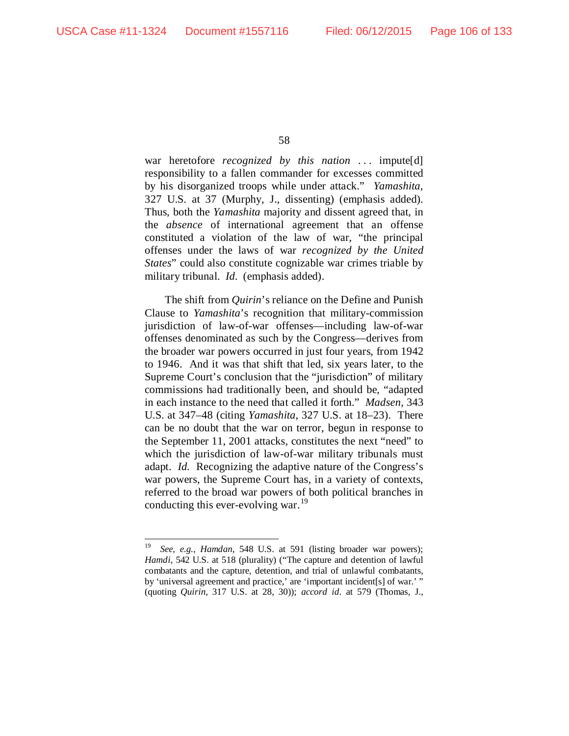war heretofore *recognized by this nation* ... impute[d] responsibility to a fallen commander for excesses committed by his disorganized troops while under attack." *Yamashita*, 327 U.S. at 37 (Murphy, J., dissenting) (emphasis added). Thus, both the *Yamashita* majority and dissent agreed that, in the *absence* of international agreement that an offense constituted a violation of the law of war, "the principal offenses under the laws of war *recognized by the United States*" could also constitute cognizable war crimes triable by military tribunal. *Id.* (emphasis added).

The shift from *Quirin*'s reliance on the Define and Punish Clause to *Yamashita*'s recognition that military-commission jurisdiction of law-of-war offenses—including law-of-war offenses denominated as such by the Congress—derives from the broader war powers occurred in just four years, from 1942 to 1946. And it was that shift that led, six years later, to the Supreme Court's conclusion that the "jurisdiction" of military commissions had traditionally been, and should be, "adapted in each instance to the need that called it forth." *Madsen*, 343 U.S. at 347–48 (citing *Yamashita*, 327 U.S. at 18–23). There can be no doubt that the war on terror, begun in response to the September 11, 2001 attacks, constitutes the next "need" to which the jurisdiction of law-of-war military tribunals must adapt. *Id.* Recognizing the adaptive nature of the Congress's war powers, the Supreme Court has, in a variety of contexts, referred to the broad war powers of both political branches in conducting this ever-evolving war.<sup>[19](#page-105-0)</sup>

<span id="page-105-0"></span> <sup>19</sup> *See, e.g.*, *Hamdan*, 548 U.S. at 591 (listing broader war powers); *Hamdi*, 542 U.S. at 518 (plurality) ("The capture and detention of lawful combatants and the capture, detention, and trial of unlawful combatants, by 'universal agreement and practice,' are 'important incident[s] of war.' " (quoting *Quirin*, 317 U.S. at 28, 30)); *accord id.* at 579 (Thomas, J.,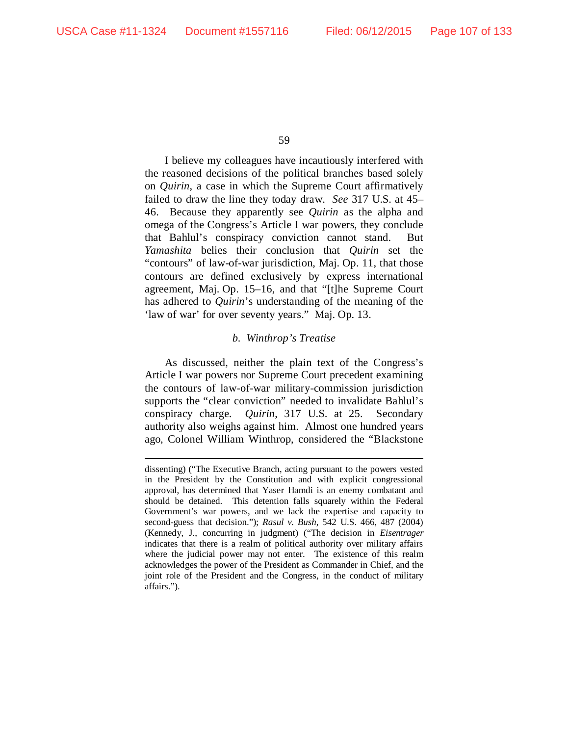I believe my colleagues have incautiously interfered with the reasoned decisions of the political branches based solely on *Quirin*, a case in which the Supreme Court affirmatively failed to draw the line they today draw. *See* 317 U.S. at 45– 46. Because they apparently see *Quirin* as the alpha and omega of the Congress's Article I war powers, they conclude that Bahlul's conspiracy conviction cannot stand. But *Yamashita* belies their conclusion that *Quirin* set the "contours" of law-of-war jurisdiction, Maj. Op. 11, that those contours are defined exclusively by express international agreement, Maj. Op. 15–16, and that "[t]he Supreme Court has adhered to *Quirin*'s understanding of the meaning of the 'law of war' for over seventy years." Maj. Op. 13.

### *b. Winthrop's Treatise*

As discussed, neither the plain text of the Congress's Article I war powers nor Supreme Court precedent examining the contours of law-of-war military-commission jurisdiction supports the "clear conviction" needed to invalidate Bahlul's conspiracy charge. *Quirin*, 317 U.S. at 25. Secondary authority also weighs against him. Almost one hundred years ago, Colonel William Winthrop, considered the "Blackstone

dissenting) ("The Executive Branch, acting pursuant to the powers vested in the President by the Constitution and with explicit congressional approval, has determined that Yaser Hamdi is an enemy combatant and should be detained. This detention falls squarely within the Federal Government's war powers, and we lack the expertise and capacity to second-guess that decision."); *Rasul v. Bush*, 542 U.S. 466, 487 (2004) (Kennedy, J., concurring in judgment) ("The decision in *Eisentrager* indicates that there is a realm of political authority over military affairs where the judicial power may not enter. The existence of this realm acknowledges the power of the President as Commander in Chief, and the joint role of the President and the Congress, in the conduct of military affairs.").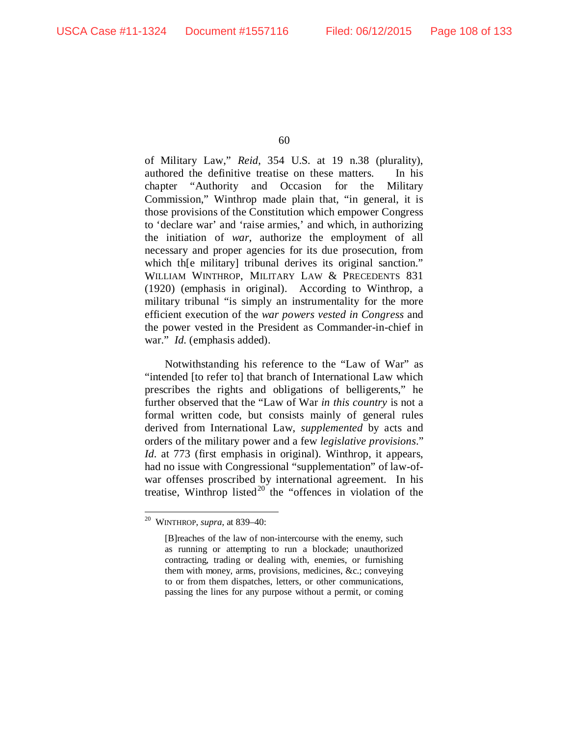of Military Law," *Reid*, 354 U.S. at 19 n.38 (plurality), authored the definitive treatise on these matters. In his chapter "Authority and Occasion for the Military Commission," Winthrop made plain that, "in general, it is those provisions of the Constitution which empower Congress to 'declare war' and 'raise armies,' and which, in authorizing the initiation of *war*, authorize the employment of all necessary and proper agencies for its due prosecution, from which the military tribunal derives its original sanction." WILLIAM WINTHROP, MILITARY LAW & PRECEDENTS 831 (1920) (emphasis in original). According to Winthrop, a military tribunal "is simply an instrumentality for the more efficient execution of the *war powers vested in Congress* and the power vested in the President as Commander-in-chief in war." *Id.* (emphasis added).

Notwithstanding his reference to the "Law of War" as "intended [to refer to] that branch of International Law which prescribes the rights and obligations of belligerents," he further observed that the "Law of War *in this country* is not a formal written code, but consists mainly of general rules derived from International Law, *supplemented* by acts and orders of the military power and a few *legislative provisions*." *Id.* at 773 (first emphasis in original). Winthrop, it appears, had no issue with Congressional "supplementation" of law-ofwar offenses proscribed by international agreement. In his treatise, Winthrop listed<sup>[20](#page-107-0)</sup> the "offences in violation of the

<span id="page-107-0"></span> <sup>20</sup> WINTHROP, *supra*, at 839–40:

<sup>[</sup>B]reaches of the law of non-intercourse with the enemy, such as running or attempting to run a blockade; unauthorized contracting, trading or dealing with, enemies, or furnishing them with money, arms, provisions, medicines, &c.; conveying to or from them dispatches, letters, or other communications, passing the lines for any purpose without a permit, or coming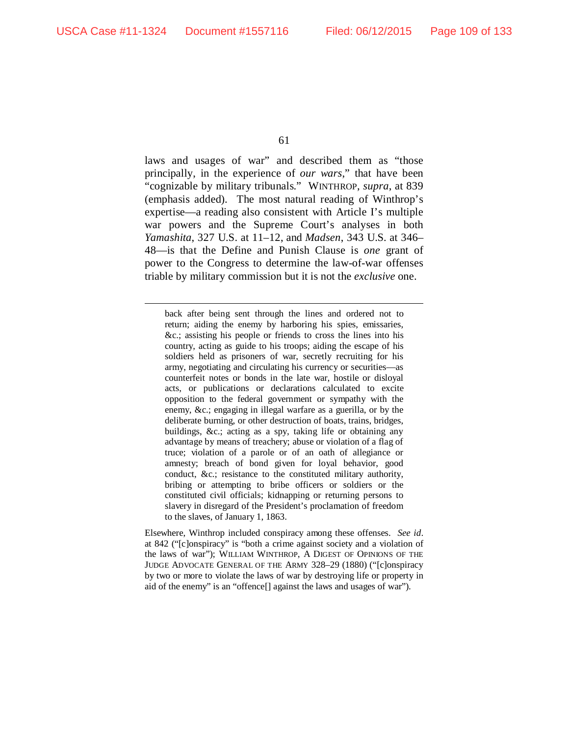laws and usages of war" and described them as "those principally, in the experience of *our wars*," that have been "cognizable by military tribunals." WINTHROP, *supra*, at 839 (emphasis added). The most natural reading of Winthrop's expertise—a reading also consistent with Article I's multiple war powers and the Supreme Court's analyses in both *Yamashita*, 327 U.S. at 11–12, and *Madsen*, 343 U.S. at 346– 48—is that the Define and Punish Clause is *one* grant of power to the Congress to determine the law-of-war offenses triable by military commission but it is not the *exclusive* one.

back after being sent through the lines and ordered not to return; aiding the enemy by harboring his spies, emissaries, &c.; assisting his people or friends to cross the lines into his country, acting as guide to his troops; aiding the escape of his soldiers held as prisoners of war, secretly recruiting for his army, negotiating and circulating his currency or securities—as counterfeit notes or bonds in the late war, hostile or disloyal acts, or publications or declarations calculated to excite opposition to the federal government or sympathy with the enemy, &c.; engaging in illegal warfare as a guerilla, or by the deliberate burning, or other destruction of boats, trains, bridges, buildings, &c.; acting as a spy, taking life or obtaining any advantage by means of treachery; abuse or violation of a flag of truce; violation of a parole or of an oath of allegiance or amnesty; breach of bond given for loyal behavior, good conduct, &c.; resistance to the constituted military authority, bribing or attempting to bribe officers or soldiers or the constituted civil officials; kidnapping or returning persons to slavery in disregard of the President's proclamation of freedom to the slaves, of January 1, 1863.

Elsewhere, Winthrop included conspiracy among these offenses. *See id.* at 842 ("[c]onspiracy" is "both a crime against society and a violation of the laws of war"); WILLIAM WINTHROP, A DIGEST OF OPINIONS OF THE JUDGE ADVOCATE GENERAL OF THE ARMY 328–29 (1880) ("[c]onspiracy by two or more to violate the laws of war by destroying life or property in aid of the enemy" is an "offence[] against the laws and usages of war").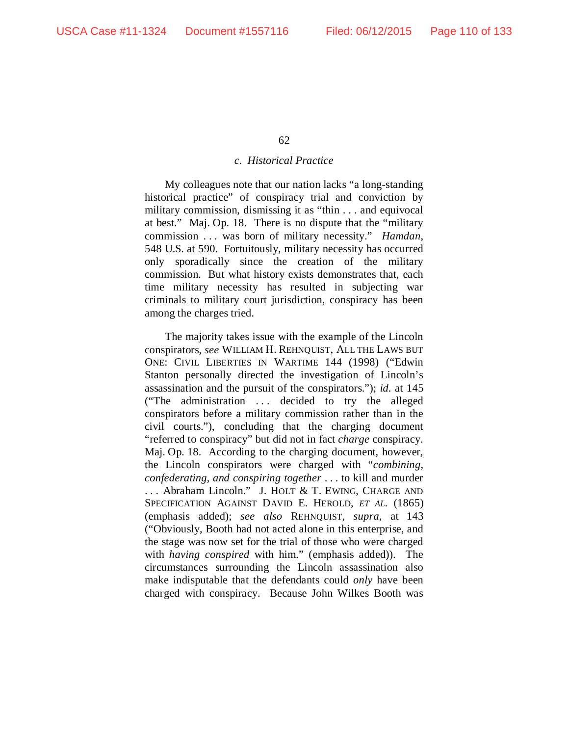#### *c. Historical Practice*

My colleagues note that our nation lacks "a long-standing historical practice" of conspiracy trial and conviction by military commission, dismissing it as "thin . . . and equivocal at best." Maj. Op. 18. There is no dispute that the "military commission . . . was born of military necessity." *Hamdan*, 548 U.S. at 590. Fortuitously, military necessity has occurred only sporadically since the creation of the military commission. But what history exists demonstrates that, each time military necessity has resulted in subjecting war criminals to military court jurisdiction, conspiracy has been among the charges tried.

The majority takes issue with the example of the Lincoln conspirators, *see* WILLIAM H. REHNQUIST, ALL THE LAWS BUT ONE: CIVIL LIBERTIES IN WARTIME 144 (1998) ("Edwin Stanton personally directed the investigation of Lincoln's assassination and the pursuit of the conspirators."); *id.* at 145 ("The administration ... decided to try the alleged conspirators before a military commission rather than in the civil courts."), concluding that the charging document "referred to conspiracy" but did not in fact *charge* conspiracy. Maj. Op. 18. According to the charging document, however, the Lincoln conspirators were charged with "*combining, confederating, and conspiring together* . . . to kill and murder . . . Abraham Lincoln." J. HOLT & T. EWING, CHARGE AND SPECIFICATION AGAINST DAVID E. HEROLD, *ET AL.* (1865) (emphasis added); *see also* REHNQUIST, *supra*, at 143 ("Obviously, Booth had not acted alone in this enterprise, and the stage was now set for the trial of those who were charged with *having conspired* with him." (emphasis added)). The circumstances surrounding the Lincoln assassination also make indisputable that the defendants could *only* have been charged with conspiracy. Because John Wilkes Booth was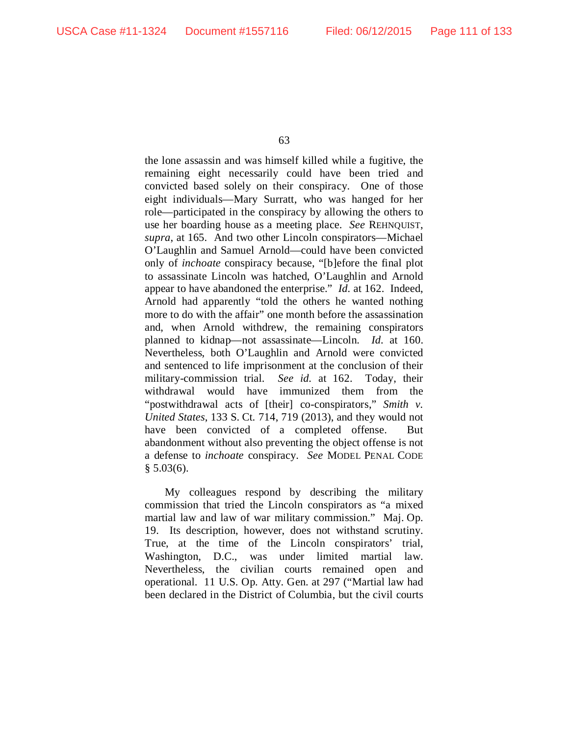the lone assassin and was himself killed while a fugitive, the remaining eight necessarily could have been tried and convicted based solely on their conspiracy. One of those eight individuals—Mary Surratt, who was hanged for her role—participated in the conspiracy by allowing the others to use her boarding house as a meeting place. *See* REHNQUIST, *supra*, at 165. And two other Lincoln conspirators—Michael O'Laughlin and Samuel Arnold—could have been convicted only of *inchoate* conspiracy because, "[b]efore the final plot to assassinate Lincoln was hatched, O'Laughlin and Arnold appear to have abandoned the enterprise." *Id.* at 162. Indeed, Arnold had apparently "told the others he wanted nothing more to do with the affair" one month before the assassination and, when Arnold withdrew, the remaining conspirators planned to kidnap—not assassinate—Lincoln. *Id.* at 160. Nevertheless, both O'Laughlin and Arnold were convicted and sentenced to life imprisonment at the conclusion of their military-commission trial. *See id.* at 162. Today, their withdrawal would have immunized them from the "postwithdrawal acts of [their] co-conspirators," *Smith v. United States*, 133 S. Ct. 714, 719 (2013), and they would not have been convicted of a completed offense. But abandonment without also preventing the object offense is not a defense to *inchoate* conspiracy. *See* MODEL PENAL CODE  $§ 5.03(6).$ 

My colleagues respond by describing the military commission that tried the Lincoln conspirators as "a mixed martial law and law of war military commission." Maj. Op. 19. Its description, however, does not withstand scrutiny. True, at the time of the Lincoln conspirators' trial, Washington, D.C., was under limited martial law. Nevertheless, the civilian courts remained open and operational. 11 U.S. Op. Atty. Gen. at 297 ("Martial law had been declared in the District of Columbia, but the civil courts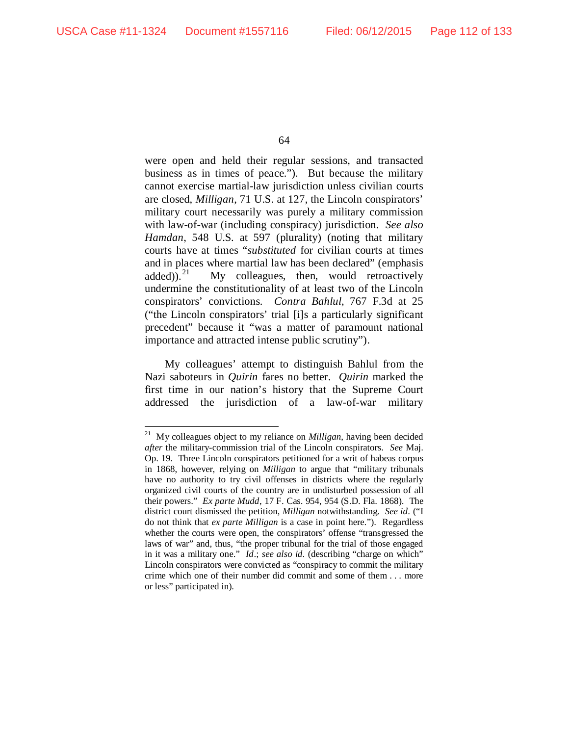were open and held their regular sessions, and transacted business as in times of peace.").But because the military cannot exercise martial-law jurisdiction unless civilian courts are closed, *Milligan*, 71 U.S. at 127, the Lincoln conspirators' military court necessarily was purely a military commission with law-of-war (including conspiracy) jurisdiction. *See also Hamdan*, 548 U.S. at 597 (plurality) (noting that military courts have at times "*substituted* for civilian courts at times and in places where martial law has been declared" (emphasis added)).<sup>[21](#page-111-0)</sup> My colleagues, then, would retroactively undermine the constitutionality of at least two of the Lincoln conspirators' convictions. *Contra Bahlul*, 767 F.3d at 25 ("the Lincoln conspirators' trial [i]s a particularly significant precedent" because it "was a matter of paramount national importance and attracted intense public scrutiny").

My colleagues' attempt to distinguish Bahlul from the Nazi saboteurs in *Quirin* fares no better. *Quirin* marked the first time in our nation's history that the Supreme Court addressed the jurisdiction of a law-of-war military

<span id="page-111-0"></span> <sup>21</sup> My colleagues object to my reliance on *Milligan*, having been decided *after* the military-commission trial of the Lincoln conspirators. *See* Maj. Op. 19. Three Lincoln conspirators petitioned for a writ of habeas corpus in 1868, however, relying on *Milligan* to argue that "military tribunals have no authority to try civil offenses in districts where the regularly organized civil courts of the country are in undisturbed possession of all their powers." *Ex parte Mudd*, 17 F. Cas. 954, 954 (S.D. Fla. 1868). The district court dismissed the petition, *Milligan* notwithstanding. *See id.* ("I do not think that *ex parte Milligan* is a case in point here."). Regardless whether the courts were open, the conspirators' offense "transgressed the laws of war" and, thus, "the proper tribunal for the trial of those engaged in it was a military one." *Id*.; *see also id.* (describing "charge on which" Lincoln conspirators were convicted as "conspiracy to commit the military crime which one of their number did commit and some of them . . . more or less" participated in).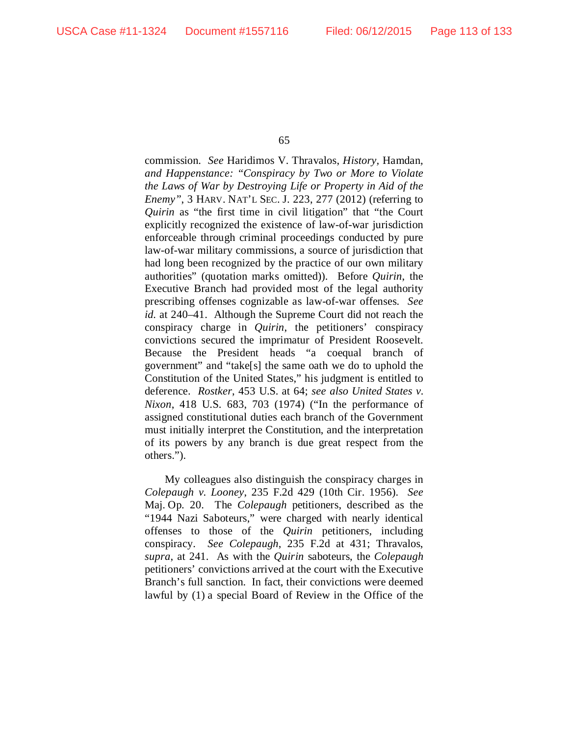commission. *See* Haridimos V. Thravalos, *History,* Hamdan*, and Happenstance: "Conspiracy by Two or More to Violate the Laws of War by Destroying Life or Property in Aid of the Enemy"*, 3 HARV. NAT'L SEC. J. 223, 277 (2012) (referring to *Quirin* as "the first time in civil litigation" that "the Court explicitly recognized the existence of law-of-war jurisdiction enforceable through criminal proceedings conducted by pure law-of-war military commissions, a source of jurisdiction that had long been recognized by the practice of our own military authorities" (quotation marks omitted)). Before *Quirin*, the Executive Branch had provided most of the legal authority prescribing offenses cognizable as law-of-war offenses. *See id.* at 240–41. Although the Supreme Court did not reach the conspiracy charge in *Quirin*, the petitioners' conspiracy convictions secured the imprimatur of President Roosevelt. Because the President heads "a coequal branch of government" and "take[s] the same oath we do to uphold the Constitution of the United States," his judgment is entitled to deference. *Rostker*, 453 U.S. at 64; *see also United States v. Nixon*, 418 U.S. 683, 703 (1974) ("In the performance of assigned constitutional duties each branch of the Government must initially interpret the Constitution, and the interpretation of its powers by any branch is due great respect from the others.").

My colleagues also distinguish the conspiracy charges in *Colepaugh v. Looney*, 235 F.2d 429 (10th Cir. 1956). *See*  Maj. Op. 20. The *Colepaugh* petitioners, described as the "1944 Nazi Saboteurs," were charged with nearly identical offenses to those of the *Quirin* petitioners, including conspiracy. *See Colepaugh*, 235 F.2d at 431; Thravalos, *supra*, at 241. As with the *Quirin* saboteurs, the *Colepaugh*  petitioners' convictions arrived at the court with the Executive Branch's full sanction. In fact, their convictions were deemed lawful by (1) a special Board of Review in the Office of the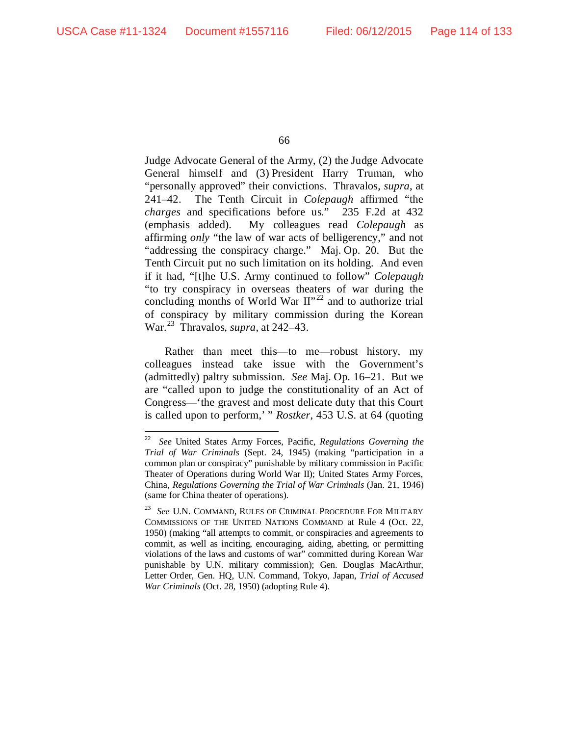Judge Advocate General of the Army, (2) the Judge Advocate General himself and (3) President Harry Truman, who "personally approved" their convictions. Thravalos, *supra*, at 241–42. The Tenth Circuit in *Colepaugh* affirmed "the *charges* and specifications before us." 235 F.2d at 432 (emphasis added). My colleagues read *Colepaugh* as affirming *only* "the law of war acts of belligerency," and not "addressing the conspiracy charge." Maj. Op. 20. But the Tenth Circuit put no such limitation on its holding. And even if it had, "[t]he U.S. Army continued to follow" *Colepaugh* "to try conspiracy in overseas theaters of war during the concluding months of World War  $II^{\prime\prime 22}$  $II^{\prime\prime 22}$  $II^{\prime\prime 22}$  and to authorize trial of conspiracy by military commission during the Korean War.[23](#page-113-1) Thravalos, *supra*, at 242–43.

Rather than meet this—to me—robust history, my colleagues instead take issue with the Government's (admittedly) paltry submission. *See* Maj. Op. 16–21. But we are "called upon to judge the constitutionality of an Act of Congress—'the gravest and most delicate duty that this Court is called upon to perform,' " *Rostker*, 453 U.S. at 64 (quoting

<span id="page-113-0"></span> <sup>22</sup> *See* United States Army Forces, Pacific, *Regulations Governing the Trial of War Criminals* (Sept. 24, 1945) (making "participation in a common plan or conspiracy" punishable by military commission in Pacific Theater of Operations during World War II); United States Army Forces, China, *Regulations Governing the Trial of War Criminals* (Jan. 21, 1946) (same for China theater of operations).

<span id="page-113-1"></span><sup>23</sup> *See* U.N. COMMAND, RULES OF CRIMINAL PROCEDURE FOR MILITARY COMMISSIONS OF THE UNITED NATIONS COMMAND at Rule 4 (Oct. 22, 1950) (making "all attempts to commit, or conspiracies and agreements to commit, as well as inciting, encouraging, aiding, abetting, or permitting violations of the laws and customs of war" committed during Korean War punishable by U.N. military commission); Gen. Douglas MacArthur, Letter Order, Gen. HQ, U.N. Command, Tokyo, Japan, *Trial of Accused War Criminals* (Oct. 28, 1950) (adopting Rule 4).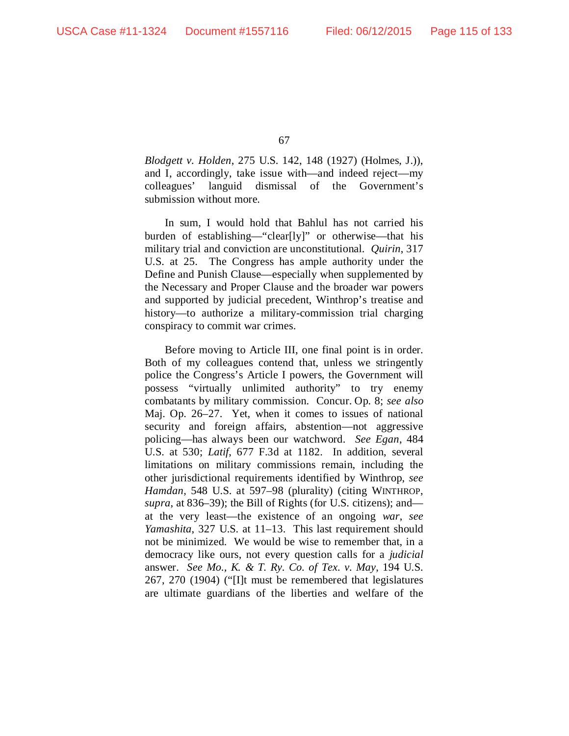*Blodgett v. Holden*, 275 U.S. 142, 148 (1927) (Holmes, J.)), and I, accordingly, take issue with—and indeed reject—my colleagues' languid dismissal of the Government's submission without more.

In sum, I would hold that Bahlul has not carried his burden of establishing—"clear[ly]" or otherwise—that his military trial and conviction are unconstitutional. *Quirin*, 317 U.S. at 25. The Congress has ample authority under the Define and Punish Clause—especially when supplemented by the Necessary and Proper Clause and the broader war powers and supported by judicial precedent, Winthrop's treatise and history—to authorize a military-commission trial charging conspiracy to commit war crimes.

Before moving to Article III, one final point is in order. Both of my colleagues contend that, unless we stringently police the Congress's Article I powers, the Government will possess "virtually unlimited authority" to try enemy combatants by military commission. Concur. Op. 8; *see also*  Maj. Op. 26–27. Yet, when it comes to issues of national security and foreign affairs, abstention—not aggressive policing—has always been our watchword. *See Egan*, 484 U.S. at 530; *Latif*, 677 F.3d at 1182. In addition, several limitations on military commissions remain, including the other jurisdictional requirements identified by Winthrop, *see Hamdan*, 548 U.S. at 597–98 (plurality) (citing WINTHROP, *supra*, at 836–39); the Bill of Rights (for U.S. citizens); and at the very least—the existence of an ongoing *war*, *see Yamashita*, 327 U.S. at 11–13. This last requirement should not be minimized. We would be wise to remember that, in a democracy like ours, not every question calls for a *judicial* answer. *See Mo., K. & T. Ry. Co. of Tex. v. May*, 194 U.S. 267, 270 (1904) ("[I]t must be remembered that legislatures are ultimate guardians of the liberties and welfare of the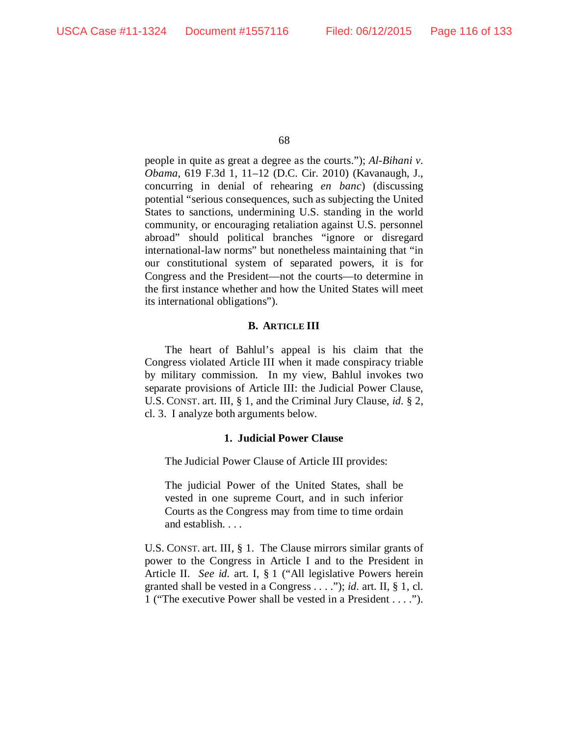people in quite as great a degree as the courts."); *Al-Bihani v. Obama*, 619 F.3d 1, 11–12 (D.C. Cir. 2010) (Kavanaugh, J., concurring in denial of rehearing *en banc*) (discussing potential "serious consequences, such as subjecting the United States to sanctions, undermining U.S. standing in the world community, or encouraging retaliation against U.S. personnel abroad" should political branches "ignore or disregard international-law norms" but nonetheless maintaining that "in our constitutional system of separated powers, it is for Congress and the President—not the courts—to determine in the first instance whether and how the United States will meet its international obligations").

# **B. ARTICLE III**

The heart of Bahlul's appeal is his claim that the Congress violated Article III when it made conspiracy triable by military commission. In my view, Bahlul invokes two separate provisions of Article III: the Judicial Power Clause, U.S. CONST. art. III, § 1, and the Criminal Jury Clause, *id.* § 2, cl. 3. I analyze both arguments below.

# **1. Judicial Power Clause**

The Judicial Power Clause of Article III provides:

The judicial Power of the United States, shall be vested in one supreme Court, and in such inferior Courts as the Congress may from time to time ordain and establish. . . .

U.S. CONST. art. III, § 1. The Clause mirrors similar grants of power to the Congress in Article I and to the President in Article II. *See id.* art. I, § 1 ("All legislative Powers herein granted shall be vested in a Congress . . . ."); *id.* art. II, § 1, cl. 1 ("The executive Power shall be vested in a President . . . .").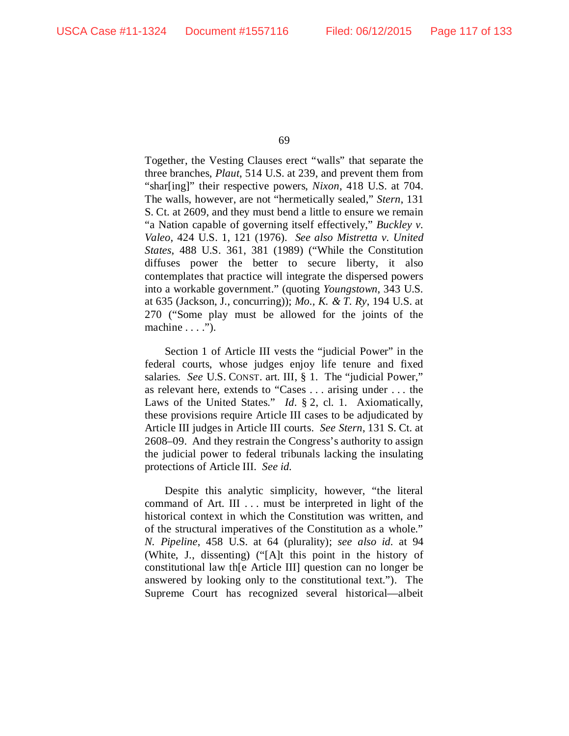Together, the Vesting Clauses erect "walls" that separate the three branches, *Plaut*, 514 U.S. at 239, and prevent them from "shar[ing]" their respective powers, *Nixon*, 418 U.S. at 704. The walls, however, are not "hermetically sealed," *Stern*, 131 S. Ct. at 2609, and they must bend a little to ensure we remain "a Nation capable of governing itself effectively," *Buckley v. Valeo*, 424 U.S. 1, 121 (1976). *See also Mistretta v. United States*, 488 U.S. 361, 381 (1989) ("While the Constitution diffuses power the better to secure liberty, it also contemplates that practice will integrate the dispersed powers into a workable government." (quoting *Youngstown*, 343 U.S. at 635 (Jackson, J., concurring)); *Mo., K. & T. Ry*, 194 U.S. at 270 ("Some play must be allowed for the joints of the machine  $\dots$ .").

Section 1 of Article III vests the "judicial Power" in the federal courts, whose judges enjoy life tenure and fixed salaries. *See* U.S. CONST. art. III, § 1. The "judicial Power," as relevant here, extends to "Cases . . . arising under . . . the Laws of the United States." *Id.* § 2, cl. 1. Axiomatically, these provisions require Article III cases to be adjudicated by Article III judges in Article III courts. *See Stern*, 131 S. Ct. at 2608–09. And they restrain the Congress's authority to assign the judicial power to federal tribunals lacking the insulating protections of Article III. *See id.*

Despite this analytic simplicity, however, "the literal command of Art. III . . . must be interpreted in light of the historical context in which the Constitution was written, and of the structural imperatives of the Constitution as a whole." *N. Pipeline*, 458 U.S. at 64 (plurality); *see also id.* at 94 (White, J., dissenting) ("[A]t this point in the history of constitutional law th[e Article III] question can no longer be answered by looking only to the constitutional text."). The Supreme Court has recognized several historical—albeit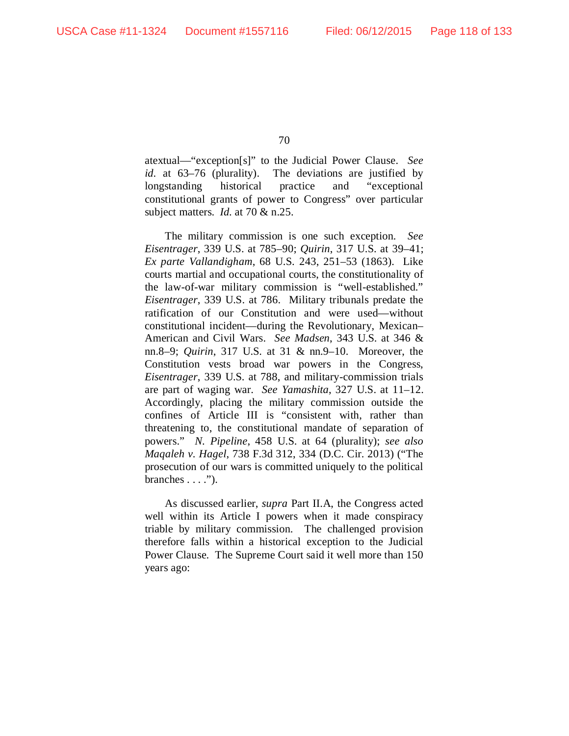atextual—"exception[s]" to the Judicial Power Clause. *See id.* at 63–76 (plurality). The deviations are justified by longstanding historical practice and "exceptional constitutional grants of power to Congress" over particular subject matters. *Id.* at 70 & n.25.

The military commission is one such exception. *See Eisentrager*, 339 U.S. at 785–90; *Quirin*, 317 U.S. at 39–41; *Ex parte Vallandigham*, 68 U.S. 243, 251–53 (1863). Like courts martial and occupational courts, the constitutionality of the law-of-war military commission is "well-established." *Eisentrager*, 339 U.S. at 786. Military tribunals predate the ratification of our Constitution and were used—without constitutional incident—during the Revolutionary, Mexican– American and Civil Wars. *See Madsen*, 343 U.S. at 346 & nn.8–9; *Quirin*, 317 U.S. at 31 & nn.9–10. Moreover, the Constitution vests broad war powers in the Congress, *Eisentrager*, 339 U.S. at 788, and military-commission trials are part of waging war. *See Yamashita*, 327 U.S. at 11–12. Accordingly, placing the military commission outside the confines of Article III is "consistent with, rather than threatening to, the constitutional mandate of separation of powers." *N. Pipeline*, 458 U.S. at 64 (plurality); *see also Maqaleh v. Hagel*, 738 F.3d 312, 334 (D.C. Cir. 2013) ("The prosecution of our wars is committed uniquely to the political branches  $\dots$ .").

As discussed earlier, *supra* Part II.A, the Congress acted well within its Article I powers when it made conspiracy triable by military commission. The challenged provision therefore falls within a historical exception to the Judicial Power Clause. The Supreme Court said it well more than 150 years ago: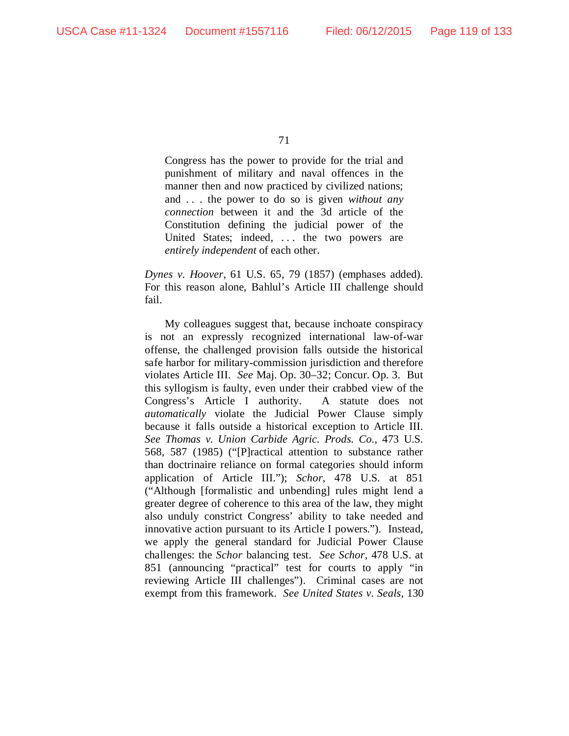Congress has the power to provide for the trial and punishment of military and naval offences in the manner then and now practiced by civilized nations; and . . . the power to do so is given *without any connection* between it and the 3d article of the Constitution defining the judicial power of the United States; indeed, ... the two powers are *entirely independent* of each other.

*Dynes v. Hoover*, 61 U.S. 65, 79 (1857) (emphases added). For this reason alone, Bahlul's Article III challenge should fail.

My colleagues suggest that, because inchoate conspiracy is not an expressly recognized international law-of-war offense, the challenged provision falls outside the historical safe harbor for military-commission jurisdiction and therefore violates Article III. *See* Maj. Op. 30–32; Concur. Op. 3. But this syllogism is faulty, even under their crabbed view of the Congress's Article I authority. A statute does not *automatically* violate the Judicial Power Clause simply because it falls outside a historical exception to Article III. *See Thomas v. Union Carbide Agric. Prods. Co.*, 473 U.S. 568, 587 (1985) ("[P]ractical attention to substance rather than doctrinaire reliance on formal categories should inform application of Article III."); *Schor*, 478 U.S. at 851 ("Although [formalistic and unbending] rules might lend a greater degree of coherence to this area of the law, they might also unduly constrict Congress' ability to take needed and innovative action pursuant to its Article I powers."). Instead, we apply the general standard for Judicial Power Clause challenges: the *Schor* balancing test. *See Schor*, 478 U.S. at 851 (announcing "practical" test for courts to apply "in reviewing Article III challenges"). Criminal cases are not exempt from this framework. *See United States v. Seals*, 130

<sup>71</sup>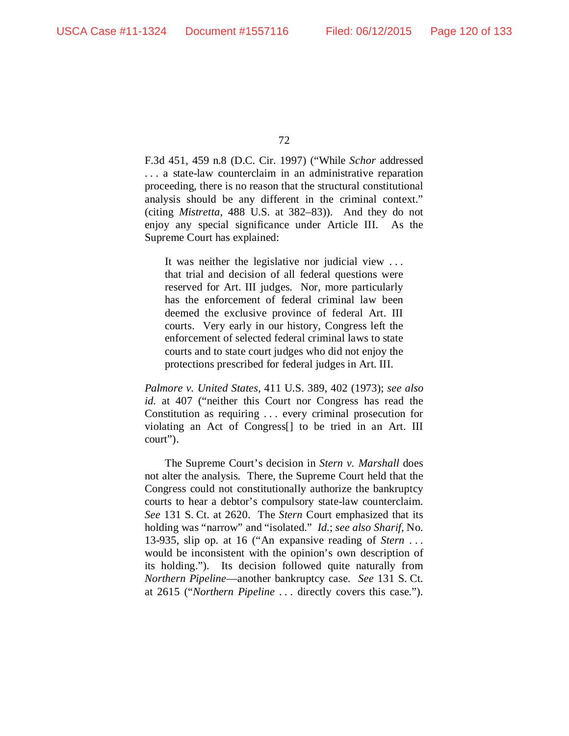F.3d 451, 459 n.8 (D.C. Cir. 1997) ("While *Schor* addressed . . . a state-law counterclaim in an administrative reparation proceeding, there is no reason that the structural constitutional analysis should be any different in the criminal context." (citing *Mistretta*, 488 U.S. at 382–83)). And they do not enjoy any special significance under Article III. As the Supreme Court has explained:

It was neither the legislative nor judicial view . . . that trial and decision of all federal questions were reserved for Art. III judges. Nor, more particularly has the enforcement of federal criminal law been deemed the exclusive province of federal Art. III courts. Very early in our history, Congress left the enforcement of selected federal criminal laws to state courts and to state court judges who did not enjoy the protections prescribed for federal judges in Art. III.

*Palmore v. United States*, 411 U.S. 389, 402 (1973); *see also id.* at 407 ("neither this Court nor Congress has read the Constitution as requiring . . . every criminal prosecution for violating an Act of Congress[] to be tried in an Art. III court").

The Supreme Court's decision in *Stern v. Marshall* does not alter the analysis. There, the Supreme Court held that the Congress could not constitutionally authorize the bankruptcy courts to hear a debtor's compulsory state-law counterclaim. *See* 131 S. Ct. at 2620. The *Stern* Court emphasized that its holding was "narrow" and "isolated." *Id.*; *see also Sharif*, No. 13-935, slip op. at 16 ("An expansive reading of *Stern* . . . would be inconsistent with the opinion's own description of its holding."). Its decision followed quite naturally from *Northern Pipeline*—another bankruptcy case. *See* 131 S. Ct. at 2615 ("*Northern Pipeline* . . . directly covers this case.").

<sup>72</sup>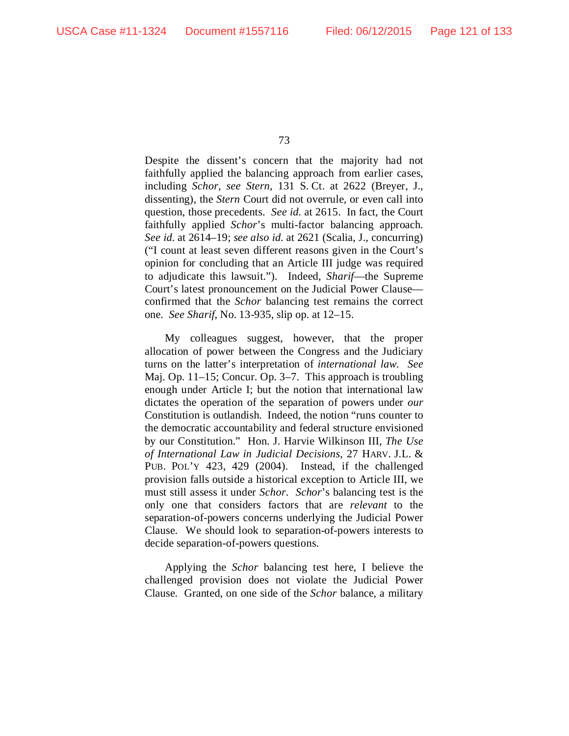Despite the dissent's concern that the majority had not faithfully applied the balancing approach from earlier cases, including *Schor*, *see Stern*, 131 S. Ct. at 2622 (Breyer, J., dissenting), the *Stern* Court did not overrule, or even call into question, those precedents. *See id.* at 2615. In fact, the Court faithfully applied *Schor*'s multi-factor balancing approach. *See id.* at 2614–19; *see also id.* at 2621 (Scalia, J., concurring) ("I count at least seven different reasons given in the Court's opinion for concluding that an Article III judge was required to adjudicate this lawsuit."). Indeed, *Sharif*—the Supreme Court's latest pronouncement on the Judicial Power Clause confirmed that the *Schor* balancing test remains the correct one. *See Sharif*, No. 13-935, slip op. at 12–15.

My colleagues suggest, however, that the proper allocation of power between the Congress and the Judiciary turns on the latter's interpretation of *international law*. *See*  Maj. Op. 11–15; Concur. Op. 3–7. This approach is troubling enough under Article I; but the notion that international law dictates the operation of the separation of powers under *our*  Constitution is outlandish. Indeed, the notion "runs counter to the democratic accountability and federal structure envisioned by our Constitution." Hon. J. Harvie Wilkinson III, *The Use of International Law in Judicial Decisions*, 27 HARV. J.L. & PUB. POL'Y 423, 429 (2004). Instead, if the challenged provision falls outside a historical exception to Article III, we must still assess it under *Schor*. *Schor*'s balancing test is the only one that considers factors that are *relevant* to the separation-of-powers concerns underlying the Judicial Power Clause. We should look to separation-of-powers interests to decide separation-of-powers questions.

Applying the *Schor* balancing test here, I believe the challenged provision does not violate the Judicial Power Clause. Granted, on one side of the *Schor* balance, a military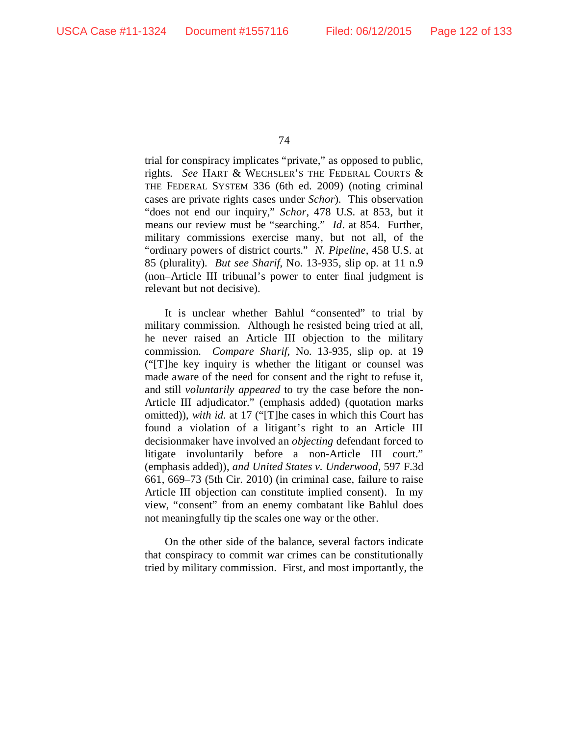trial for conspiracy implicates "private," as opposed to public, rights. *See* HART & WECHSLER'S THE FEDERAL COURTS & THE FEDERAL SYSTEM 336 (6th ed. 2009) (noting criminal cases are private rights cases under *Schor*). This observation "does not end our inquiry," *Schor*, 478 U.S. at 853, but it means our review must be "searching." *Id*. at 854. Further, military commissions exercise many, but not all, of the "ordinary powers of district courts." *N. Pipeline*, 458 U.S. at 85 (plurality). *But see Sharif*, No. 13-935, slip op. at 11 n.9 (non–Article III tribunal's power to enter final judgment is relevant but not decisive).

It is unclear whether Bahlul "consented" to trial by military commission. Although he resisted being tried at all, he never raised an Article III objection to the military commission. *Compare Sharif*, No. 13-935, slip op. at 19 ("[T]he key inquiry is whether the litigant or counsel was made aware of the need for consent and the right to refuse it, and still *voluntarily appeared* to try the case before the non-Article III adjudicator." (emphasis added) (quotation marks omitted)), *with id.* at 17 ("[T]he cases in which this Court has found a violation of a litigant's right to an Article III decisionmaker have involved an *objecting* defendant forced to litigate involuntarily before a non-Article III court." (emphasis added)), *and United States v. Underwood*, 597 F.3d 661, 669–73 (5th Cir. 2010) (in criminal case, failure to raise Article III objection can constitute implied consent). In my view, "consent" from an enemy combatant like Bahlul does not meaningfully tip the scales one way or the other.

On the other side of the balance, several factors indicate that conspiracy to commit war crimes can be constitutionally tried by military commission. First, and most importantly, the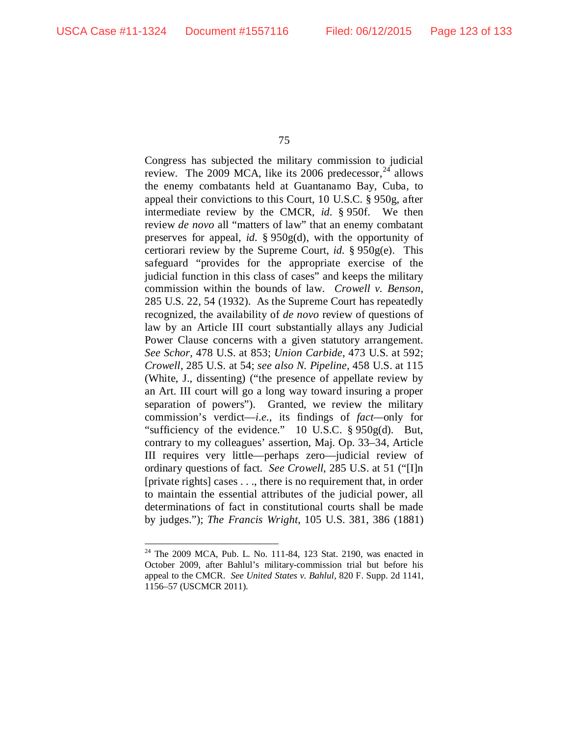Congress has subjected the military commission to judicial review. The 2009 MCA, like its 2006 predecessor,  $^{24}$  $^{24}$  $^{24}$  allows the enemy combatants held at Guantanamo Bay, Cuba, to appeal their convictions to this Court, 10 U.S.C. § 950g, after intermediate review by the CMCR, *id.* § 950f. We then review *de novo* all "matters of law" that an enemy combatant preserves for appeal, *id.* § 950g(d), with the opportunity of certiorari review by the Supreme Court, *id.* § 950g(e). This safeguard "provides for the appropriate exercise of the judicial function in this class of cases" and keeps the military commission within the bounds of law. *Crowell v. Benson*, 285 U.S. 22, 54 (1932). As the Supreme Court has repeatedly recognized, the availability of *de novo* review of questions of law by an Article III court substantially allays any Judicial Power Clause concerns with a given statutory arrangement. *See Schor*, 478 U.S. at 853; *Union Carbide*, 473 U.S. at 592; *Crowell*, 285 U.S. at 54; *see also N. Pipeline*, 458 U.S. at 115 (White, J., dissenting) ("the presence of appellate review by an Art. III court will go a long way toward insuring a proper separation of powers"). Granted, we review the military commission's verdict—*i.e.*, its findings of *fact—*only for "sufficiency of the evidence." 10 U.S.C. § 950g(d). But, contrary to my colleagues' assertion, Maj. Op. 33–34, Article III requires very little—perhaps zero—judicial review of ordinary questions of fact. *See Crowell*, 285 U.S. at 51 ("[I]n [private rights] cases . . ., there is no requirement that, in order to maintain the essential attributes of the judicial power, all determinations of fact in constitutional courts shall be made by judges."); *The Francis Wright*, 105 U.S. 381, 386 (1881)

<span id="page-122-0"></span> <sup>24</sup> The 2009 MCA, Pub. L. No. 111-84, 123 Stat. 2190, was enacted in October 2009, after Bahlul's military-commission trial but before his appeal to the CMCR. *See United States v. Bahlul*, 820 F. Supp. 2d 1141, 1156–57 (USCMCR 2011).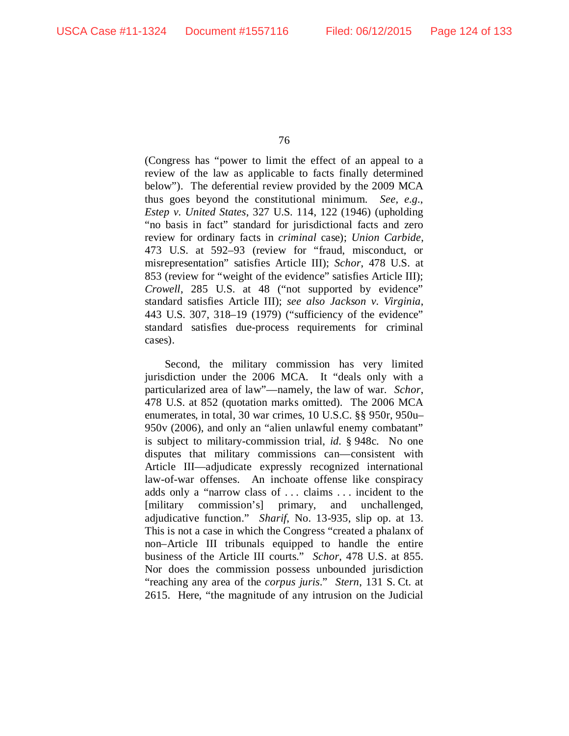(Congress has "power to limit the effect of an appeal to a review of the law as applicable to facts finally determined below"). The deferential review provided by the 2009 MCA thus goes beyond the constitutional minimum. *See, e.g.*, *Estep v. United States*, 327 U.S. 114, 122 (1946) (upholding "no basis in fact" standard for jurisdictional facts and zero review for ordinary facts in *criminal* case); *Union Carbide*, 473 U.S. at 592–93 (review for "fraud, misconduct, or misrepresentation" satisfies Article III); *Schor*, 478 U.S. at 853 (review for "weight of the evidence" satisfies Article III); *Crowell*, 285 U.S. at 48 ("not supported by evidence" standard satisfies Article III); *see also Jackson v. Virginia*, 443 U.S. 307, 318–19 (1979) ("sufficiency of the evidence" standard satisfies due-process requirements for criminal cases).

Second, the military commission has very limited jurisdiction under the 2006 MCA. It "deals only with a particularized area of law"—namely, the law of war. *Schor*, 478 U.S. at 852 (quotation marks omitted). The 2006 MCA enumerates, in total, 30 war crimes, 10 U.S.C. §§ 950r, 950u– 950v (2006), and only an "alien unlawful enemy combatant" is subject to military-commission trial, *id.* § 948c. No one disputes that military commissions can—consistent with Article III—adjudicate expressly recognized international law-of-war offenses. An inchoate offense like conspiracy adds only a "narrow class of . . . claims . . . incident to the [military commission's] primary, and unchallenged, adjudicative function." *Sharif*, No. 13-935, slip op. at 13. This is not a case in which the Congress "created a phalanx of non–Article III tribunals equipped to handle the entire business of the Article III courts." *Schor*, 478 U.S. at 855. Nor does the commission possess unbounded jurisdiction "reaching any area of the *corpus juris*." *Stern*, 131 S. Ct. at 2615. Here, "the magnitude of any intrusion on the Judicial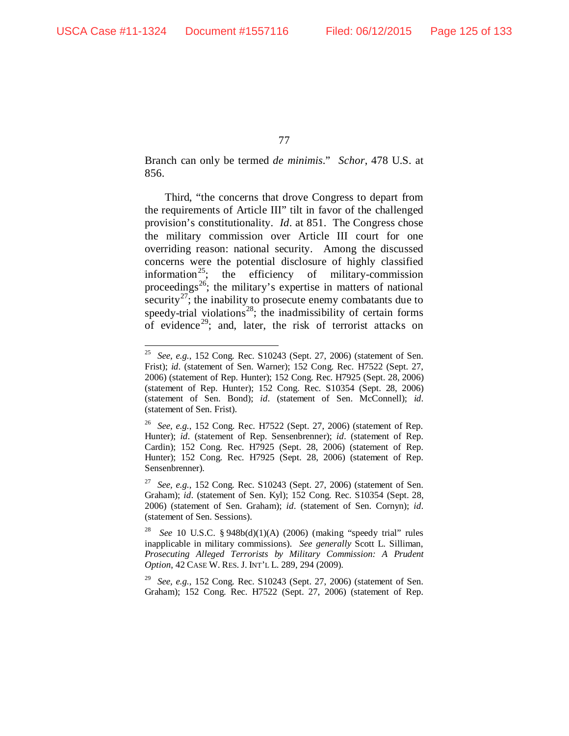Branch can only be termed *de minimis*." *Schor*, 478 U.S. at 856.

Third, "the concerns that drove Congress to depart from the requirements of Article III" tilt in favor of the challenged provision's constitutionality. *Id*. at 851. The Congress chose the military commission over Article III court for one overriding reason: national security. Among the discussed concerns were the potential disclosure of highly classified information<sup>[25](#page-124-0)</sup>; the efficiency of military-commission proceedings<sup>[26](#page-124-1)</sup>; the military's expertise in matters of national security<sup>[27](#page-124-2)</sup>; the inability to prosecute enemy combatants due to speedy-trial violations<sup>28</sup>; the inadmissibility of certain forms of evidence<sup>[29](#page-124-4)</sup>; and, later, the risk of terrorist attacks on

<span id="page-124-0"></span> <sup>25</sup> *See, e.g.*, 152 Cong. Rec. S10243 (Sept. 27, 2006) (statement of Sen. Frist); *id.* (statement of Sen. Warner); 152 Cong. Rec. H7522 (Sept. 27, 2006) (statement of Rep. Hunter); 152 Cong. Rec. H7925 (Sept. 28, 2006) (statement of Rep. Hunter); 152 Cong. Rec. S10354 (Sept. 28, 2006) (statement of Sen. Bond); *id.* (statement of Sen. McConnell); *id.* (statement of Sen. Frist).

<span id="page-124-1"></span><sup>26</sup> *See, e.g.*, 152 Cong. Rec. H7522 (Sept. 27, 2006) (statement of Rep. Hunter); *id.* (statement of Rep. Sensenbrenner); *id.* (statement of Rep. Cardin); 152 Cong. Rec. H7925 (Sept. 28, 2006) (statement of Rep. Hunter); 152 Cong. Rec. H7925 (Sept. 28, 2006) (statement of Rep. Sensenbrenner).

<span id="page-124-2"></span><sup>27</sup> *See, e.g.*, 152 Cong. Rec. S10243 (Sept. 27, 2006) (statement of Sen. Graham); *id.* (statement of Sen. Kyl); 152 Cong. Rec. S10354 (Sept. 28, 2006) (statement of Sen. Graham); *id.* (statement of Sen. Cornyn); *id.* (statement of Sen. Sessions).

<span id="page-124-3"></span><sup>28</sup> *See* 10 U.S.C. § 948b(d)(1)(A) (2006) (making "speedy trial" rules inapplicable in military commissions). *See generally* Scott L. Silliman, *Prosecuting Alleged Terrorists by Military Commission: A Prudent Option*, 42 CASE W. RES. J. INT'L L. 289, 294 (2009).

<span id="page-124-4"></span><sup>29</sup> *See, e.g.*, 152 Cong. Rec. S10243 (Sept. 27, 2006) (statement of Sen. Graham); 152 Cong. Rec. H7522 (Sept. 27, 2006) (statement of Rep.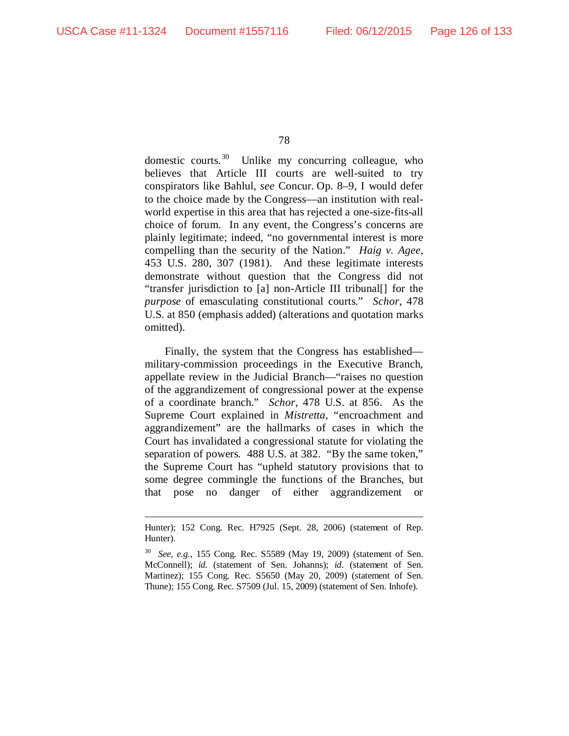<u>.</u>

78

domestic courts.<sup>30</sup> Unlike my concurring colleague, who believes that Article III courts are well-suited to try conspirators like Bahlul, *see* Concur. Op. 8–9, I would defer to the choice made by the Congress—an institution with realworld expertise in this area that has rejected a one-size-fits-all choice of forum. In any event, the Congress's concerns are plainly legitimate; indeed, "no governmental interest is more compelling than the security of the Nation." *Haig v. Agee*, 453 U.S. 280, 307 (1981). And these legitimate interests demonstrate without question that the Congress did not "transfer jurisdiction to [a] non-Article III tribunal[] for the *purpose* of emasculating constitutional courts." *Schor*, 478 U.S. at 850 (emphasis added) (alterations and quotation marks omitted).

Finally, the system that the Congress has established military-commission proceedings in the Executive Branch, appellate review in the Judicial Branch—"raises no question of the aggrandizement of congressional power at the expense of a coordinate branch." *Schor*, 478 U.S. at 856. As the Supreme Court explained in *Mistretta*, "encroachment and aggrandizement" are the hallmarks of cases in which the Court has invalidated a congressional statute for violating the separation of powers. 488 U.S. at 382. "By the same token," the Supreme Court has "upheld statutory provisions that to some degree commingle the functions of the Branches, but that pose no danger of either aggrandizement or

Hunter); 152 Cong. Rec. H7925 (Sept. 28, 2006) (statement of Rep. Hunter).

<span id="page-125-0"></span><sup>30</sup> *See, e.g.*, 155 Cong. Rec. S5589 (May 19, 2009) (statement of Sen. McConnell); *id.* (statement of Sen. Johanns); *id.* (statement of Sen. Martinez); 155 Cong. Rec. S5650 (May 20, 2009) (statement of Sen. Thune); 155 Cong. Rec. S7509 (Jul. 15, 2009) (statement of Sen. Inhofe).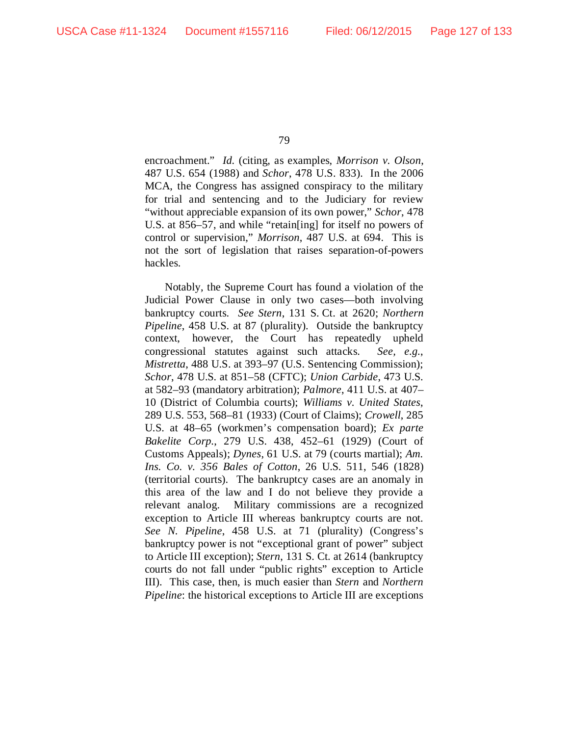encroachment." *Id.* (citing, as examples, *Morrison v. Olson*, 487 U.S. 654 (1988) and *Schor*, 478 U.S. 833). In the 2006 MCA, the Congress has assigned conspiracy to the military for trial and sentencing and to the Judiciary for review "without appreciable expansion of its own power," *Schor*, 478 U.S. at 856–57, and while "retain[ing] for itself no powers of control or supervision," *Morrison*, 487 U.S. at 694. This is not the sort of legislation that raises separation-of-powers hackles.

Notably, the Supreme Court has found a violation of the Judicial Power Clause in only two cases—both involving bankruptcy courts. *See Stern*, 131 S. Ct. at 2620; *Northern Pipeline*, 458 U.S. at 87 (plurality). Outside the bankruptcy context, however, the Court has repeatedly upheld congressional statutes against such attacks. *See, e.g.*, *Mistretta*, 488 U.S. at 393–97 (U.S. Sentencing Commission); *Schor*, 478 U.S. at 851–58 (CFTC); *Union Carbide*, 473 U.S. at 582–93 (mandatory arbitration); *Palmore*, 411 U.S. at 407– 10 (District of Columbia courts); *Williams v. United States*, 289 U.S. 553, 568–81 (1933) (Court of Claims); *Crowell*, 285 U.S. at 48–65 (workmen's compensation board); *Ex parte Bakelite Corp.*, 279 U.S. 438, 452–61 (1929) (Court of Customs Appeals); *Dynes*, 61 U.S. at 79 (courts martial); *Am. Ins. Co. v. 356 Bales of Cotton*, 26 U.S. 511, 546 (1828) (territorial courts). The bankruptcy cases are an anomaly in this area of the law and I do not believe they provide a relevant analog. Military commissions are a recognized exception to Article III whereas bankruptcy courts are not. *See N. Pipeline*, 458 U.S. at 71 (plurality) (Congress's bankruptcy power is not "exceptional grant of power" subject to Article III exception); *Stern*, 131 S. Ct. at 2614 (bankruptcy courts do not fall under "public rights" exception to Article III). This case, then, is much easier than *Stern* and *Northern Pipeline*: the historical exceptions to Article III are exceptions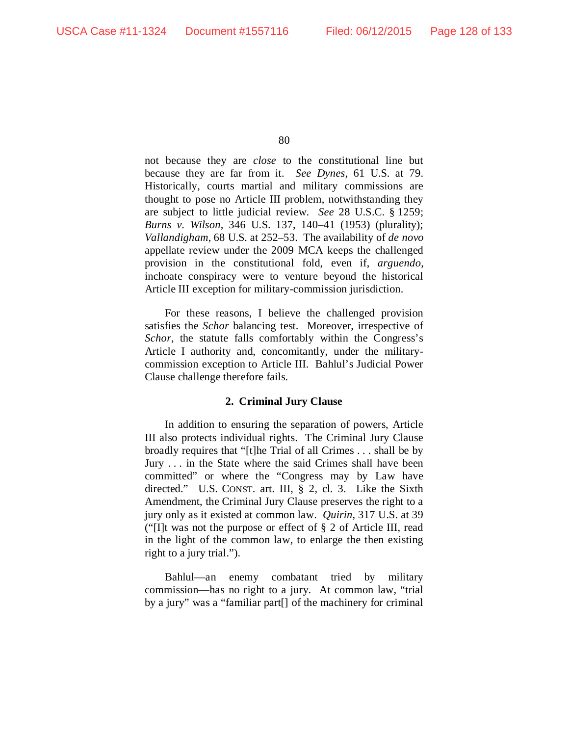not because they are *close* to the constitutional line but because they are far from it. *See Dynes*, 61 U.S. at 79. Historically, courts martial and military commissions are thought to pose no Article III problem, notwithstanding they are subject to little judicial review. *See* 28 U.S.C. § 1259; *Burns v. Wilson*, 346 U.S. 137, 140–41 (1953) (plurality); *Vallandigham*, 68 U.S. at 252–53. The availability of *de novo*  appellate review under the 2009 MCA keeps the challenged provision in the constitutional fold, even if, *arguendo*, inchoate conspiracy were to venture beyond the historical Article III exception for military-commission jurisdiction.

For these reasons, I believe the challenged provision satisfies the *Schor* balancing test. Moreover, irrespective of *Schor*, the statute falls comfortably within the Congress's Article I authority and, concomitantly, under the militarycommission exception to Article III. Bahlul's Judicial Power Clause challenge therefore fails.

# **2. Criminal Jury Clause**

In addition to ensuring the separation of powers, Article III also protects individual rights. The Criminal Jury Clause broadly requires that "[t]he Trial of all Crimes . . . shall be by Jury . . . in the State where the said Crimes shall have been committed" or where the "Congress may by Law have directed." U.S. CONST. art. III, § 2, cl. 3. Like the Sixth Amendment, the Criminal Jury Clause preserves the right to a jury only as it existed at common law. *Quirin*, 317 U.S. at 39 ("[I]t was not the purpose or effect of § 2 of Article III, read in the light of the common law, to enlarge the then existing right to a jury trial.").

Bahlul—an enemy combatant tried by military commission—has no right to a jury. At common law, "trial by a jury" was a "familiar part[] of the machinery for criminal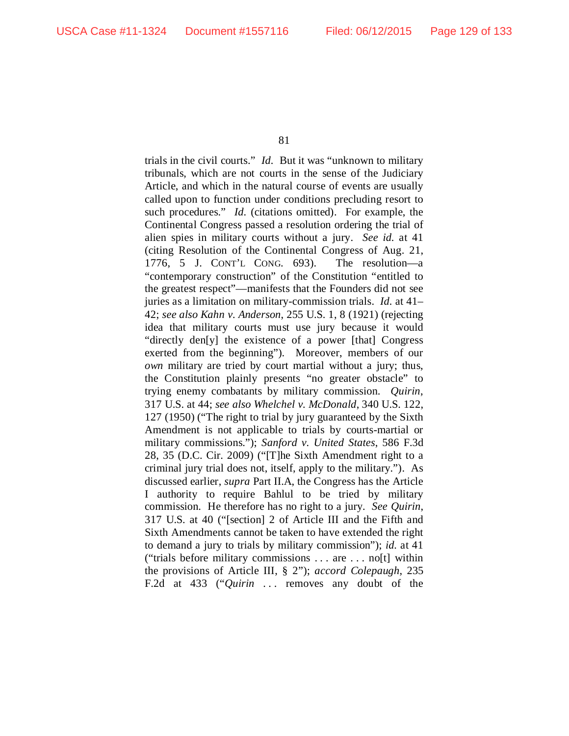trials in the civil courts." *Id.* But it was "unknown to military tribunals, which are not courts in the sense of the Judiciary Article, and which in the natural course of events are usually called upon to function under conditions precluding resort to such procedures." *Id.* (citations omitted). For example, the Continental Congress passed a resolution ordering the trial of alien spies in military courts without a jury. *See id.* at 41 (citing Resolution of the Continental Congress of Aug. 21, 1776, 5 J. CONT'L CONG. 693). The resolution—a "contemporary construction" of the Constitution "entitled to the greatest respect"—manifests that the Founders did not see juries as a limitation on military-commission trials. *Id.* at 41– 42; *see also Kahn v. Anderson*, 255 U.S. 1, 8 (1921) (rejecting idea that military courts must use jury because it would "directly den[y] the existence of a power [that] Congress exerted from the beginning"). Moreover, members of our *own* military are tried by court martial without a jury; thus, the Constitution plainly presents "no greater obstacle" to trying enemy combatants by military commission. *Quirin*, 317 U.S. at 44; *see also Whelchel v. McDonald*, 340 U.S. 122, 127 (1950) ("The right to trial by jury guaranteed by the Sixth Amendment is not applicable to trials by courts-martial or military commissions."); *Sanford v. United States*, 586 F.3d 28, 35 (D.C. Cir. 2009) ("[T]he Sixth Amendment right to a criminal jury trial does not, itself, apply to the military."). As discussed earlier, *supra* Part II.A, the Congress has the Article I authority to require Bahlul to be tried by military commission. He therefore has no right to a jury. *See Quirin*, 317 U.S. at 40 ("[section] 2 of Article III and the Fifth and Sixth Amendments cannot be taken to have extended the right to demand a jury to trials by military commission"); *id.* at 41 ("trials before military commissions . . . are . . . no[t] within the provisions of Article III, § 2"); *accord Colepaugh*, 235 F.2d at 433 ("*Quirin* ... removes any doubt of the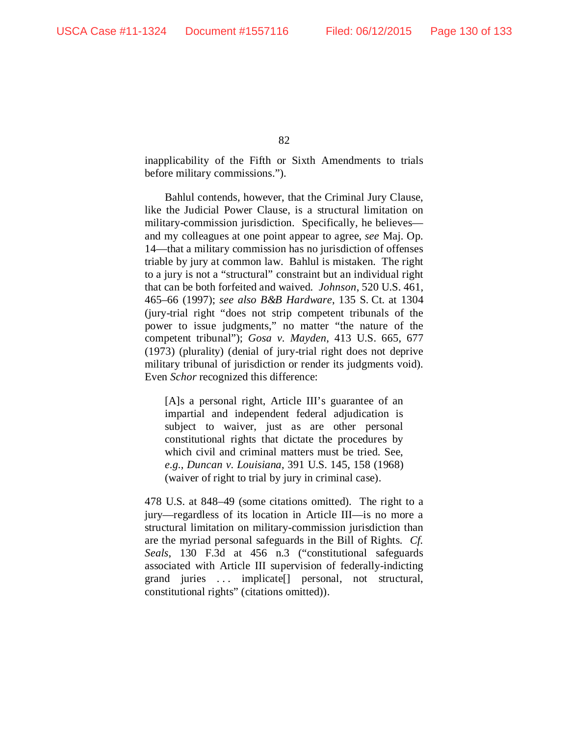inapplicability of the Fifth or Sixth Amendments to trials before military commissions.").

Bahlul contends, however, that the Criminal Jury Clause, like the Judicial Power Clause, is a structural limitation on military-commission jurisdiction. Specifically, he believes and my colleagues at one point appear to agree, *see* Maj. Op. 14—that a military commission has no jurisdiction of offenses triable by jury at common law. Bahlul is mistaken. The right to a jury is not a "structural" constraint but an individual right that can be both forfeited and waived. *Johnson*, 520 U.S. 461, 465–66 (1997); *see also B&B Hardware*, 135 S. Ct. at 1304 (jury-trial right "does not strip competent tribunals of the power to issue judgments," no matter "the nature of the competent tribunal"); *Gosa v. Mayden*, 413 U.S. 665, 677 (1973) (plurality) (denial of jury-trial right does not deprive military tribunal of jurisdiction or render its judgments void). Even *Schor* recognized this difference:

[A]s a personal right, Article III's guarantee of an impartial and independent federal adjudication is subject to waiver, just as are other personal constitutional rights that dictate the procedures by which civil and criminal matters must be tried. See, *e.g.*, *Duncan v. Louisiana*, 391 U.S. 145, 158 (1968) (waiver of right to trial by jury in criminal case).

478 U.S. at 848–49 (some citations omitted). The right to a jury—regardless of its location in Article III—is no more a structural limitation on military-commission jurisdiction than are the myriad personal safeguards in the Bill of Rights. *Cf. Seals*, 130 F.3d at 456 n.3 ("constitutional safeguards associated with Article III supervision of federally-indicting grand juries . . . implicate[] personal, not structural, constitutional rights" (citations omitted)).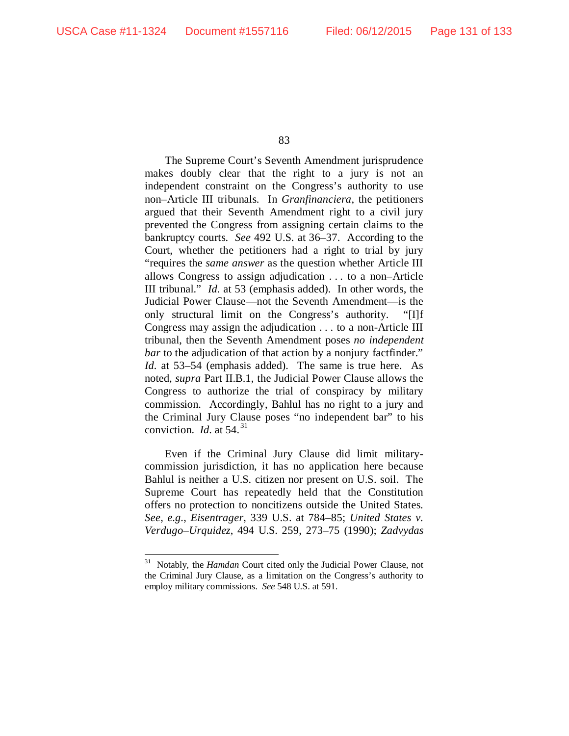The Supreme Court's Seventh Amendment jurisprudence makes doubly clear that the right to a jury is not an independent constraint on the Congress's authority to use non–Article III tribunals. In *Granfinanciera*, the petitioners argued that their Seventh Amendment right to a civil jury prevented the Congress from assigning certain claims to the bankruptcy courts. *See* 492 U.S. at 36–37. According to the Court, whether the petitioners had a right to trial by jury "requires the *same answer* as the question whether Article III allows Congress to assign adjudication . . . to a non–Article III tribunal." *Id.* at 53 (emphasis added). In other words, the Judicial Power Clause—not the Seventh Amendment—is the only structural limit on the Congress's authority. "[I]f Congress may assign the adjudication . . . to a non-Article III tribunal, then the Seventh Amendment poses *no independent bar* to the adjudication of that action by a nonjury factfinder." *Id.* at 53–54 (emphasis added). The same is true here. As noted, *supra* Part II.B.1, the Judicial Power Clause allows the Congress to authorize the trial of conspiracy by military commission. Accordingly, Bahlul has no right to a jury and the Criminal Jury Clause poses "no independent bar" to his conviction. *Id.* at 54. [31](#page-130-0)

Even if the Criminal Jury Clause did limit militarycommission jurisdiction, it has no application here because Bahlul is neither a U.S. citizen nor present on U.S. soil. The Supreme Court has repeatedly held that the Constitution offers no protection to noncitizens outside the United States. *See, e.g.*, *Eisentrager*, 339 U.S. at 784–85; *United States v. Verdugo–Urquidez*, 494 U.S. 259, 273–75 (1990); *Zadvydas* 

<span id="page-130-0"></span> <sup>31</sup> Notably, the *Hamdan* Court cited only the Judicial Power Clause, not the Criminal Jury Clause, as a limitation on the Congress's authority to employ military commissions. *See* 548 U.S. at 591.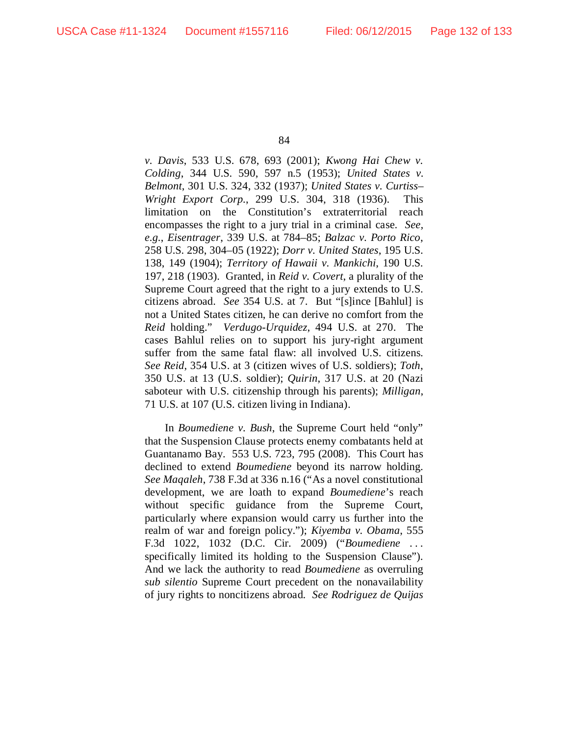*v. Davis*, 533 U.S. 678, 693 (2001); *Kwong Hai Chew v. Colding*, 344 U.S. 590, 597 n.5 (1953); *United States v. Belmont*, 301 U.S. 324, 332 (1937); *United States v. Curtiss– Wright Export Corp.*, 299 U.S. 304, 318 (1936). This limitation on the Constitution's extraterritorial reach encompasses the right to a jury trial in a criminal case. *See, e.g.*, *Eisentrager*, 339 U.S. at 784–85; *Balzac v. Porto Rico*, 258 U.S. 298, 304–05 (1922); *Dorr v. United States*, 195 U.S. 138, 149 (1904); *Territory of Hawaii v. Mankichi*, 190 U.S. 197, 218 (1903). Granted, in *Reid v. Covert*, a plurality of the Supreme Court agreed that the right to a jury extends to U.S. citizens abroad. *See* 354 U.S. at 7. But "[s]ince [Bahlul] is not a United States citizen, he can derive no comfort from the *Reid* holding." *Verdugo-Urquidez*, 494 U.S. at 270. The cases Bahlul relies on to support his jury-right argument suffer from the same fatal flaw: all involved U.S. citizens. *See Reid*, 354 U.S. at 3 (citizen wives of U.S. soldiers); *Toth*, 350 U.S. at 13 (U.S. soldier); *Quirin*, 317 U.S. at 20 (Nazi saboteur with U.S. citizenship through his parents); *Milligan*, 71 U.S. at 107 (U.S. citizen living in Indiana).

In *Boumediene v. Bush*, the Supreme Court held "only" that the Suspension Clause protects enemy combatants held at Guantanamo Bay. 553 U.S. 723, 795 (2008). This Court has declined to extend *Boumediene* beyond its narrow holding. *See Maqaleh*, 738 F.3d at 336 n.16 ("As a novel constitutional development, we are loath to expand *Boumediene*'s reach without specific guidance from the Supreme Court, particularly where expansion would carry us further into the realm of war and foreign policy."); *Kiyemba v. Obama*, 555 F.3d 1022, 1032 (D.C. Cir. 2009) ("*Boumediene* . . . specifically limited its holding to the Suspension Clause"). And we lack the authority to read *Boumediene* as overruling *sub silentio* Supreme Court precedent on the nonavailability of jury rights to noncitizens abroad. *See Rodriguez de Quijas*